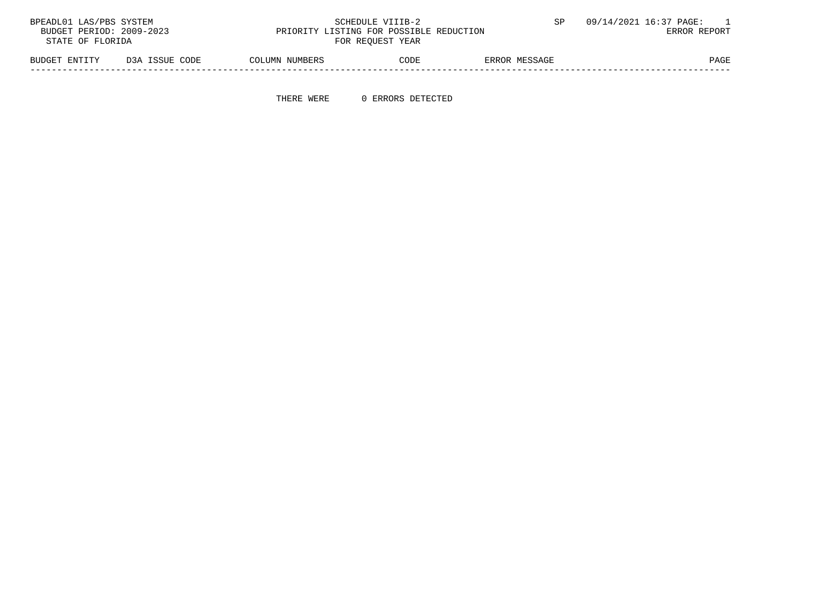| BPEADL01 LAS/PBS SYSTEM  |                |                | SCHEDULE VIIIB-2                        |               | 09/14/2021 16:37 PAGE: |
|--------------------------|----------------|----------------|-----------------------------------------|---------------|------------------------|
| BUDGET PERIOD: 2009-2023 |                |                | PRIORITY LISTING FOR POSSIBLE REDUCTION |               | ERROR REPORT           |
| STATE OF FLORIDA         |                |                | FOR REOUEST YEAR                        |               |                        |
| BUDGET ENTITY            | D3A ISSUE CODE | COLUMN NUMBERS | CODE                                    | ERROR MESSAGE | PAGE                   |

-----------------------------------------------------------------------------------------------------------------------------------

THERE WERE 0 ERRORS DETECTED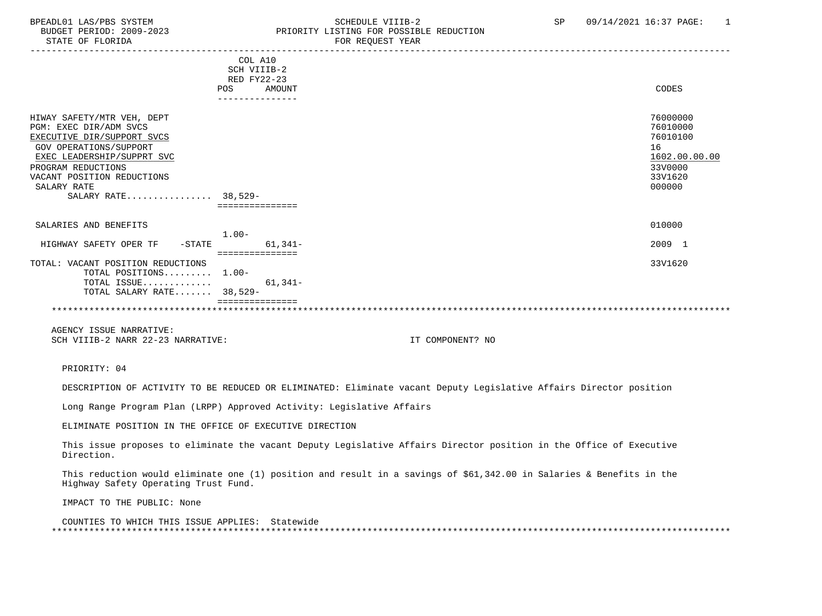#### BPEADL01 LAS/PBS SYSTEM SOHEDULE VIIIB-2 SCHEDULE VIIIB-2 SP 09/14/2021 16:37 PAGE: 1<br>BUDGET PERIOD: 2009-2023 PRIORITY LISTING FOR POSSIBLE REDUCTION BUDGET PERIOD: 2009-2023 PRIORITY LISTING FOR POSSIBLE REDUCTION<br>STATE OF FLORIDA POR REOUEST YEAR FOR REQUEST YEAR

|                                             |         | COL A10          |                  |               |
|---------------------------------------------|---------|------------------|------------------|---------------|
|                                             |         | SCH VIIIB-2      |                  |               |
|                                             |         | RED FY22-23      |                  |               |
|                                             |         | POS AMOUNT       |                  | CODES         |
|                                             |         | ---------------  |                  |               |
|                                             |         |                  |                  |               |
| HIWAY SAFETY/MTR VEH, DEPT                  |         |                  |                  | 76000000      |
| PGM: EXEC DIR/ADM SVCS                      |         |                  |                  | 76010000      |
| EXECUTIVE DIR/SUPPORT SVCS                  |         |                  |                  | 76010100      |
| GOV OPERATIONS/SUPPORT                      |         |                  |                  | 16            |
| EXEC LEADERSHIP/SUPPRT SVC                  |         |                  |                  | 1602.00.00.00 |
| PROGRAM REDUCTIONS                          |         |                  |                  | 33V0000       |
| VACANT POSITION REDUCTIONS                  |         |                  |                  | 33V1620       |
| SALARY RATE                                 |         |                  |                  | 000000        |
| SALARY RATE 38,529-                         |         |                  |                  |               |
|                                             |         | ===============  |                  |               |
|                                             |         |                  |                  |               |
| SALARIES AND BENEFITS                       |         |                  |                  | 010000        |
|                                             | $1.00-$ |                  |                  |               |
| HIGHWAY SAFETY OPER TF<br>$-\mathtt{STATE}$ |         | $61,341-$        |                  | 2009 1        |
|                                             |         | ================ |                  |               |
| TOTAL: VACANT POSITION REDUCTIONS           |         |                  |                  | 33V1620       |
| TOTAL POSITIONS 1.00-                       |         |                  |                  |               |
| TOTAL ISSUE                                 |         | $61,341-$        |                  |               |
| TOTAL SALARY RATE 38,529-                   |         |                  |                  |               |
|                                             |         |                  |                  |               |
|                                             |         |                  |                  |               |
|                                             |         |                  |                  |               |
| AGENCY ISSUE NARRATIVE:                     |         |                  |                  |               |
| SCH VIIIB-2 NARR 22-23 NARRATIVE:           |         |                  | IT COMPONENT? NO |               |
|                                             |         |                  |                  |               |
|                                             |         |                  |                  |               |
| PRIORITY: 04                                |         |                  |                  |               |

DESCRIPTION OF ACTIVITY TO BE REDUCED OR ELIMINATED: Eliminate vacant Deputy Legislative Affairs Director position

Long Range Program Plan (LRPP) Approved Activity: Legislative Affairs

ELIMINATE POSITION IN THE OFFICE OF EXECUTIVE DIRECTION

 This issue proposes to eliminate the vacant Deputy Legislative Affairs Director position in the Office of Executive Direction.

 This reduction would eliminate one (1) position and result in a savings of \$61,342.00 in Salaries & Benefits in the Highway Safety Operating Trust Fund.

IMPACT TO THE PUBLIC: None

 COUNTIES TO WHICH THIS ISSUE APPLIES: Statewide \*\*\*\*\*\*\*\*\*\*\*\*\*\*\*\*\*\*\*\*\*\*\*\*\*\*\*\*\*\*\*\*\*\*\*\*\*\*\*\*\*\*\*\*\*\*\*\*\*\*\*\*\*\*\*\*\*\*\*\*\*\*\*\*\*\*\*\*\*\*\*\*\*\*\*\*\*\*\*\*\*\*\*\*\*\*\*\*\*\*\*\*\*\*\*\*\*\*\*\*\*\*\*\*\*\*\*\*\*\*\*\*\*\*\*\*\*\*\*\*\*\*\*\*\*\*\*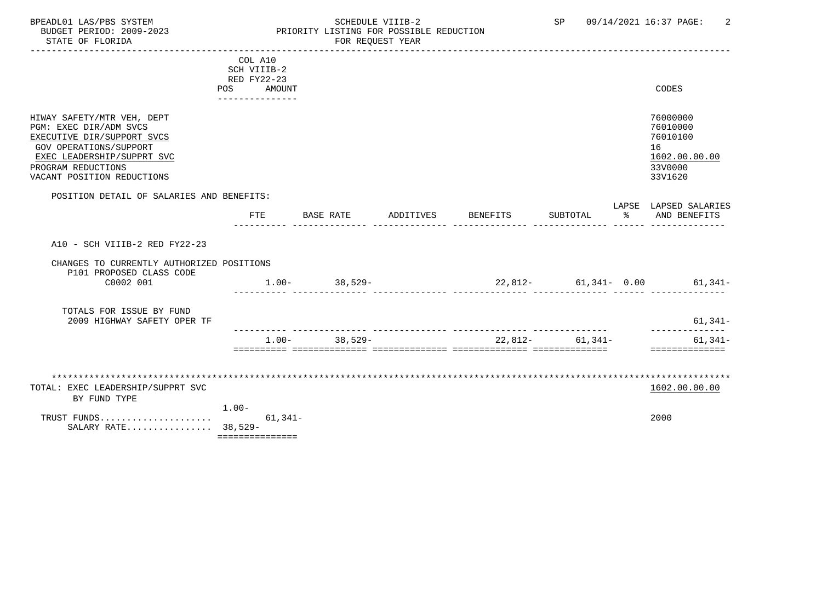#### BPEADL01 LAS/PBS SYSTEM SCHEDULE VIIIB-2 SCHEDULE VIIIB-2 SP 09/14/2021 16:37 PAGE: 2<br>BUDGET PERIOD: 2009-2023 PRIORITY LISTING FOR POSSIBLE REDUCTION BUDGET PERIOD: 2009-2023 PRIORITY LISTING FOR POSSIBLE REDUCTION FOR REQUEST YEAR

|                                                      | COL A10         |           |                       |                    |                                |                 |                       |
|------------------------------------------------------|-----------------|-----------|-----------------------|--------------------|--------------------------------|-----------------|-----------------------|
|                                                      | SCH VIIIB-2     |           |                       |                    |                                |                 |                       |
|                                                      | RED FY22-23     |           |                       |                    |                                |                 |                       |
|                                                      | POS AMOUNT      |           |                       |                    |                                |                 | CODES                 |
|                                                      | --------------- |           |                       |                    |                                |                 |                       |
|                                                      |                 |           |                       |                    |                                |                 |                       |
| HIWAY SAFETY/MTR VEH, DEPT                           |                 |           |                       |                    |                                |                 | 76000000              |
| PGM: EXEC DIR/ADM SVCS                               |                 |           |                       |                    |                                |                 | 76010000              |
| EXECUTIVE DIR/SUPPORT SVCS                           |                 |           |                       |                    |                                |                 | 76010100<br>16        |
| GOV OPERATIONS/SUPPORT<br>EXEC LEADERSHIP/SUPPRT SVC |                 |           |                       |                    |                                |                 | 1602.00.00.00         |
| PROGRAM REDUCTIONS                                   |                 |           |                       |                    |                                |                 | 33V0000               |
| VACANT POSITION REDUCTIONS                           |                 |           |                       |                    |                                |                 | 33V1620               |
|                                                      |                 |           |                       |                    |                                |                 |                       |
| POSITION DETAIL OF SALARIES AND BENEFITS:            |                 |           |                       |                    |                                |                 |                       |
|                                                      |                 |           |                       |                    |                                |                 | LAPSE LAPSED SALARIES |
|                                                      | FTE             |           | BASE RATE             | ADDITIVES BENEFITS |                                | SUBTOTAL        | % AND BENEFITS        |
|                                                      |                 |           |                       |                    |                                |                 |                       |
|                                                      |                 |           |                       |                    |                                |                 |                       |
| A10 - SCH VIIIB-2 RED FY22-23                        |                 |           |                       |                    |                                |                 |                       |
| CHANGES TO CURRENTLY AUTHORIZED POSITIONS            |                 |           |                       |                    |                                |                 |                       |
| P101 PROPOSED CLASS CODE                             |                 |           |                       |                    |                                |                 |                       |
| C0002 001                                            |                 |           | $1.00 - 38,529 -$     |                    | $22,812-$ 61,341- 0.00 61,341- |                 |                       |
|                                                      |                 |           | <u>a aadadadadada</u> |                    |                                |                 |                       |
|                                                      |                 |           |                       |                    |                                |                 |                       |
| TOTALS FOR ISSUE BY FUND                             |                 |           |                       |                    |                                |                 |                       |
| 2009 HIGHWAY SAFETY OPER TF                          |                 |           |                       |                    |                                |                 | $61,341-$             |
|                                                      |                 |           |                       |                    |                                |                 |                       |
|                                                      |                 |           | $1.00 - 38,529 -$     |                    |                                | 22,812- 61,341- | $61,341-$             |
|                                                      |                 |           |                       |                    |                                |                 | ==============        |
|                                                      |                 |           |                       |                    |                                |                 |                       |
|                                                      |                 |           |                       |                    |                                |                 |                       |
| TOTAL: EXEC LEADERSHIP/SUPPRT SVC                    |                 |           |                       |                    |                                |                 | 1602.00.00.00         |
| BY FUND TYPE                                         |                 |           |                       |                    |                                |                 |                       |
|                                                      | $1.00 -$        |           |                       |                    |                                |                 |                       |
| TRUST FUNDS                                          |                 | $61,341-$ |                       |                    |                                |                 | 2000                  |
| SALARY RATE 38,529-                                  |                 |           |                       |                    |                                |                 |                       |
|                                                      | =============== |           |                       |                    |                                |                 |                       |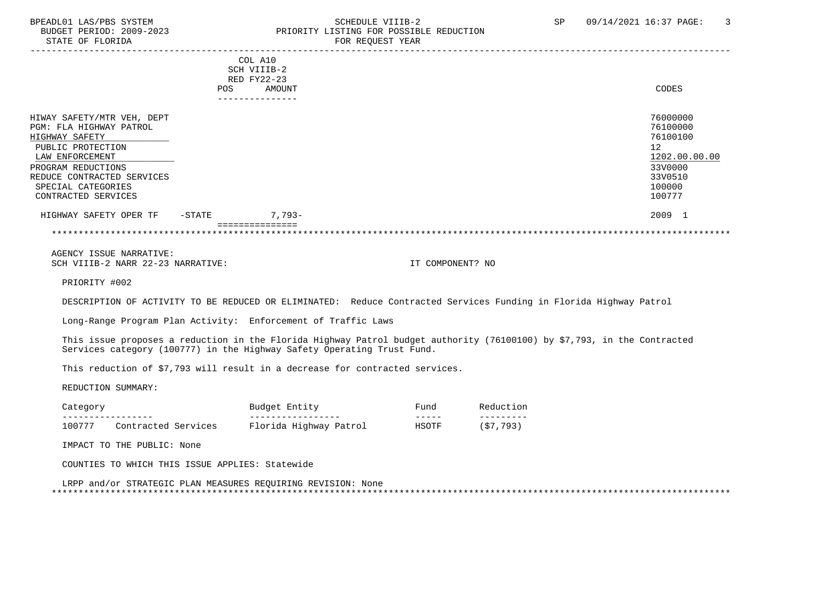#### BPEADL01 LAS/PBS SYSTEM SOHEDULE VIIIB-2 SCHEDULE VIIIB-2 SP 09/14/2021 16:37 PAGE: 3<br>BUDGET PERIOD: 2009-2023 PRIORITY LISTING FOR POSSIBLE REDUCTION PRIORITY LISTING FOR POSSIBLE REDUCTION STATE OF FLORIDA FOR STATE OF STATE OF STATE OF STATE OF STATE OF STATE OF STATE OF STATE OF STATE OF STATE OF STATE OF STATE OF STATE OF STATE OF STATE OF STATE OF STATE OF STATE OF STATE OF STATE OF STATE OF STATE OF STA

|                            | <b>POS</b> | COL A10<br>SCH VIIIB-2<br>RED FY22-23<br>AMOUNT<br>--------- | CODES         |
|----------------------------|------------|--------------------------------------------------------------|---------------|
|                            |            |                                                              |               |
| HIWAY SAFETY/MTR VEH, DEPT |            |                                                              | 76000000      |
| PGM: FLA HIGHWAY PATROL    |            |                                                              | 76100000      |
| HIGHWAY SAFETY             |            |                                                              | 76100100      |
| PUBLIC PROTECTION          |            |                                                              | 12            |
| LAW ENFORCEMENT            |            |                                                              | 1202.00.00.00 |
| PROGRAM REDUCTIONS         |            |                                                              | 33V0000       |
| REDUCE CONTRACTED SERVICES |            |                                                              | 33V0510       |
| SPECIAL CATEGORIES         |            |                                                              | 100000        |
| CONTRACTED SERVICES        |            |                                                              | 100777        |
| HIGHWAY SAFETY OPER TF     | -STATE     | $7,793-$                                                     | 2009 1        |
|                            |            |                                                              |               |

 AGENCY ISSUE NARRATIVE: SCH VIIIB-2 NARR 22-23 NARRATIVE: IT COMPONENT? NO

PRIORITY #002

DESCRIPTION OF ACTIVITY TO BE REDUCED OR ELIMINATED: Reduce Contracted Services Funding in Florida Highway Patrol

Long-Range Program Plan Activity: Enforcement of Traffic Laws

 This issue proposes a reduction in the Florida Highway Patrol budget authority (76100100) by \$7,793, in the Contracted Services category (100777) in the Highway Safety Operating Trust Fund.

This reduction of \$7,793 will result in a decrease for contracted services.

REDUCTION SUMMARY:

| 'at               |                                          |                 | Entity<br>Budget<br>---- |        | Funa<br>_____ | n                |  |
|-------------------|------------------------------------------|-----------------|--------------------------|--------|---------------|------------------|--|
| ----------------- |                                          |                 | ----------------         |        | -----         | ---------        |  |
| 100777            | SAPII<br>Pontracted<br>$C^{\alpha}$<br>. | lorida<br>_____ | Highway<br>---           | Patroi | HSOTF         | 793<br>ب ہے<br>ັ |  |

IMPACT TO THE PUBLIC: None

COUNTIES TO WHICH THIS ISSUE APPLIES: Statewide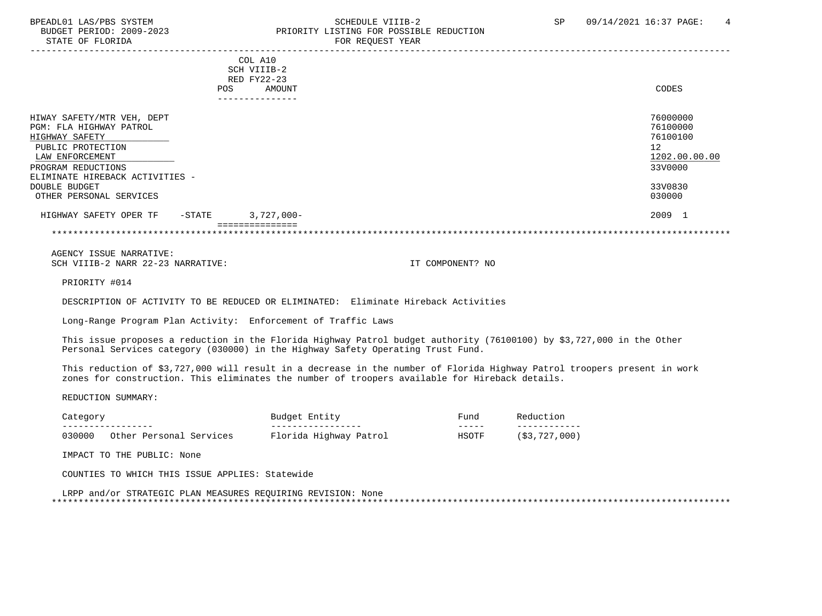# BPEADL01 LAS/PBS SYSTEM STRING THE SCHEDULE VIIIB-2 SCHEDULE VIIIB-2 SP 09/14/2021 16:37 PAGE: 4 PRIORITY LISTING FOR POSSIBLE REDUCTION

| CODES                                                              |
|--------------------------------------------------------------------|
|                                                                    |
| 76000000<br>76100000<br>76100100<br>12<br>1202.00.00.00<br>33V0000 |
| 33V0830                                                            |
| 030000                                                             |
| 2009 1                                                             |
|                                                                    |

\*\*\*\*\*\*\*\*\*\*\*\*\*\*\*\*\*\*\*\*\*\*\*\*\*\*\*\*\*\*\*\*\*\*\*\*\*\*\*\*\*\*\*\*\*\*\*\*\*\*\*\*\*\*\*\*\*\*\*\*\*\*\*\*\*\*\*\*\*\*\*\*\*\*\*\*\*\*\*\*\*\*\*\*\*\*\*\*\*\*\*\*\*\*\*\*\*\*\*\*\*\*\*\*\*\*\*\*\*\*\*\*\*\*\*\*\*\*\*\*\*\*\*\*\*\*\*

 AGENCY ISSUE NARRATIVE: SCH VIIIB-2 NARR 22-23 NARRATIVE: IT COMPONENT? NO

PRIORITY #014

DESCRIPTION OF ACTIVITY TO BE REDUCED OR ELIMINATED: Eliminate Hireback Activities

Long-Range Program Plan Activity: Enforcement of Traffic Laws

 This issue proposes a reduction in the Florida Highway Patrol budget authority (76100100) by \$3,727,000 in the Other Personal Services category (030000) in the Highway Safety Operating Trust Fund.

 This reduction of \$3,727,000 will result in a decrease in the number of Florida Highway Patrol troopers present in work zones for construction. This eliminates the number of troopers available for Hireback details.

REDUCTION SUMMARY:

|        |                            | Budget<br>Entity       | ਸuna  | $\overline{1}$ |
|--------|----------------------------|------------------------|-------|----------------|
|        | _ _ _ _ _ _ _ _ _          | _________              | ----- | ____           |
| 030000 | Other Personal<br>Services | Florida Highway Patrol | HSOTF | (\$3,727,000)  |

IMPACT TO THE PUBLIC: None

COUNTIES TO WHICH THIS ISSUE APPLIES: Statewide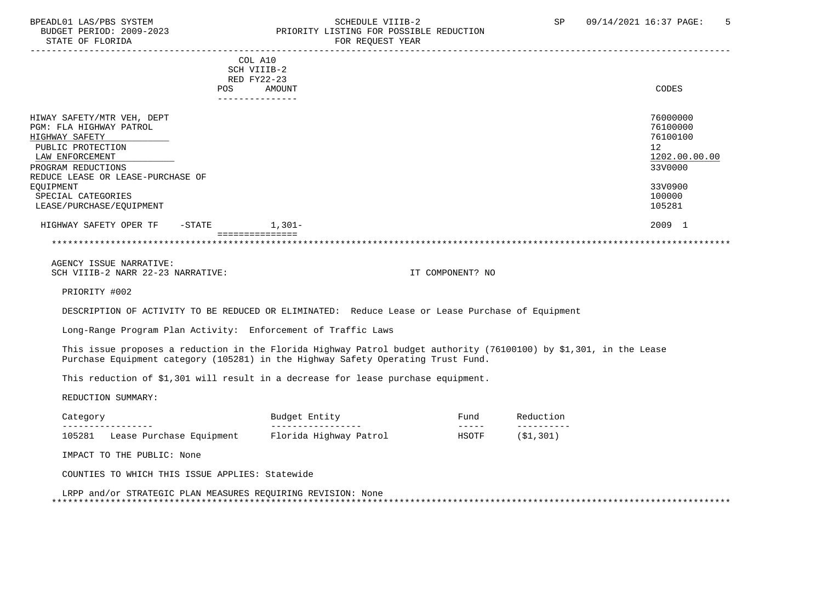#### BPEADL01 LAS/PBS SYSTEM SALLE STRIDULE VIIIB-2 SCHEDULE VIIIB-2 SP 09/14/2021 16:37 PAGE: 5<br>BUDGET PERIOD: 2009-2023 PRIORITY LISTING FOR POSSIBLE REDUCTION BUDGET PERIOD: 2009-2023<br>
STATE OF FLORIDA<br>
STATE OF FLORIDA FOR REQUEST YEAR

|                                                                         | COL A10               | SCH VIIIB-2                                                                                                                                                                                            |                                                                                                                                                                                                                                                                                                                                                                                                      |                          |                                  |
|-------------------------------------------------------------------------|-----------------------|--------------------------------------------------------------------------------------------------------------------------------------------------------------------------------------------------------|------------------------------------------------------------------------------------------------------------------------------------------------------------------------------------------------------------------------------------------------------------------------------------------------------------------------------------------------------------------------------------------------------|--------------------------|----------------------------------|
|                                                                         | RED FY22-23<br>POS DO | AMOUNT<br>_______________                                                                                                                                                                              |                                                                                                                                                                                                                                                                                                                                                                                                      |                          | <b>CODES</b>                     |
| HIWAY SAFETY/MTR VEH, DEPT<br>PGM: FLA HIGHWAY PATROL<br>HIGHWAY SAFETY |                       |                                                                                                                                                                                                        |                                                                                                                                                                                                                                                                                                                                                                                                      |                          | 76000000<br>76100000<br>76100100 |
| PUBLIC PROTECTION<br>LAW ENFORCEMENT                                    |                       |                                                                                                                                                                                                        |                                                                                                                                                                                                                                                                                                                                                                                                      |                          | 12<br>1202.00.00.00              |
| PROGRAM REDUCTIONS<br>REDUCE LEASE OR LEASE-PURCHASE OF                 |                       |                                                                                                                                                                                                        |                                                                                                                                                                                                                                                                                                                                                                                                      |                          | 33V0000                          |
| <b>EOUIPMENT</b><br>SPECIAL CATEGORIES<br>LEASE/PURCHASE/EQUIPMENT      |                       |                                                                                                                                                                                                        |                                                                                                                                                                                                                                                                                                                                                                                                      |                          | 33V0900<br>100000<br>105281      |
| HIGHWAY SAFETY OPER TF -STATE 1,301-                                    |                       |                                                                                                                                                                                                        |                                                                                                                                                                                                                                                                                                                                                                                                      |                          | 2009 1                           |
|                                                                         | ===============       |                                                                                                                                                                                                        |                                                                                                                                                                                                                                                                                                                                                                                                      |                          |                                  |
| AGENCY ISSUE NARRATIVE:<br>SCH VIIIB-2 NARR 22-23 NARRATIVE:            |                       |                                                                                                                                                                                                        | IT COMPONENT? NO                                                                                                                                                                                                                                                                                                                                                                                     |                          |                                  |
| PRIORITY #002                                                           |                       |                                                                                                                                                                                                        |                                                                                                                                                                                                                                                                                                                                                                                                      |                          |                                  |
|                                                                         |                       | DESCRIPTION OF ACTIVITY TO BE REDUCED OR ELIMINATED: Reduce Lease or Lease Purchase of Equipment                                                                                                       |                                                                                                                                                                                                                                                                                                                                                                                                      |                          |                                  |
|                                                                         |                       | Long-Range Program Plan Activity: Enforcement of Traffic Laws                                                                                                                                          |                                                                                                                                                                                                                                                                                                                                                                                                      |                          |                                  |
|                                                                         |                       | This issue proposes a reduction in the Florida Highway Patrol budget authority (76100100) by \$1,301, in the Lease<br>Purchase Equipment category (105281) in the Highway Safety Operating Trust Fund. |                                                                                                                                                                                                                                                                                                                                                                                                      |                          |                                  |
|                                                                         |                       | This reduction of \$1,301 will result in a decrease for lease purchase equipment.                                                                                                                      |                                                                                                                                                                                                                                                                                                                                                                                                      |                          |                                  |
| REDUCTION SUMMARY:                                                      |                       |                                                                                                                                                                                                        |                                                                                                                                                                                                                                                                                                                                                                                                      |                          |                                  |
| Category<br>_________________                                           |                       | Budget Entity<br>__________________                                                                                                                                                                    | Fund<br>$\frac{1}{2} \frac{1}{2} \frac{1}{2} \frac{1}{2} \frac{1}{2} \frac{1}{2} \frac{1}{2} \frac{1}{2} \frac{1}{2} \frac{1}{2} \frac{1}{2} \frac{1}{2} \frac{1}{2} \frac{1}{2} \frac{1}{2} \frac{1}{2} \frac{1}{2} \frac{1}{2} \frac{1}{2} \frac{1}{2} \frac{1}{2} \frac{1}{2} \frac{1}{2} \frac{1}{2} \frac{1}{2} \frac{1}{2} \frac{1}{2} \frac{1}{2} \frac{1}{2} \frac{1}{2} \frac{1}{2} \frac{$ | Reduction<br>----------- |                                  |
|                                                                         |                       | 105281 Lease Purchase Equipment Florida Highway Patrol                                                                                                                                                 | HSOTF                                                                                                                                                                                                                                                                                                                                                                                                | (S1, 301)                |                                  |
| IMPACT TO THE PUBLIC: None                                              |                       |                                                                                                                                                                                                        |                                                                                                                                                                                                                                                                                                                                                                                                      |                          |                                  |
| COUNTIES TO WHICH THIS ISSUE APPLIES: Statewide                         |                       |                                                                                                                                                                                                        |                                                                                                                                                                                                                                                                                                                                                                                                      |                          |                                  |
| LRPP and/or STRATEGIC PLAN MEASURES REOUIRING REVISION: None            |                       |                                                                                                                                                                                                        |                                                                                                                                                                                                                                                                                                                                                                                                      |                          |                                  |
|                                                                         |                       |                                                                                                                                                                                                        |                                                                                                                                                                                                                                                                                                                                                                                                      |                          |                                  |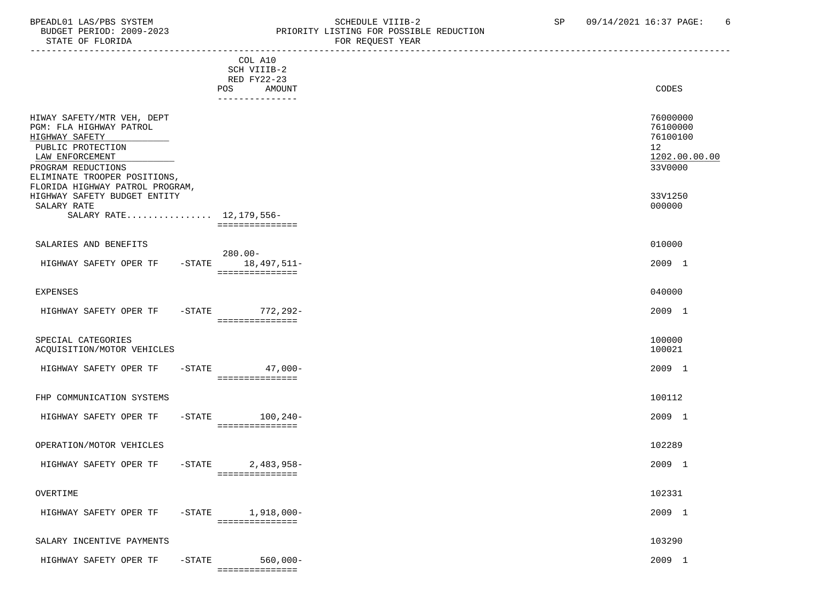#### BPEADL01 LAS/PBS SYSTEM SALLE SOME SCHEDULE VIIIB-2 SCHEDULE VIIIB-2 SP 09/14/2021 16:37 PAGE: 6<br>BUDGET PERIOD: 2009-2023 SP PRIORITY LISTING FOR POSSIBLE REDUCTION BUDGET PERIOD: 2009-2023 PRIORITY LISTING FOR POSSIBLE REDUCTION FOR REOUEST YEAR

| COL A10<br>SCH VIIIB-2<br>RED FY22-23<br><b>POS</b><br>AMOUNT<br>---------------                                                                                      | CODES                                                              |
|-----------------------------------------------------------------------------------------------------------------------------------------------------------------------|--------------------------------------------------------------------|
| HIWAY SAFETY/MTR VEH, DEPT<br>PGM: FLA HIGHWAY PATROL<br>HIGHWAY SAFETY<br>PUBLIC PROTECTION<br>LAW ENFORCEMENT<br>PROGRAM REDUCTIONS<br>ELIMINATE TROOPER POSITIONS, | 76000000<br>76100000<br>76100100<br>12<br>1202.00.00.00<br>33V0000 |
| FLORIDA HIGHWAY PATROL PROGRAM,<br>HIGHWAY SAFETY BUDGET ENTITY<br>SALARY RATE<br>SALARY RATE 12, 179, 556-<br>===============                                        | 33V1250<br>000000                                                  |
| SALARIES AND BENEFITS                                                                                                                                                 | 010000                                                             |
| $280.00 -$<br>HIGHWAY SAFETY OPER TF -STATE 18,497,511-<br>===============                                                                                            | 2009 1                                                             |
| <b>EXPENSES</b>                                                                                                                                                       | 040000                                                             |
| HIGHWAY SAFETY OPER TF<br>-STATE 772, 292-<br>===============                                                                                                         | 2009 1                                                             |
| SPECIAL CATEGORIES<br>ACQUISITION/MOTOR VEHICLES                                                                                                                      | 100000<br>100021                                                   |
| HIGHWAY SAFETY OPER TF<br>$-$ STATE 47,000 -<br>===============                                                                                                       | 2009 1                                                             |
| FHP COMMUNICATION SYSTEMS                                                                                                                                             | 100112                                                             |
| $-STATE$ 100, 240-<br>HIGHWAY SAFETY OPER TF<br>===============                                                                                                       | 2009 1                                                             |
| OPERATION/MOTOR VEHICLES                                                                                                                                              | 102289                                                             |
| $-STATE$<br>2,483,958-<br>HIGHWAY SAFETY OPER TF<br>===============                                                                                                   | 2009 1                                                             |
| OVERTIME                                                                                                                                                              | 102331                                                             |
| HIGHWAY SAFETY OPER TF<br>$-$ STATE $1,918,000-$<br>===============                                                                                                   | 2009 1                                                             |
| SALARY INCENTIVE PAYMENTS                                                                                                                                             | 103290                                                             |

HIGHWAY SAFETY OPER TF -STATE 560,000- 560 00- 2009 1 ===============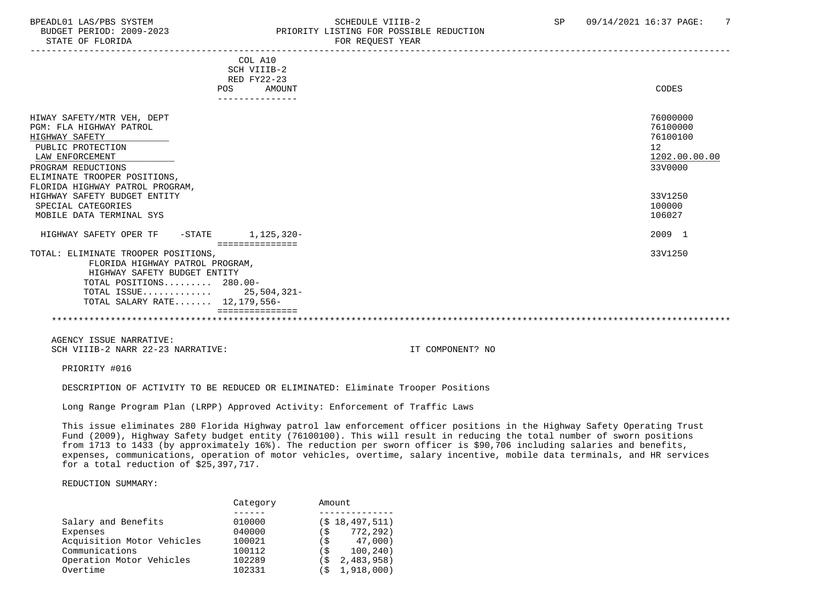## BPEADL01 LAS/PBS SYSTEM STRING THE SCHEDULE VIIIB-2 SP 09/14/2021 16:37 PAGE: 7<br>BUDGET PERIOD: 2009-2023 SP PRIORITY LISTING FOR POSSIBLE REDUCTION PRIORITY LISTING FOR POSSIBLE REDUCTION

| COL A10<br>SCH VIIIB-2<br>RED FY22-23                          |               |
|----------------------------------------------------------------|---------------|
| AMOUNT<br>POS                                                  | CODES         |
| ---------------                                                |               |
| HIWAY SAFETY/MTR VEH, DEPT                                     | 76000000      |
| PGM: FLA HIGHWAY PATROL                                        | 76100000      |
| HIGHWAY SAFETY                                                 | 76100100      |
| PUBLIC PROTECTION                                              | 12            |
| LAW ENFORCEMENT                                                | 1202.00.00.00 |
| PROGRAM REDUCTIONS                                             | 33V0000       |
| ELIMINATE TROOPER POSITIONS,                                   |               |
| FLORIDA HIGHWAY PATROL PROGRAM,                                |               |
| HIGHWAY SAFETY BUDGET ENTITY                                   | 33V1250       |
| SPECIAL CATEGORIES                                             | 100000        |
| MOBILE DATA TERMINAL SYS                                       | 106027        |
| 1,125,320-<br>HIGHWAY SAFETY OPER TF -STATE<br>=============== | 2009 1        |
| TOTAL: ELIMINATE TROOPER POSITIONS,                            | 33V1250       |
| FLORIDA HIGHWAY PATROL PROGRAM,                                |               |
| HIGHWAY SAFETY BUDGET ENTITY                                   |               |
| TOTAL POSITIONS $280.00-$                                      |               |
| TOTAL ISSUE 25,504,321-                                        |               |
| TOTAL SALARY RATE 12,179,556-                                  |               |
|                                                                |               |
|                                                                |               |

 AGENCY ISSUE NARRATIVE: SCH VIIIB-2 NARR 22-23 NARRATIVE: IT COMPONENT? NO

PRIORITY #016

DESCRIPTION OF ACTIVITY TO BE REDUCED OR ELIMINATED: Eliminate Trooper Positions

Long Range Program Plan (LRPP) Approved Activity: Enforcement of Traffic Laws

 This issue eliminates 280 Florida Highway patrol law enforcement officer positions in the Highway Safety Operating Trust Fund (2009), Highway Safety budget entity (76100100). This will result in reducing the total number of sworn positions from 1713 to 1433 (by approximately 16%). The reduction per sworn officer is \$90,706 including salaries and benefits, expenses, communications, operation of motor vehicles, overtime, salary incentive, mobile data terminals, and HR services for a total reduction of \$25,397,717.

#### REDUCTION SUMMARY:

|                            | Category | Amount            |
|----------------------------|----------|-------------------|
|                            |          |                   |
| Salary and Benefits        | 010000   | $(S$ 18,497,511)  |
| Expenses                   | 040000   | 772,292)          |
| Acquisition Motor Vehicles | 100021   | 47,000)<br>( S    |
| Communications             | 100112   | 100, 240)<br>( S  |
| Operation Motor Vehicles   | 102289   | 2,483,958)<br>(\$ |
| Overtime                   | 102331   | 1,918,000)<br>(\$ |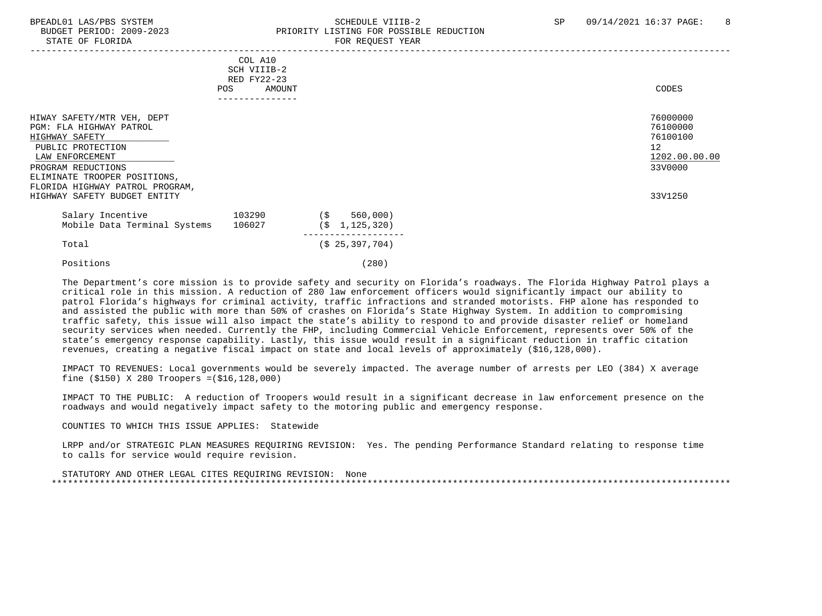#### BPEADL01 LAS/PBS SYSTEM SALL SALL SOMEDULE VIIIB-2 SP 09/14/2021 16:37 PAGE: 8 BUDGET PERIOD: 2009-2023 PRIORITY LISTING FOR POSSIBLE REDUCTION STATE OF FLORIDA FOR STATE OF STATE OF STATE OF STATE OF STATE OF STATE OF STATE OF STATE OF STATE OF STATE OF STATE OF STATE OF STATE OF STATE OF STATE OF STATE OF STATE OF STATE OF STATE OF STATE OF STATE OF STATE OF STA

|                                                                                                                                                                                                                                          | COL A10<br>SCH VIIIB-2<br>RED FY22-23<br>POS<br>AMOUNT |                                      | CODES                                                                         |
|------------------------------------------------------------------------------------------------------------------------------------------------------------------------------------------------------------------------------------------|--------------------------------------------------------|--------------------------------------|-------------------------------------------------------------------------------|
| HIWAY SAFETY/MTR VEH, DEPT<br>PGM: FLA HIGHWAY PATROL<br>HIGHWAY SAFETY<br>PUBLIC PROTECTION<br>LAW ENFORCEMENT<br>PROGRAM REDUCTIONS<br>ELIMINATE TROOPER POSITIONS,<br>FLORIDA HIGHWAY PATROL PROGRAM,<br>HIGHWAY SAFETY BUDGET ENTITY |                                                        |                                      | 76000000<br>76100000<br>76100100<br>12<br>1202.00.00.00<br>33V0000<br>33V1250 |
| Salary Incentive<br>Mobile Data Terminal Systems                                                                                                                                                                                         | 103290<br>106027                                       | 560,000)<br>(\$<br>(S)<br>1,125,320) |                                                                               |
| Total                                                                                                                                                                                                                                    |                                                        | (S 25, 397, 704)                     |                                                                               |
| Positions                                                                                                                                                                                                                                |                                                        | (280)                                |                                                                               |

 The Department's core mission is to provide safety and security on Florida's roadways. The Florida Highway Patrol plays a critical role in this mission. A reduction of 280 law enforcement officers would significantly impact our ability to patrol Florida's highways for criminal activity, traffic infractions and stranded motorists. FHP alone has responded to and assisted the public with more than 50% of crashes on Florida's State Highway System. In addition to compromising traffic safety, this issue will also impact the state's ability to respond to and provide disaster relief or homeland security services when needed. Currently the FHP, including Commercial Vehicle Enforcement, represents over 50% of the state's emergency response capability. Lastly, this issue would result in a significant reduction in traffic citation revenues, creating a negative fiscal impact on state and local levels of approximately (\$16,128,000).

 IMPACT TO REVENUES: Local governments would be severely impacted. The average number of arrests per LEO (384) X average fine (\$150) X 280 Troopers =(\$16,128,000)

 IMPACT TO THE PUBLIC: A reduction of Troopers would result in a significant decrease in law enforcement presence on the roadways and would negatively impact safety to the motoring public and emergency response.

#### COUNTIES TO WHICH THIS ISSUE APPLIES: Statewide

 LRPP and/or STRATEGIC PLAN MEASURES REQUIRING REVISION: Yes. The pending Performance Standard relating to response time to calls for service would require revision.

 STATUTORY AND OTHER LEGAL CITES REQUIRING REVISION: None \*\*\*\*\*\*\*\*\*\*\*\*\*\*\*\*\*\*\*\*\*\*\*\*\*\*\*\*\*\*\*\*\*\*\*\*\*\*\*\*\*\*\*\*\*\*\*\*\*\*\*\*\*\*\*\*\*\*\*\*\*\*\*\*\*\*\*\*\*\*\*\*\*\*\*\*\*\*\*\*\*\*\*\*\*\*\*\*\*\*\*\*\*\*\*\*\*\*\*\*\*\*\*\*\*\*\*\*\*\*\*\*\*\*\*\*\*\*\*\*\*\*\*\*\*\*\*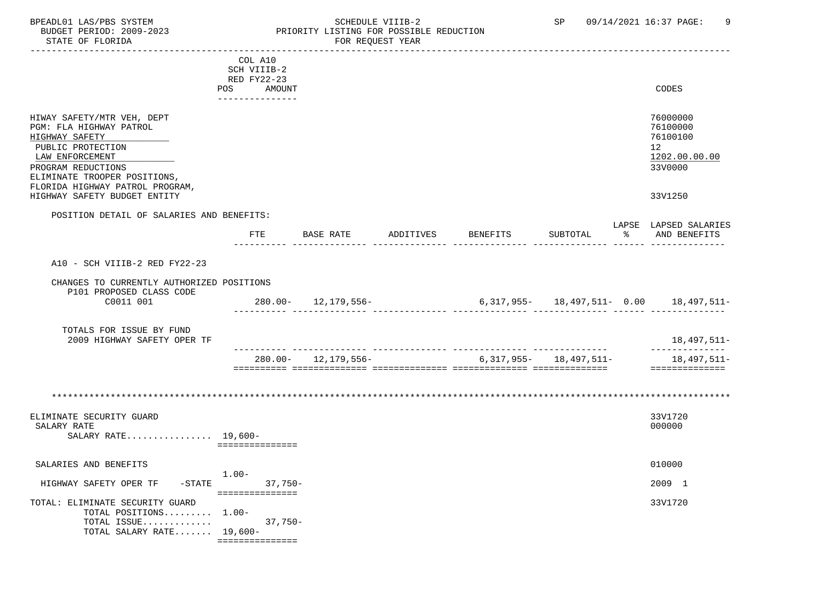#### BPEADL01 LAS/PBS SYSTEM SOHEDULE VIIIB-2 SCHEDULE VIIIB-2 SP 09/14/2021 16:37 PAGE: 9 BUDGET PERIOD: 2009-2023 PRIORITY LISTING FOR POSSIBLE REDUCTION<br>FOR REQUEST YEAR FOR REQUEST YEAR

|                                                                                                                                                                                                          | COL A10<br>SCH VIIIB-2<br>RED FY22-23 |                         |           |                                             |                            |    |                                                                                 |
|----------------------------------------------------------------------------------------------------------------------------------------------------------------------------------------------------------|---------------------------------------|-------------------------|-----------|---------------------------------------------|----------------------------|----|---------------------------------------------------------------------------------|
|                                                                                                                                                                                                          | POS<br>AMOUNT<br>---------------      |                         |           |                                             |                            |    | CODES                                                                           |
| HIWAY SAFETY/MTR VEH, DEPT<br>PGM: FLA HIGHWAY PATROL<br>HIGHWAY SAFETY<br>PUBLIC PROTECTION<br>LAW ENFORCEMENT<br>PROGRAM REDUCTIONS<br>ELIMINATE TROOPER POSITIONS,<br>FLORIDA HIGHWAY PATROL PROGRAM, |                                       |                         |           |                                             |                            |    | 76000000<br>76100000<br>76100100<br>12 <sup>°</sup><br>1202.00.00.00<br>33V0000 |
| HIGHWAY SAFETY BUDGET ENTITY                                                                                                                                                                             |                                       |                         |           |                                             |                            |    | 33V1250                                                                         |
| POSITION DETAIL OF SALARIES AND BENEFITS:                                                                                                                                                                |                                       |                         |           |                                             |                            |    | LAPSE LAPSED SALARIES                                                           |
|                                                                                                                                                                                                          | FTE                                   | BASE RATE               | ADDITIVES | BENEFITS                                    | SUBTOTAL                   | ႜၟ | AND BENEFITS                                                                    |
| A10 - SCH VIIIB-2 RED FY22-23                                                                                                                                                                            |                                       |                         |           |                                             |                            |    |                                                                                 |
| CHANGES TO CURRENTLY AUTHORIZED POSITIONS<br>P101 PROPOSED CLASS CODE                                                                                                                                    |                                       |                         |           |                                             |                            |    |                                                                                 |
| C0011 001                                                                                                                                                                                                |                                       | $280.00 - 12,179,556 -$ |           | $6,317,955 - 18,497,511 - 0.00$ 18,497,511- |                            |    |                                                                                 |
| TOTALS FOR ISSUE BY FUND<br>2009 HIGHWAY SAFETY OPER TF                                                                                                                                                  |                                       |                         |           |                                             |                            |    | 18,497,511-<br>--------------                                                   |
|                                                                                                                                                                                                          |                                       | $280.00 - 12.179.556 -$ |           |                                             | $6,317,955 - 18,497,511 -$ |    | 18,497,511-                                                                     |
| ELIMINATE SECURITY GUARD<br>SALARY RATE<br>SALARY RATE $19,600-$                                                                                                                                         | ===============                       |                         |           |                                             |                            |    | 33V1720<br>000000                                                               |
| SALARIES AND BENEFITS                                                                                                                                                                                    | $1.00 -$                              |                         |           |                                             |                            |    | 010000                                                                          |
| HIGHWAY SAFETY OPER TF                                                                                                                                                                                   | -STATE 37,750-<br>===============     |                         |           |                                             |                            |    | 2009 1                                                                          |
| TOTAL: ELIMINATE SECURITY GUARD<br>TOTAL POSITIONS 1.00-<br>TOTAL ISSUE<br>TOTAL SALARY RATE 19,600-                                                                                                     | $37,750-$<br>===============          |                         |           |                                             |                            |    | 33V1720                                                                         |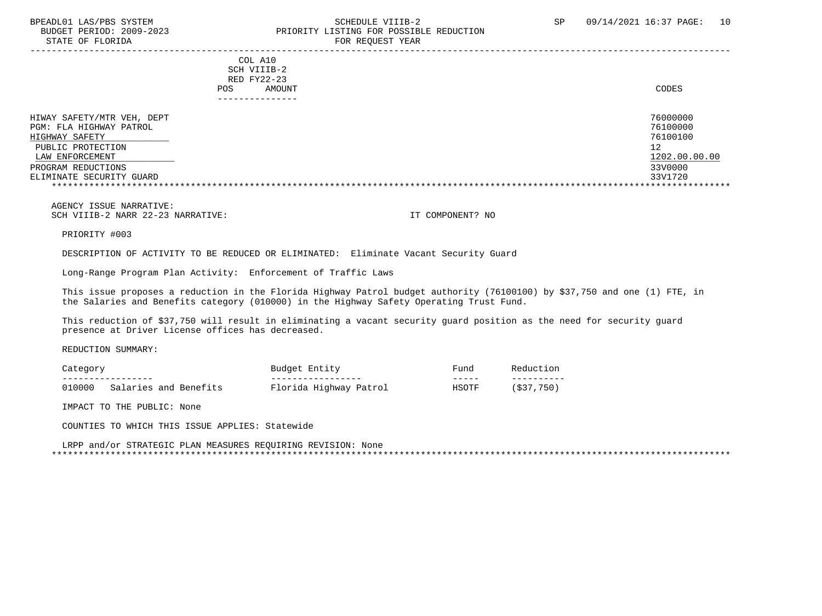STATE OF FLORIDA

# BPEADL01 LAS/PBS SYSTEM SOHEDULE VIIIB-2 SCHEDULE VIIIB-2 SP 09/14/2021 16:37 PAGE: 10<br>BUDGET PERIOD: 2009-2023 PRIORITY LISTING FOR POSSIBLE REDUCTION PRIORITY LISTING FOR POSSIBLE REDUCTION<br>FOR PEOURST VEAP

| DIAIL OF FIORIDA           | LOW WEQUEST TEAM                                        |               |
|----------------------------|---------------------------------------------------------|---------------|
|                            | COL A10<br>SCH VIIIB-2<br>RED FY22-23<br>POS.<br>AMOUNT | CODES         |
|                            | ------------                                            |               |
| HIWAY SAFETY/MTR VEH, DEPT |                                                         | 76000000      |
| PGM: FLA HIGHWAY PATROL    |                                                         | 76100000      |
| HIGHWAY SAFETY             |                                                         | 76100100      |
| PUBLIC PROTECTION          |                                                         | 12            |
| LAW ENFORCEMENT            |                                                         | 1202.00.00.00 |
| PROGRAM REDUCTIONS         |                                                         | 33V0000       |
| ELIMINATE SECURITY GUARD   |                                                         | 33V1720       |
|                            |                                                         |               |

 AGENCY ISSUE NARRATIVE: SCH VIIIB-2 NARR 22-23 NARRATIVE: IT COMPONENT? NO

PRIORITY #003

DESCRIPTION OF ACTIVITY TO BE REDUCED OR ELIMINATED: Eliminate Vacant Security Guard

Long-Range Program Plan Activity: Enforcement of Traffic Laws

 This issue proposes a reduction in the Florida Highway Patrol budget authority (76100100) by \$37,750 and one (1) FTE, in the Salaries and Benefits category (010000) in the Highway Safety Operating Trust Fund.

 This reduction of \$37,750 will result in eliminating a vacant security guard position as the need for security guard presence at Driver License offices has decreased.

REDUCTION SUMMARY:

| Category          |                       | Entity<br>Budget       | $F$ una | Reductior          |
|-------------------|-----------------------|------------------------|---------|--------------------|
| ----------------- |                       | _________________      | -----   | __________         |
| 010000            | Salaries and Benefits | Florida Highway Patrol | HSOTF   | 750<br>、ぐっつ<br>د د |

IMPACT TO THE PUBLIC: None

COUNTIES TO WHICH THIS ISSUE APPLIES: Statewide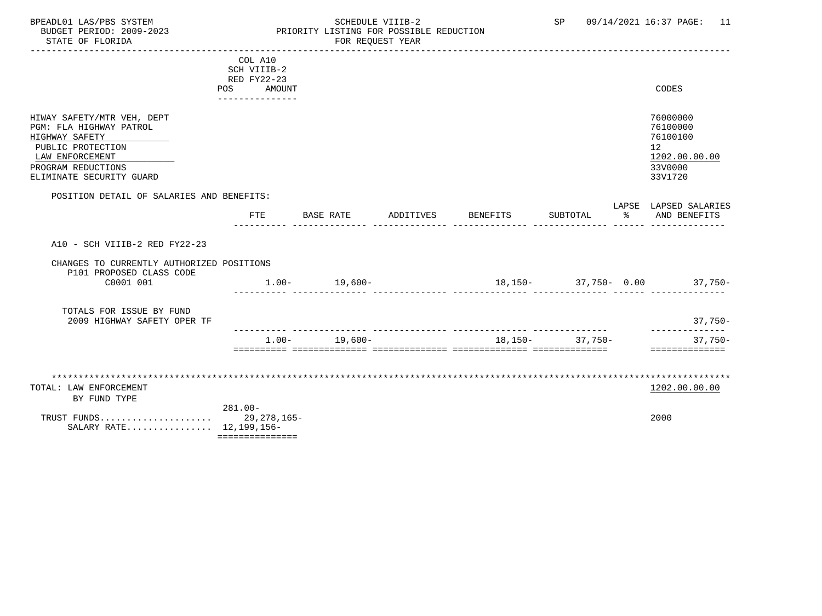#### BPEADL01 LAS/PBS SYSTEM STRING THE SCHEDULE VIIIB-2 SP 09/14/2021 16:37 PAGE: 11<br>BUDGET PERIOD: 2009-2023 PRIORITY LISTING FOR POSSIBLE REDUCTION BUDGET PERIOD: 2009-2023<br>BUDGET PERIOD: 2009-2023 PRIORITY LISTING FOR POSSIBLE REDUCTION<br>FOR REQUEST YEAR FOR REQUEST YEAR

|                                                       | COL A10                             |                   |           |                 |                       |                              |
|-------------------------------------------------------|-------------------------------------|-------------------|-----------|-----------------|-----------------------|------------------------------|
|                                                       | SCH VIIIB-2                         |                   |           |                 |                       |                              |
|                                                       | <b>RED FY22-23</b><br>POS<br>AMOUNT |                   |           |                 |                       | CODES                        |
|                                                       | ---------------                     |                   |           |                 |                       |                              |
|                                                       |                                     |                   |           |                 |                       |                              |
| HIWAY SAFETY/MTR VEH, DEPT<br>PGM: FLA HIGHWAY PATROL |                                     |                   |           |                 |                       | 76000000<br>76100000         |
| HIGHWAY SAFETY                                        |                                     |                   |           |                 |                       | 76100100                     |
| PUBLIC PROTECTION                                     |                                     |                   |           |                 |                       | 12                           |
| LAW ENFORCEMENT                                       |                                     |                   |           |                 |                       | 1202.00.00.00                |
| PROGRAM REDUCTIONS                                    |                                     |                   |           |                 |                       | 33V0000                      |
| ELIMINATE SECURITY GUARD                              |                                     |                   |           |                 |                       | 33V1720                      |
| POSITION DETAIL OF SALARIES AND BENEFITS:             |                                     |                   |           |                 |                       |                              |
|                                                       |                                     |                   |           |                 |                       | LAPSE LAPSED SALARIES        |
|                                                       | FTE                                 | BASE RATE         | ADDITIVES | <b>BENEFITS</b> | SUBTOTAL              | % AND BENEFITS               |
|                                                       |                                     |                   |           |                 |                       |                              |
| A10 - SCH VIIIB-2 RED FY22-23                         |                                     |                   |           |                 |                       |                              |
| CHANGES TO CURRENTLY AUTHORIZED POSITIONS             |                                     |                   |           |                 |                       |                              |
| P101 PROPOSED CLASS CODE                              |                                     |                   |           |                 |                       |                              |
| C0001 001                                             |                                     | $1.00 - 19,600 -$ |           |                 |                       | $18,150-37,750-0.00$ 37,750- |
|                                                       |                                     |                   |           |                 |                       |                              |
| TOTALS FOR ISSUE BY FUND                              |                                     |                   |           |                 |                       |                              |
| 2009 HIGHWAY SAFETY OPER TF                           |                                     |                   |           |                 |                       | 37,750-                      |
|                                                       |                                     |                   |           |                 |                       | --------------               |
|                                                       |                                     | $1.00 - 19,600 -$ |           |                 | $18, 150 - 37, 750 -$ | $37,750-$<br>==============  |
|                                                       |                                     |                   |           |                 |                       |                              |
|                                                       |                                     |                   |           |                 |                       |                              |
| TOTAL: LAW ENFORCEMENT                                |                                     |                   |           |                 |                       | 1202.00.00.00                |
| BY FUND TYPE                                          |                                     |                   |           |                 |                       |                              |
|                                                       | $281.00 -$                          |                   |           |                 |                       |                              |
|                                                       |                                     |                   |           |                 |                       | 2000                         |
| SALARY RATE 12,199,156-                               |                                     |                   |           |                 |                       |                              |
|                                                       | ===============                     |                   |           |                 |                       |                              |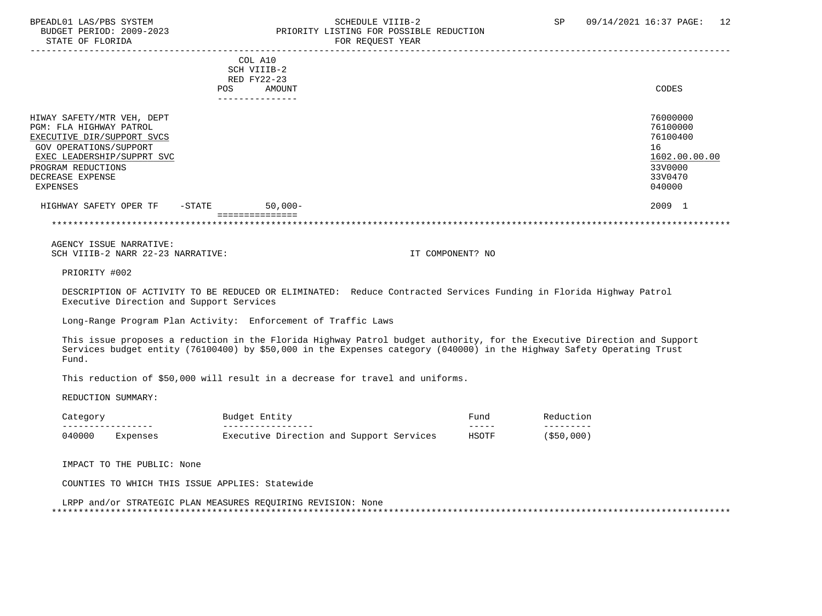STATE OF FLORIDA FOR REQUEST YEAR

# BPEADL01 LAS/PBS SYSTEM SOHEDULE VIIIB-2 SCHEDULE VIIIB-2 SP 09/14/2021 16:37 PAGE: 12 PRIORITY LISTING FOR POSSIBLE REDUCTION

|                                                                                                                                                                                                   | <b>POS</b> | COL A10<br>SCH VIIIB-2<br>RED FY22-23<br>AMOUNT<br>------------ | CODES                                                                                   |
|---------------------------------------------------------------------------------------------------------------------------------------------------------------------------------------------------|------------|-----------------------------------------------------------------|-----------------------------------------------------------------------------------------|
| HIWAY SAFETY/MTR VEH, DEPT<br>PGM: FLA HIGHWAY PATROL<br>EXECUTIVE DIR/SUPPORT SVCS<br>GOV OPERATIONS/SUPPORT<br>EXEC LEADERSHIP/SUPPRT SVC<br>PROGRAM REDUCTIONS<br>DECREASE EXPENSE<br>EXPENSES |            |                                                                 | 76000000<br>76100000<br>76100400<br>16<br>1602.00.00.00<br>33V0000<br>33V0470<br>040000 |
| HIGHWAY SAFETY OPER TF                                                                                                                                                                            | $-$ STATE  | $50,000-$<br>===============                                    | 2009 1                                                                                  |

\*\*\*\*\*\*\*\*\*\*\*\*\*\*\*\*\*\*\*\*\*\*\*\*\*\*\*\*\*\*\*\*\*\*\*\*\*\*\*\*\*\*\*\*\*\*\*\*\*\*\*\*\*\*\*\*\*\*\*\*\*\*\*\*\*\*\*\*\*\*\*\*\*\*\*\*\*\*\*\*\*\*\*\*\*\*\*\*\*\*\*\*\*\*\*\*\*\*\*\*\*\*\*\*\*\*\*\*\*\*\*\*\*\*\*\*\*\*\*\*\*\*\*\*\*\*\*

 AGENCY ISSUE NARRATIVE: SCH VIIIB-2 NARR 22-23 NARRATIVE: IT COMPONENT? NO

PRIORITY #002

 DESCRIPTION OF ACTIVITY TO BE REDUCED OR ELIMINATED: Reduce Contracted Services Funding in Florida Highway Patrol Executive Direction and Support Services

Long-Range Program Plan Activity: Enforcement of Traffic Laws

 This issue proposes a reduction in the Florida Highway Patrol budget authority, for the Executive Direction and Support Services budget entity (76100400) by \$50,000 in the Expenses category (040000) in the Highway Safety Operating Trust Fund.

This reduction of \$50,000 will result in a decrease for travel and uniforms.

REDUCTION SUMMARY:

| Category         |          | Budget Entity                            | Fund  | Reduction  |  |
|------------------|----------|------------------------------------------|-------|------------|--|
| ________________ |          | ---------------                          | _____ | --------   |  |
| 040000           | Expenses | Executive Direction and Support Services | HSOTF | (\$50,000) |  |

IMPACT TO THE PUBLIC: None

COUNTIES TO WHICH THIS ISSUE APPLIES: Statewide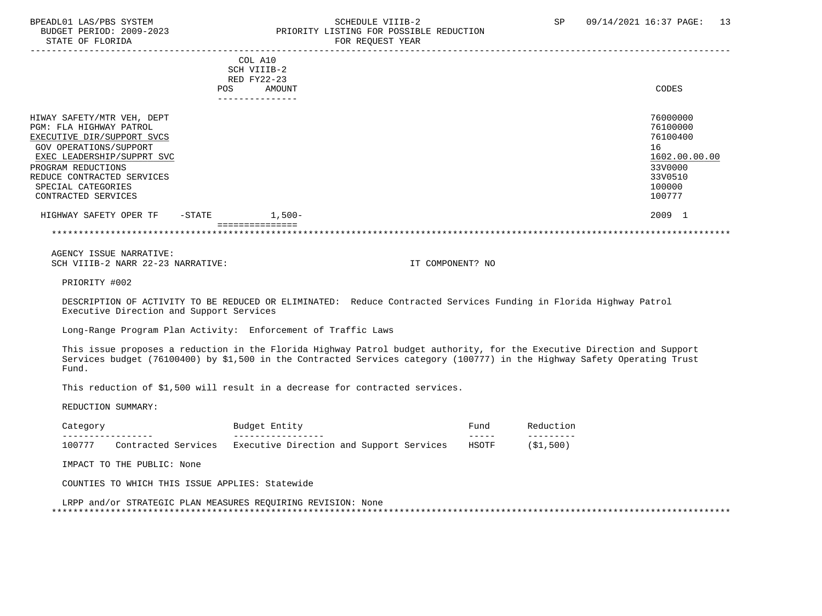#### BPEADL01 LAS/PBS SYSTEM STRING THE SCHEDULE VIIIB-2 SCHEDULE VIIIB-2 SP 09/14/2021 16:37 PAGE: 13 PRIORITY LISTING FOR POSSIBLE REDUCTION STATE OF FLORIDA FOR REQUEST YEAR FOR REQUEST YEAR

|                                                                                                                                                                                                                                              | POS       | COL A10<br>SCH VIIIB-2<br>RED FY22-23<br>AMOUNT<br>-------------- | CODES                                                                                             |
|----------------------------------------------------------------------------------------------------------------------------------------------------------------------------------------------------------------------------------------------|-----------|-------------------------------------------------------------------|---------------------------------------------------------------------------------------------------|
| HIWAY SAFETY/MTR VEH, DEPT<br>PGM: FLA HIGHWAY PATROL<br>EXECUTIVE DIR/SUPPORT SVCS<br>GOV OPERATIONS/SUPPORT<br>EXEC LEADERSHIP/SUPPRT SVC<br>PROGRAM REDUCTIONS<br>REDUCE CONTRACTED SERVICES<br>SPECIAL CATEGORIES<br>CONTRACTED SERVICES |           |                                                                   | 76000000<br>76100000<br>76100400<br>16<br>1602.00.00.00<br>33V0000<br>33V0510<br>100000<br>100777 |
| HIGHWAY SAFETY OPER TF                                                                                                                                                                                                                       | $-$ STATE | $1,500-$<br>===========                                           | 2009 1                                                                                            |

\*\*\*\*\*\*\*\*\*\*\*\*\*\*\*\*\*\*\*\*\*\*\*\*\*\*\*\*\*\*\*\*\*\*\*\*\*\*\*\*\*\*\*\*\*\*\*\*\*\*\*\*\*\*\*\*\*\*\*\*\*\*\*\*\*\*\*\*\*\*\*\*\*\*\*\*\*\*\*\*\*\*\*\*\*\*\*\*\*\*\*\*\*\*\*\*\*\*\*\*\*\*\*\*\*\*\*\*\*\*\*\*\*\*\*\*\*\*\*\*\*\*\*\*\*\*\*

 AGENCY ISSUE NARRATIVE: SCH VIIIB-2 NARR 22-23 NARRATIVE: IT COMPONENT? NO

PRIORITY #002

 DESCRIPTION OF ACTIVITY TO BE REDUCED OR ELIMINATED: Reduce Contracted Services Funding in Florida Highway Patrol Executive Direction and Support Services

Long-Range Program Plan Activity: Enforcement of Traffic Laws

 This issue proposes a reduction in the Florida Highway Patrol budget authority, for the Executive Direction and Support Services budget (76100400) by \$1,500 in the Contracted Services category (100777) in the Highway Safety Operating Trust Fund.

This reduction of \$1,500 will result in a decrease for contracted services.

REDUCTION SUMMARY:

| Jategor           |                        | Entity<br>Budget .                       | $F$ una |                   |
|-------------------|------------------------|------------------------------------------|---------|-------------------|
| _________________ |                        | _______________                          | ______  | _ _ _ _ _ _ _ _ _ |
| 100777            | Services<br>Contracted | Executive Direction and Support Services | HSOTF   | \$1,500           |

IMPACT TO THE PUBLIC: None

COUNTIES TO WHICH THIS ISSUE APPLIES: Statewide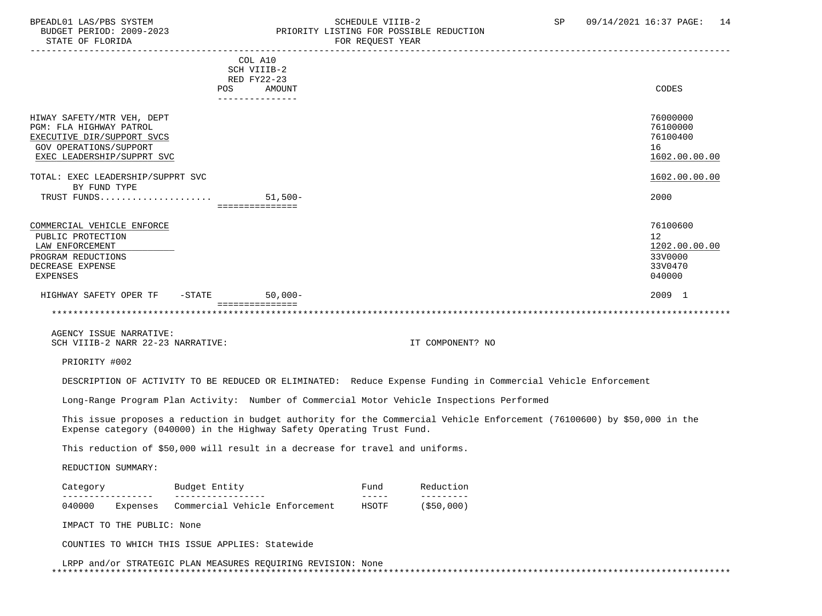#### BPEADL01 LAS/PBS SYSTEM SALL SCHEDULE VIIIB-2 SCHEDULE VIIIB-2 SP 09/14/2021 16:37 PAGE: 14 BUDGET PERIOD: 2009-2023 PRIORITY LISTING FOR POSSIBLE REDUCTION<br>STATE OF FLORIDA POR REOUEST YEAR FOR REQUEST YEAR

|                                                                                                                                             | COL A10<br>SCH VIIIB-2<br>RED FY22-23 |           |                  |                                                                 |
|---------------------------------------------------------------------------------------------------------------------------------------------|---------------------------------------|-----------|------------------|-----------------------------------------------------------------|
|                                                                                                                                             | POS<br>---------------                | AMOUNT    |                  | CODES                                                           |
| HIWAY SAFETY/MTR VEH, DEPT<br>PGM: FLA HIGHWAY PATROL<br>EXECUTIVE DIR/SUPPORT SVCS<br>GOV OPERATIONS/SUPPORT<br>EXEC LEADERSHIP/SUPPRT SVC |                                       |           |                  | 76000000<br>76100000<br>76100400<br>16<br>1602.00.00.00         |
| TOTAL: EXEC LEADERSHIP/SUPPRT SVC                                                                                                           |                                       |           |                  | 1602.00.00.00                                                   |
| BY FUND TYPE<br>TRUST FUNDS                                                                                                                 | ===============                       | $51,500-$ |                  | 2000                                                            |
| COMMERCIAL VEHICLE ENFORCE<br>PUBLIC PROTECTION<br>LAW ENFORCEMENT<br>PROGRAM REDUCTIONS<br>DECREASE EXPENSE<br><b>EXPENSES</b>             |                                       |           |                  | 76100600<br>12<br>1202.00.00.00<br>33V0000<br>33V0470<br>040000 |
| HIGHWAY SAFETY OPER TF<br>$-\mathtt{STATE}$                                                                                                 | $50,000-$                             |           |                  | 2009 1                                                          |
|                                                                                                                                             | ===============                       |           |                  |                                                                 |
| AGENCY ISSUE NARRATIVE:<br>SCH VIIIB-2 NARR 22-23 NARRATIVE:                                                                                |                                       |           | IT COMPONENT? NO |                                                                 |
| PRIORITY #002                                                                                                                               |                                       |           |                  |                                                                 |

DESCRIPTION OF ACTIVITY TO BE REDUCED OR ELIMINATED: Reduce Expense Funding in Commercial Vehicle Enforcement

Long-Range Program Plan Activity: Number of Commercial Motor Vehicle Inspections Performed

 This issue proposes a reduction in budget authority for the Commercial Vehicle Enforcement (76100600) by \$50,000 in the Expense category (040000) in the Highway Safety Operating Trust Fund.

This reduction of \$50,000 will result in a decrease for travel and uniforms.

#### REDUCTION SUMMARY:

| Category |          | Budget Entity |  |                                | Fund  | Reduction     |  |
|----------|----------|---------------|--|--------------------------------|-------|---------------|--|
|          |          |               |  |                                |       |               |  |
| 040000   | Expenses |               |  | Commercial Vehicle Enforcement | HSOTF | $($ \$50,000) |  |

IMPACT TO THE PUBLIC: None

COUNTIES TO WHICH THIS ISSUE APPLIES: Statewide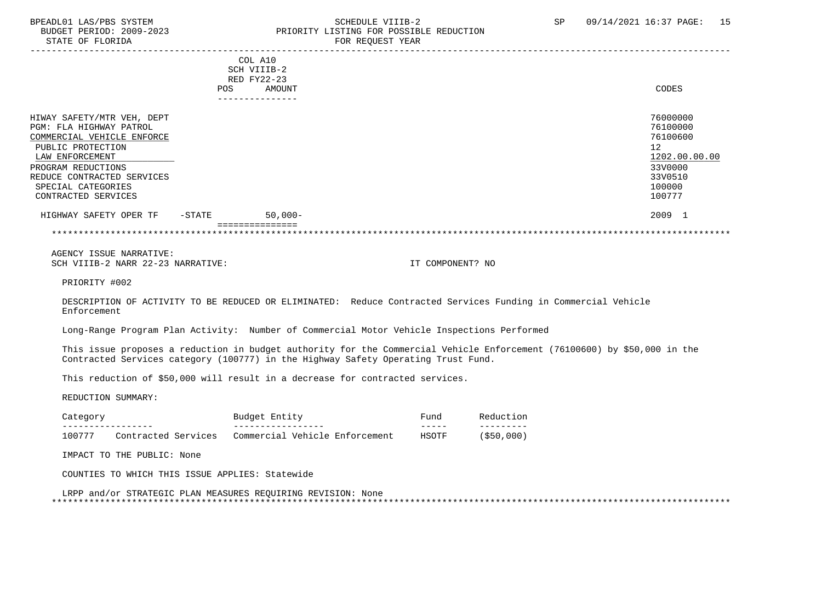#### BPEADL01 LAS/PBS SYSTEM STRING THE SCHEDULE VIIIB-2 SCHEDULE VIIIB-2 SP 09/14/2021 16:37 PAGE: 15 BUDGET PERIOD: 2009-2023<br>
STATE OF FLORIDA<br>
FOR REOUEST YEAR FOR REQUEST YEAR

|                                                                                                                                                                                                                              | POS       | COL A10<br>SCH VIIIB-2<br>RED FY22-23<br>AMOUNT<br>------------ |    | CODES                                                                                       |
|------------------------------------------------------------------------------------------------------------------------------------------------------------------------------------------------------------------------------|-----------|-----------------------------------------------------------------|----|---------------------------------------------------------------------------------------------|
| HIWAY SAFETY/MTR VEH, DEPT<br>PGM: FLA HIGHWAY PATROL<br>COMMERCIAL VEHICLE ENFORCE<br>PUBLIC PROTECTION<br>LAW ENFORCEMENT<br>PROGRAM REDUCTIONS<br>REDUCE CONTRACTED SERVICES<br>SPECIAL CATEGORIES<br>CONTRACTED SERVICES |           |                                                                 | 12 | 76000000<br>76100000<br>76100600<br>1202.00.00.00<br>33V0000<br>33V0510<br>100000<br>100777 |
| HIGHWAY SAFETY OPER TF                                                                                                                                                                                                       | $-$ STATE | $50,000-$<br>:===========                                       |    | 2009 1                                                                                      |

\*\*\*\*\*\*\*\*\*\*\*\*\*\*\*\*\*\*\*\*\*\*\*\*\*\*\*\*\*\*\*\*\*\*\*\*\*\*\*\*\*\*\*\*\*\*\*\*\*\*\*\*\*\*\*\*\*\*\*\*\*\*\*\*\*\*\*\*\*\*\*\*\*\*\*\*\*\*\*\*\*\*\*\*\*\*\*\*\*\*\*\*\*\*\*\*\*\*\*\*\*\*\*\*\*\*\*\*\*\*\*\*\*\*\*\*\*\*\*\*\*\*\*\*\*\*\*

 AGENCY ISSUE NARRATIVE: SCH VIIIB-2 NARR 22-23 NARRATIVE: IT COMPONENT? NO

PRIORITY #002

 DESCRIPTION OF ACTIVITY TO BE REDUCED OR ELIMINATED: Reduce Contracted Services Funding in Commercial Vehicle Enforcement

Long-Range Program Plan Activity: Number of Commercial Motor Vehicle Inspections Performed

 This issue proposes a reduction in budget authority for the Commercial Vehicle Enforcement (76100600) by \$50,000 in the Contracted Services category (100777) in the Highway Safety Operating Trust Fund.

This reduction of \$50,000 will result in a decrease for contracted services.

REDUCTION SUMMARY:

| Category          |                     | Budget Entity |                |  | ਸund                           | Reduction |           |
|-------------------|---------------------|---------------|----------------|--|--------------------------------|-----------|-----------|
| ----------------- |                     |               | -------------- |  |                                | _____     | --------- |
| 100777            | Contracted Services |               |                |  | Commercial Vehicle Enforcement | HSOTF     | \$50,000  |

IMPACT TO THE PUBLIC: None

COUNTIES TO WHICH THIS ISSUE APPLIES: Statewide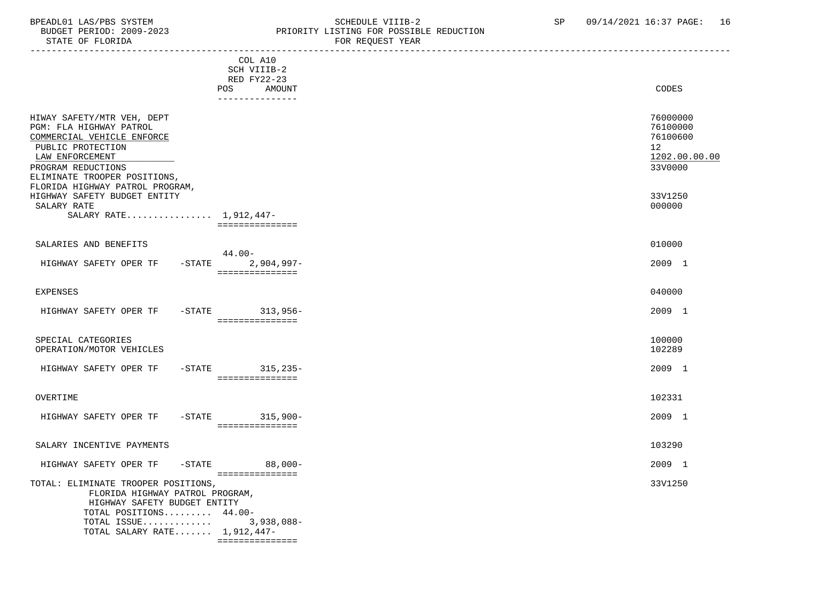# BPEADL01 LAS/PBS SYSTEM STRING THE SCHEDULE VIIIB-2 SCHEDULE VIIIB-2 SP 09/14/2021 16:37 PAGE: 16<br>BUDGET PERIOD: 2009-2023 PRIORITY LISTING FOR POSSIBLE REDUCTION PRIORITY LISTING FOR POSSIBLE REDUCTION<br>FOR REQUEST YEAR

|                                                                                                                                                                                              | COL A10<br>SCH VIIIB-2<br>RED FY22-23<br>POS<br>AMOUNT<br>--------------- | CODES                                                                           |
|----------------------------------------------------------------------------------------------------------------------------------------------------------------------------------------------|---------------------------------------------------------------------------|---------------------------------------------------------------------------------|
| HIWAY SAFETY/MTR VEH, DEPT<br>PGM: FLA HIGHWAY PATROL<br>COMMERCIAL VEHICLE ENFORCE<br>PUBLIC PROTECTION<br>LAW ENFORCEMENT<br>PROGRAM REDUCTIONS<br>ELIMINATE TROOPER POSITIONS,            |                                                                           | 76000000<br>76100000<br>76100600<br>12 <sup>°</sup><br>1202.00.00.00<br>33V0000 |
| FLORIDA HIGHWAY PATROL PROGRAM,<br>HIGHWAY SAFETY BUDGET ENTITY<br>SALARY RATE<br>SALARY RATE 1,912,447-                                                                                     | ===============                                                           | 33V1250<br>000000                                                               |
| SALARIES AND BENEFITS                                                                                                                                                                        |                                                                           | 010000                                                                          |
| HIGHWAY SAFETY OPER TF                                                                                                                                                                       | $44.00 -$<br>-STATE 2,904,997-<br>===============                         | 2009 1                                                                          |
| <b>EXPENSES</b>                                                                                                                                                                              |                                                                           | 040000                                                                          |
| HIGHWAY SAFETY OPER TF                                                                                                                                                                       | -STATE 313,956-<br>- ===============                                      | 2009 1                                                                          |
| SPECIAL CATEGORIES<br>OPERATION/MOTOR VEHICLES                                                                                                                                               |                                                                           | 100000<br>102289                                                                |
| HIGHWAY SAFETY OPER TF                                                                                                                                                                       | $-STATE$ 315, 235-<br>-===============                                    | 2009 1                                                                          |
| OVERTIME                                                                                                                                                                                     |                                                                           | 102331                                                                          |
| HIGHWAY SAFETY OPER TF                                                                                                                                                                       | -STATE 315,900-<br>================                                       | 2009 1                                                                          |
| SALARY INCENTIVE PAYMENTS                                                                                                                                                                    |                                                                           | 103290                                                                          |
| $-$ STATE<br>HIGHWAY SAFETY OPER TF                                                                                                                                                          | $88,000-$<br>===============                                              | 2009 1                                                                          |
| TOTAL: ELIMINATE TROOPER POSITIONS,<br>FLORIDA HIGHWAY PATROL PROGRAM,<br>HIGHWAY SAFETY BUDGET ENTITY<br>TOTAL POSITIONS 44.00-<br>TOTAL ISSUE 3,938,088-<br>TOTAL SALARY RATE $1,912,447-$ | ================                                                          | 33V1250                                                                         |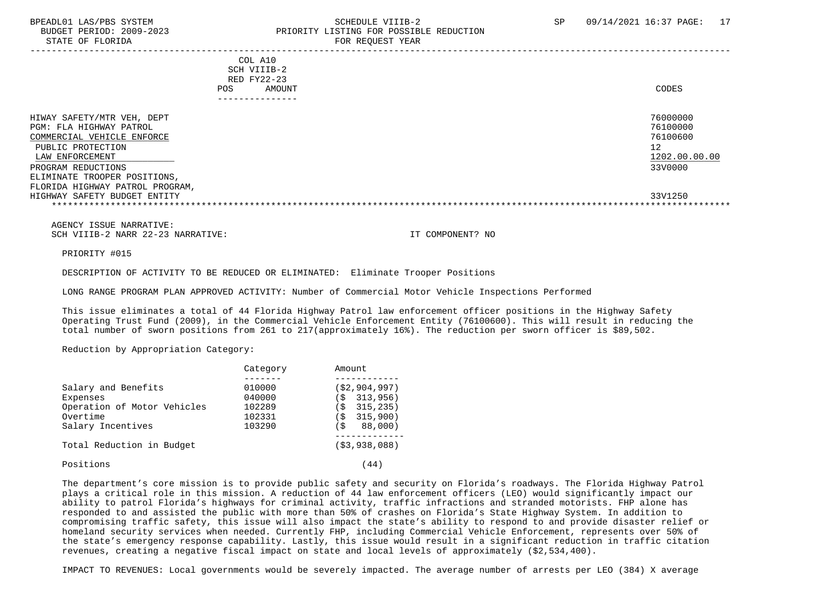STATE OF FLORIDA FOR REQUEST YEAR FOR REQUEST YEAR

### BPEADL01 LAS/PBS SYSTEM SALL STRINGER STRINGER STRINGER SCHEDULE VIIIB-2 SP 09/14/2021 16:37 PAGE: 17 BUDGET PERIOD: 2009-2023 PRIORITY LISTING FOR POSSIBLE REDUCTION

|                                                                                                                                                                                                                                                      | POS. | COL A10<br>SCH VIIIB-2<br>RED FY22-23<br>AMOUNT<br>------------ | CODES                                                                         |
|------------------------------------------------------------------------------------------------------------------------------------------------------------------------------------------------------------------------------------------------------|------|-----------------------------------------------------------------|-------------------------------------------------------------------------------|
| HIWAY SAFETY/MTR VEH, DEPT<br>PGM: FLA HIGHWAY PATROL<br>COMMERCIAL VEHICLE ENFORCE<br>PUBLIC PROTECTION<br>LAW ENFORCEMENT<br>PROGRAM REDUCTIONS<br>ELIMINATE TROOPER POSITIONS,<br>FLORIDA HIGHWAY PATROL PROGRAM,<br>HIGHWAY SAFETY BUDGET ENTITY |      |                                                                 | 76000000<br>76100000<br>76100600<br>12<br>1202.00.00.00<br>33V0000<br>33V1250 |

 AGENCY ISSUE NARRATIVE: SCH VIIIB-2 NARR 22-23 NARRATIVE: IT COMPONENT? NO

PRIORITY #015

DESCRIPTION OF ACTIVITY TO BE REDUCED OR ELIMINATED: Eliminate Trooper Positions

LONG RANGE PROGRAM PLAN APPROVED ACTIVITY: Number of Commercial Motor Vehicle Inspections Performed

 This issue eliminates a total of 44 Florida Highway Patrol law enforcement officer positions in the Highway Safety Operating Trust Fund (2009), in the Commercial Vehicle Enforcement Entity (76100600). This will result in reducing the total number of sworn positions from 261 to 217(approximately 16%). The reduction per sworn officer is \$89,502.

Reduction by Appropriation Category:

|                             | Category | Amount          |
|-----------------------------|----------|-----------------|
|                             |          |                 |
| Salary and Benefits         | 010000   | (52, 904, 997)  |
| Expenses                    | 040000   | 313,956)<br>`S  |
| Operation of Motor Vehicles | 102289   | 315,235)<br>ิร  |
| Overtime                    | 102331   | 315,900)<br>`S  |
| Salary Incentives           | 103290   | 88,000)<br>' \$ |
| Total Reduction in Budget   |          | (53, 938, 088)  |
| Positions                   |          | 44              |

 The department's core mission is to provide public safety and security on Florida's roadways. The Florida Highway Patrol plays a critical role in this mission. A reduction of 44 law enforcement officers (LEO) would significantly impact our ability to patrol Florida's highways for criminal activity, traffic infractions and stranded motorists. FHP alone has responded to and assisted the public with more than 50% of crashes on Florida's State Highway System. In addition to compromising traffic safety, this issue will also impact the state's ability to respond to and provide disaster relief or homeland security services when needed. Currently FHP, including Commercial Vehicle Enforcement, represents over 50% of the state's emergency response capability. Lastly, this issue would result in a significant reduction in traffic citation revenues, creating a negative fiscal impact on state and local levels of approximately (\$2,534,400).

IMPACT TO REVENUES: Local governments would be severely impacted. The average number of arrests per LEO (384) X average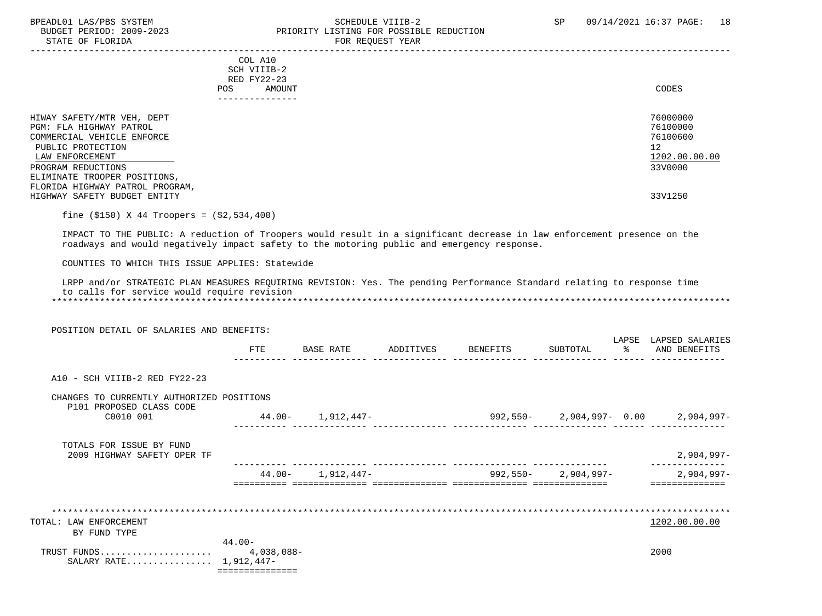#### BPEADL01 LAS/PBS SYSTEM SCHEDULE VIIIB-2 SCHEDULE VIIIB-2 SP 09/14/2021 16:37 PAGE: 18<br>BUDGET PERIOD: 2009-2023 PRIORITY LISTING FOR POSSIBLE REDUCTION BUDGET PERIOD: 2009-2023<br>
STATE OF FLORIDA<br>
FOR REQUEST YEAR
FOR REQUEST TEAR FOR REQUEST YEAR

-----------------------------------------------------------------------------------------------------------------------------------

 COL A10 SCH VIIIB-2 RED FY22-23<br>POS AMOUNT POS AMOUNT CODES ---------------

| HIWAY SAFETY/MTR VEH, DEPT      | 76000000      |
|---------------------------------|---------------|
| PGM: FLA HIGHWAY PATROL         | 76100000      |
| COMMERCIAL VEHICLE ENFORCE      | 76100600      |
| PUBLIC PROTECTION               | 12            |
| LAW ENFORCEMENT                 | 1202.00.00.00 |
| PROGRAM REDUCTIONS              | 33V0000       |
| ELIMINATE TROOPER POSITIONS,    |               |
| FLORIDA HIGHWAY PATROL PROGRAM, |               |
| HIGHWAY SAFETY BUDGET ENTITY    | 33V1250       |
|                                 |               |

fine (\$150) X 44 Troopers = (\$2,534,400)

 IMPACT TO THE PUBLIC: A reduction of Troopers would result in a significant decrease in law enforcement presence on the roadways and would negatively impact safety to the motoring public and emergency response.

COUNTIES TO WHICH THIS ISSUE APPLIES: Statewide

|                                             |  |  |  |  | LRPP and/or STRATEGIC PLAN MEASURES REOUIRING REVISION: Yes. The pending Performance Standard relating to response time |  |  |  |
|---------------------------------------------|--|--|--|--|-------------------------------------------------------------------------------------------------------------------------|--|--|--|
| to calls for service would require revision |  |  |  |  |                                                                                                                         |  |  |  |
|                                             |  |  |  |  |                                                                                                                         |  |  |  |

| POSITION DETAIL OF SALARIES AND BENEFITS:                             |                         |                       |                    |                         |             |                                                        |
|-----------------------------------------------------------------------|-------------------------|-----------------------|--------------------|-------------------------|-------------|--------------------------------------------------------|
|                                                                       | FTE                     | BASE RATE             | ADDITIVES BENEFITS | SUBTOTAL                | LAPSE<br>ႜႜ | LAPSED SALARIES<br>AND BENEFITS                        |
| A10 - SCH VIIIB-2 RED FY22-23                                         |                         |                       |                    |                         |             |                                                        |
| CHANGES TO CURRENTLY AUTHORIZED POSITIONS<br>P101 PROPOSED CLASS CODE |                         |                       |                    |                         |             |                                                        |
| C0010 001                                                             |                         | $44.00 - 1,912,447 -$ |                    |                         |             | 992,550-        2,904,997-    0.00          2,904,997- |
| TOTALS FOR ISSUE BY FUND<br>2009 HIGHWAY SAFETY OPER TF               |                         |                       |                    |                         |             | $2,904,997-$                                           |
|                                                                       |                         | $44.00 - 1,912,447 -$ |                    | $992,550 - 2,904,997 -$ |             | $2,904,997-$                                           |
|                                                                       |                         |                       |                    |                         |             | =========                                              |
|                                                                       |                         |                       |                    |                         |             |                                                        |
| TOTAL: LAW ENFORCEMENT                                                |                         |                       |                    |                         |             | 1202.00.00.00                                          |
| BY FUND TYPE                                                          |                         |                       |                    |                         |             |                                                        |
| TRUST FUNDS<br>SALARY RATE 1,912,447-                                 | $44.00 -$<br>4,038,088- |                       |                    |                         |             | 2000                                                   |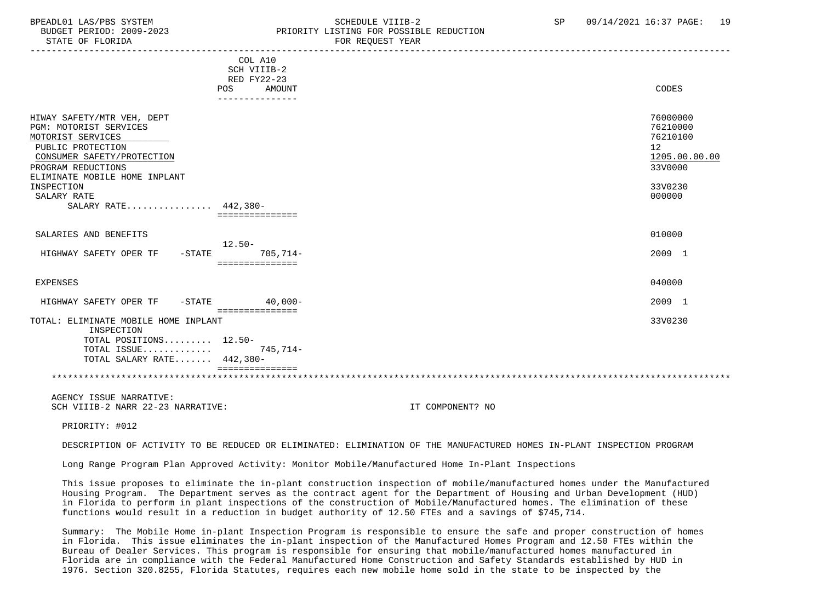### BPEADL01 LAS/PBS SYSTEM SALL SALL SOMEDULE VIIIB-2 SP 09/14/2021 16:37 PAGE: 19 BUDGET PERIOD: 2009-2023 PRIORITY LISTING FOR POSSIBLE REDUCTION

|                                      | COL A10         |    |               |
|--------------------------------------|-----------------|----|---------------|
|                                      | SCH VIIIB-2     |    |               |
|                                      | RED FY22-23     |    |               |
|                                      | POS<br>AMOUNT   |    | CODES         |
|                                      | --------------- |    |               |
|                                      |                 |    |               |
| HIWAY SAFETY/MTR VEH, DEPT           |                 |    | 76000000      |
| PGM: MOTORIST SERVICES               |                 |    | 76210000      |
| MOTORIST SERVICES                    |                 |    | 76210100      |
| PUBLIC PROTECTION                    |                 | 12 |               |
| CONSUMER SAFETY/PROTECTION           |                 |    | 1205.00.00.00 |
| PROGRAM REDUCTIONS                   |                 |    | 33V0000       |
| ELIMINATE MOBILE HOME INPLANT        |                 |    |               |
| INSPECTION                           |                 |    | 33V0230       |
| SALARY RATE                          |                 |    | 000000        |
| SALARY RATE 442,380-                 |                 |    |               |
|                                      | =============== |    |               |
|                                      |                 |    |               |
| SALARIES AND BENEFITS                |                 |    | 010000        |
|                                      | $12.50 -$       |    |               |
| HIGHWAY SAFETY OPER TF<br>$-$ STATE  | $705,714-$      |    | 2009 1        |
|                                      | =============== |    |               |
|                                      |                 |    |               |
| <b>EXPENSES</b>                      |                 |    | 040000        |
| HIGHWAY SAFETY OPER TF<br>$-$ STATE  | $40.000 -$      |    | 2009 1        |
|                                      | =============== |    |               |
| TOTAL: ELIMINATE MOBILE HOME INPLANT |                 |    | 33V0230       |
| INSPECTION                           |                 |    |               |
| TOTAL POSITIONS 12.50-               |                 |    |               |
| TOTAL ISSUE                          | 745,714-        |    |               |
| TOTAL SALARY RATE 442,380-           |                 |    |               |
|                                      |                 |    |               |
|                                      |                 |    |               |
|                                      |                 |    |               |

 AGENCY ISSUE NARRATIVE: SCH VIIIR-2 NARR 22-23 NARRATIVE: IT COMPONENT? NO

PRIORITY: #012

DESCRIPTION OF ACTIVITY TO BE REDUCED OR ELIMINATED: ELIMINATION OF THE MANUFACTURED HOMES IN-PLANT INSPECTION PROGRAM

Long Range Program Plan Approved Activity: Monitor Mobile/Manufactured Home In-Plant Inspections

 This issue proposes to eliminate the in-plant construction inspection of mobile/manufactured homes under the Manufactured Housing Program. The Department serves as the contract agent for the Department of Housing and Urban Development (HUD) in Florida to perform in plant inspections of the construction of Mobile/Manufactured homes. The elimination of these functions would result in a reduction in budget authority of 12.50 FTEs and a savings of \$745,714.

 Summary: The Mobile Home in-plant Inspection Program is responsible to ensure the safe and proper construction of homes in Florida. This issue eliminates the in-plant inspection of the Manufactured Homes Program and 12.50 FTEs within the Bureau of Dealer Services. This program is responsible for ensuring that mobile/manufactured homes manufactured in Florida are in compliance with the Federal Manufactured Home Construction and Safety Standards established by HUD in 1976. Section 320.8255, Florida Statutes, requires each new mobile home sold in the state to be inspected by the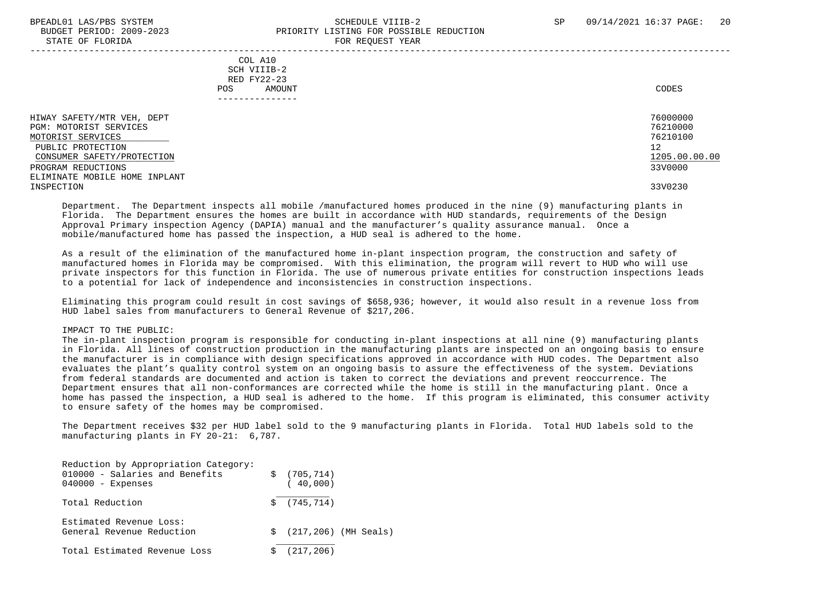PROGRAM REDUCTIONS

#### BPEADL01 LAS/PBS SYSTEM SALL SALL SOMEDULE VIIIB-2 SP 09/14/2021 16:37 PAGE: 20 BUDGET PERIOD: 2009-2023 PRIORITY LISTING FOR POSSIBLE REDUCTION STATE OF FLORIDA FOR REQUEST YEAR

 ----------------------------------------------------------------------------------------------------------------------------------- COL A10 SCH VIIIB-2 RED FY22-23 POS AMOUNT CODES --------------- HIWAY SAFETY/MTR VEH, DEPT 76000000 PGM: MOTORIST SERVICES 76210000 MOTORIST SERVICES 76210100 \_\_\_\_\_\_\_\_\_\_\_\_\_\_\_\_\_\_\_\_\_\_\_\_\_\_ PUBLIC PROTECTION 12<br>CONSUMER SAFETY/PROTECTION 1200.00 CONSUMER SAFETY/PROTECTION 1205.00 ELIMINATE MOBILE HOME INPLANT INSPECTION 33V0230

 Department. The Department inspects all mobile /manufactured homes produced in the nine (9) manufacturing plants in Florida. The Department ensures the homes are built in accordance with HUD standards, requirements of the Design Approval Primary inspection Agency (DAPIA) manual and the manufacturer's quality assurance manual. Once a mobile/manufactured home has passed the inspection, a HUD seal is adhered to the home.

 As a result of the elimination of the manufactured home in-plant inspection program, the construction and safety of manufactured homes in Florida may be compromised. With this elimination, the program will revert to HUD who will use private inspectors for this function in Florida. The use of numerous private entities for construction inspections leads to a potential for lack of independence and inconsistencies in construction inspections.

 Eliminating this program could result in cost savings of \$658,936; however, it would also result in a revenue loss from HUD label sales from manufacturers to General Revenue of \$217,206.

#### IMPACT TO THE PUBLIC:

 The in-plant inspection program is responsible for conducting in-plant inspections at all nine (9) manufacturing plants in Florida. All lines of construction production in the manufacturing plants are inspected on an ongoing basis to ensure the manufacturer is in compliance with design specifications approved in accordance with HUD codes. The Department also evaluates the plant's quality control system on an ongoing basis to assure the effectiveness of the system. Deviations from federal standards are documented and action is taken to correct the deviations and prevent reoccurrence. The Department ensures that all non-conformances are corrected while the home is still in the manufacturing plant. Once a home has passed the inspection, a HUD seal is adhered to the home. If this program is eliminated, this consumer activity to ensure safety of the homes may be compromised.

 The Department receives \$32 per HUD label sold to the 9 manufacturing plants in Florida. Total HUD labels sold to the manufacturing plants in FY 20-21: 6,787.

| Reduction by Appropriation Category:<br>010000 - Salaries and Benefits<br>$040000 -$ Expenses | S. | (705, 714)<br>(40,000) |                           |
|-----------------------------------------------------------------------------------------------|----|------------------------|---------------------------|
| Total Reduction                                                                               |    | \$ (745, 714)          |                           |
| Estimated Revenue Loss:<br>General Revenue Reduction                                          |    |                        | $$ (217, 206)$ (MH Seals) |
| Total Estimated Revenue Loss                                                                  |    | (217, 206)             |                           |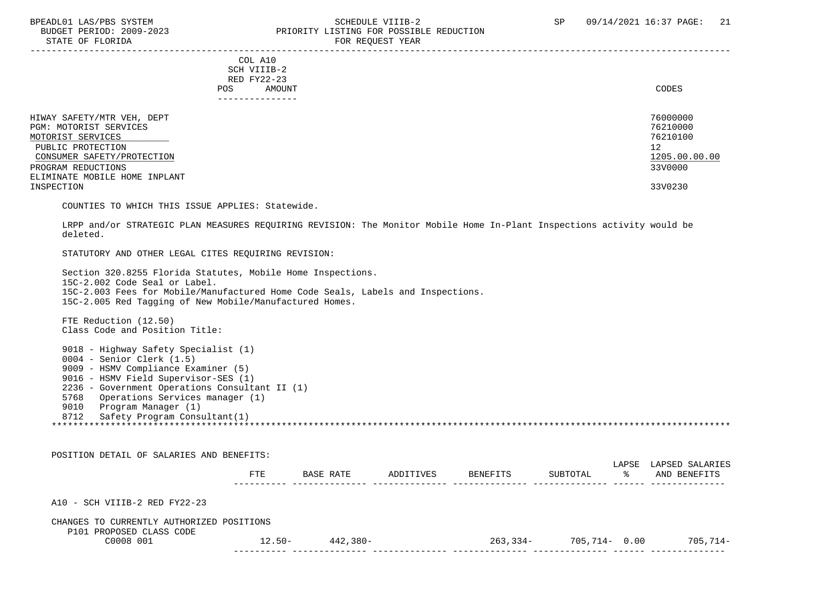#### BPEADL01 LAS/PBS SYSTEM SOHEDULE VIIIB-2 SCHEDULE VIIIB-2 SP 09/14/2021 16:37 PAGE: 21 PRIORITY LISTING FOR POSSIBLE REDUCTION STATE OF FLORIDA FOR STATE OF STATE OF STATE OF STATE OF STATE ASSESSMENT OF STATE OF STATE OF STATE OF STATE O

| POS.                                                                                                                                                                                              | COL A10<br>SCH VIIIB-2<br>RED FY22-23<br>AMOUNT<br>--------------- | CODES                                                                         |
|---------------------------------------------------------------------------------------------------------------------------------------------------------------------------------------------------|--------------------------------------------------------------------|-------------------------------------------------------------------------------|
| HIWAY SAFETY/MTR VEH, DEPT<br>PGM: MOTORIST SERVICES<br>MOTORIST SERVICES<br>PUBLIC PROTECTION<br>CONSUMER SAFETY/PROTECTION<br>PROGRAM REDUCTIONS<br>ELIMINATE MOBILE HOME INPLANT<br>INSPECTION |                                                                    | 76000000<br>76210000<br>76210100<br>12<br>1205.00.00.00<br>33V0000<br>33V0230 |

COUNTIES TO WHICH THIS ISSUE APPLIES: Statewide.

 LRPP and/or STRATEGIC PLAN MEASURES REQUIRING REVISION: The Monitor Mobile Home In-Plant Inspections activity would be deleted.

STATUTORY AND OTHER LEGAL CITES REQUIRING REVISION:

 Section 320.8255 Florida Statutes, Mobile Home Inspections. 15C-2.002 Code Seal or Label. 15C-2.003 Fees for Mobile/Manufactured Home Code Seals, Labels and Inspections. 15C-2.005 Red Tagging of New Mobile/Manufactured Homes.

 FTE Reduction (12.50) Class Code and Position Title:

 9018 - Highway Safety Specialist (1) 0004 - Senior Clerk (1.5) 9009 - HSMV Compliance Examiner (5) 9016 - HSMV Field Supervisor-SES (1) 2236 - Government Operations Consultant II (1) 5768 Operations Services manager (1) 9010 Program Manager (1) 8712 Safety Program Consultant(1) \*\*\*\*\*\*\*\*\*\*\*\*\*\*\*\*\*\*\*\*\*\*\*\*\*\*\*\*\*\*\*\*\*\*\*\*\*\*\*\*\*\*\*\*\*\*\*\*\*\*\*\*\*\*\*\*\*\*\*\*\*\*\*\*\*\*\*\*\*\*\*\*\*\*\*\*\*\*\*\*\*\*\*\*\*\*\*\*\*\*\*\*\*\*\*\*\*\*\*\*\*\*\*\*\*\*\*\*\*\*\*\*\*\*\*\*\*\*\*\*\*\*\*\*\*\*\*

| POSITION DETAIL OF SALARIES AND BENEFITS:                             |           |             |           |          |               |            |                                 |
|-----------------------------------------------------------------------|-----------|-------------|-----------|----------|---------------|------------|---------------------------------|
|                                                                       | FTE       | BASE RATE   | ADDITIVES | BENEFITS | SUBTOTAL      | LAPSE<br>ႜ | LAPSED SALARIES<br>AND BENEFITS |
| $A10 - SCH VIIIB-2 RED FY22-23$                                       |           |             |           |          |               |            |                                 |
| CHANGES TO CURRENTLY AUTHORIZED POSITIONS<br>P101 PROPOSED CLASS CODE |           |             |           |          |               |            |                                 |
| C0008 001                                                             | $12.50 -$ | $442.380 -$ |           | 263,334- | 705,714- 0.00 |            | 705,714-                        |
|                                                                       |           |             |           |          |               |            |                                 |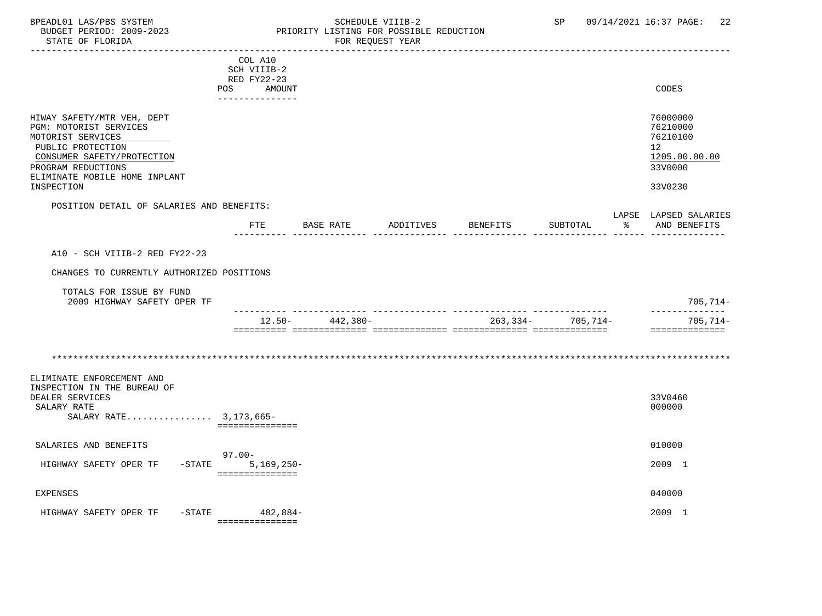#### BPEADL01 LAS/PBS SYSTEM STRING THE SCHEDULE VIIIB-2 SP 09/14/2021 16:37 PAGE: 22<br>BUDGET PERIOD: 2009-2023 PRIORITY LISTING FOR POSSIBLE REDUCTION BUDGET PERIOD: 2009-2023 PRIORITY LISTING FOR POSSIBLE REDUCTION FOR REQUEST YEAR

|                                                                                                                                                                                                   | COL A10               | SCH VIIIB-2<br>RED FY22-23<br>POS AMOUNT<br>--------------- |           |           |          |                   |    | CODES                                                                                      |
|---------------------------------------------------------------------------------------------------------------------------------------------------------------------------------------------------|-----------------------|-------------------------------------------------------------|-----------|-----------|----------|-------------------|----|--------------------------------------------------------------------------------------------|
| HIWAY SAFETY/MTR VEH, DEPT<br>PGM: MOTORIST SERVICES<br>MOTORIST SERVICES<br>PUBLIC PROTECTION<br>CONSUMER SAFETY/PROTECTION<br>PROGRAM REDUCTIONS<br>ELIMINATE MOBILE HOME INPLANT<br>INSPECTION |                       |                                                             |           |           |          |                   |    | 76000000<br>76210000<br>76210100<br>12 <sup>7</sup><br>1205.00.00.00<br>33V0000<br>33V0230 |
| POSITION DETAIL OF SALARIES AND BENEFITS:                                                                                                                                                         |                       | <b>FTE</b>                                                  | BASE RATE | ADDITIVES | BENEFITS | SUBTOTAL          | ႜೢ | LAPSE LAPSED SALARIES<br>AND BENEFITS                                                      |
| A10 - SCH VIIIB-2 RED FY22-23<br>CHANGES TO CURRENTLY AUTHORIZED POSITIONS<br>TOTALS FOR ISSUE BY FUND                                                                                            |                       |                                                             |           |           |          |                   |    | $705, 714-$                                                                                |
| 2009 HIGHWAY SAFETY OPER TF                                                                                                                                                                       |                       | 12.50-                                                      | 442,380-  |           |          | 263,334- 705,714- |    | --------------<br>$705, 714-$<br>==============                                            |
| ELIMINATE ENFORCEMENT AND<br>INSPECTION IN THE BUREAU OF<br>DEALER SERVICES<br>SALARY RATE<br>SALARY RATE 3, 173, 665-                                                                            |                       | ===============                                             |           |           |          |                   |    | 33V0460<br>000000                                                                          |
| SALARIES AND BENEFITS                                                                                                                                                                             | $97.00 -$             |                                                             |           |           |          |                   |    | 010000                                                                                     |
| HIGHWAY SAFETY OPER TF                                                                                                                                                                            | $-STATE$ 5, 169, 250- | ===============                                             |           |           |          |                   |    | 2009 1                                                                                     |
| <b>EXPENSES</b>                                                                                                                                                                                   |                       |                                                             |           |           |          |                   |    | 040000                                                                                     |
| HIGHWAY SAFETY OPER TF -STATE 482,884-                                                                                                                                                            | ================      |                                                             |           |           |          |                   |    | 2009 1                                                                                     |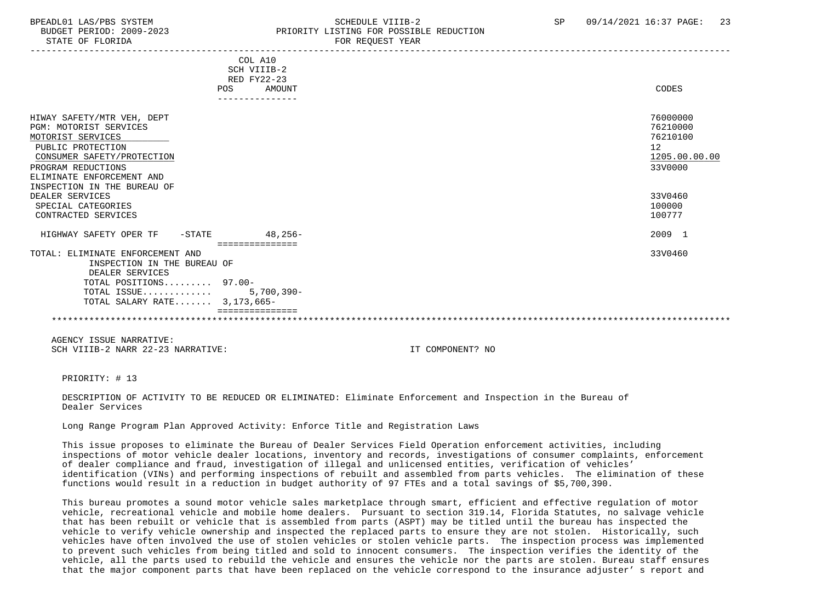# BPEADL01 LAS/PBS SYSTEM SALL SALL SOMEDULE VIIIB-2 SP 09/14/2021 16:37 PAGE: 23 BUDGET PERIOD: 2009-2023 PRIORITY LISTING FOR POSSIBLE REDUCTION

|                                                                                                                                                                                                                       | COL A10<br>SCH VIIIB-2<br><b>RED FY22-23</b><br>AMOUNT<br><b>POS</b> | CODES                                                              |
|-----------------------------------------------------------------------------------------------------------------------------------------------------------------------------------------------------------------------|----------------------------------------------------------------------|--------------------------------------------------------------------|
|                                                                                                                                                                                                                       | ---------------                                                      |                                                                    |
| HIWAY SAFETY/MTR VEH, DEPT<br><b>PGM: MOTORIST SERVICES</b><br>MOTORIST SERVICES<br>PUBLIC PROTECTION<br>CONSUMER SAFETY/PROTECTION<br>PROGRAM REDUCTIONS<br>ELIMINATE ENFORCEMENT AND<br>INSPECTION IN THE BUREAU OF |                                                                      | 76000000<br>76210000<br>76210100<br>12<br>1205.00.00.00<br>33V0000 |
| DEALER SERVICES                                                                                                                                                                                                       |                                                                      | 33V0460                                                            |
| SPECIAL CATEGORIES                                                                                                                                                                                                    |                                                                      | 100000                                                             |
| CONTRACTED SERVICES                                                                                                                                                                                                   |                                                                      | 100777                                                             |
| HIGHWAY SAFETY OPER TF -STATE                                                                                                                                                                                         | $48,256-$<br>===============                                         | 2009 1                                                             |
| TOTAL: ELIMINATE ENFORCEMENT AND<br>INSPECTION IN THE BUREAU OF<br>DEALER SERVICES<br>TOTAL POSITIONS 97.00-                                                                                                          |                                                                      | 33V0460                                                            |
|                                                                                                                                                                                                                       |                                                                      |                                                                    |
| TOTAL ISSUE                                                                                                                                                                                                           | 5,700,390-                                                           |                                                                    |
| TOTAL SALARY RATE 3,173,665-                                                                                                                                                                                          |                                                                      |                                                                    |
|                                                                                                                                                                                                                       |                                                                      |                                                                    |
|                                                                                                                                                                                                                       |                                                                      |                                                                    |

 AGENCY ISSUE NARRATIVE: SCH VIIIB-2 NARR 22-23 NARRATIVE: IT COMPONENT? NO

PRIORITY: # 13

 DESCRIPTION OF ACTIVITY TO BE REDUCED OR ELIMINATED: Eliminate Enforcement and Inspection in the Bureau of Dealer Services

Long Range Program Plan Approved Activity: Enforce Title and Registration Laws

 This issue proposes to eliminate the Bureau of Dealer Services Field Operation enforcement activities, including inspections of motor vehicle dealer locations, inventory and records, investigations of consumer complaints, enforcement of dealer compliance and fraud, investigation of illegal and unlicensed entities, verification of vehicles' identification (VINs) and performing inspections of rebuilt and assembled from parts vehicles. The elimination of these functions would result in a reduction in budget authority of 97 FTEs and a total savings of \$5,700,390.

 This bureau promotes a sound motor vehicle sales marketplace through smart, efficient and effective regulation of motor vehicle, recreational vehicle and mobile home dealers. Pursuant to section 319.14, Florida Statutes, no salvage vehicle that has been rebuilt or vehicle that is assembled from parts (ASPT) may be titled until the bureau has inspected the vehicle to verify vehicle ownership and inspected the replaced parts to ensure they are not stolen. Historically, such vehicles have often involved the use of stolen vehicles or stolen vehicle parts. The inspection process was implemented to prevent such vehicles from being titled and sold to innocent consumers. The inspection verifies the identity of the vehicle, all the parts used to rebuild the vehicle and ensures the vehicle nor the parts are stolen. Bureau staff ensures that the major component parts that have been replaced on the vehicle correspond to the insurance adjuster' s report and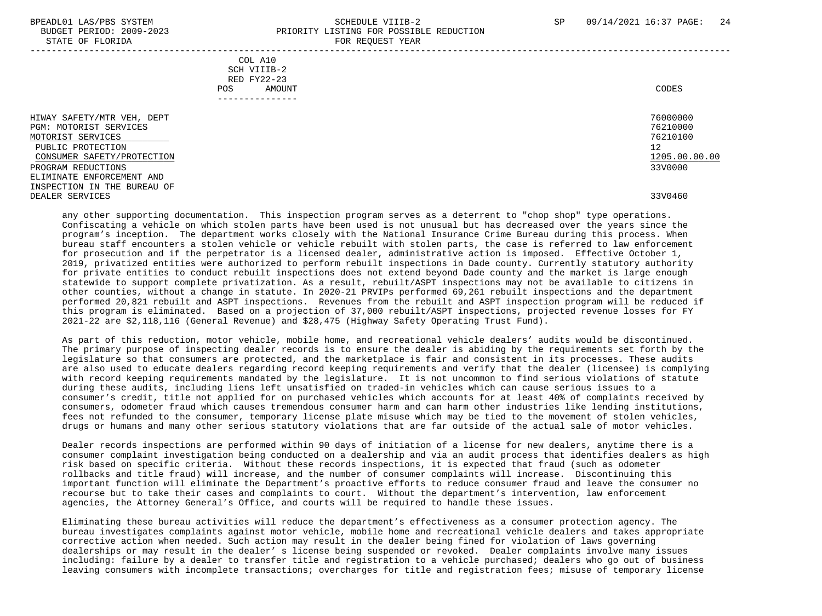#### BPEADL01 LAS/PBS SYSTEM SALL SALL SOMEDULE VIIIB-2 SP 09/14/2021 16:37 PAGE: 24 BUDGET PERIOD: 2009-2023 PRIORITY LISTING FOR POSSIBLE REDUCTION STATE OF FLORIDA **FOR REQUEST YEAR** -----------------------------------------------------------------------------------------------------------------------------------

 COL A10 SCH VIIIB-2 RED FY22-23 POS AMOUNT CODES ---------------

 HIWAY SAFETY/MTR VEH, DEPT 76000000 PGM: MOTORIST SERVICES 76210000 MOTORIST SERVICES 76210100 \_\_\_\_\_\_\_\_\_\_\_\_\_\_\_\_\_\_\_\_\_\_\_\_\_\_ PUBLIC PROTECTION 12<br>CONSUMER SAFETY/PROTECTION 1200.00 CONSUMER SAFETY/PROTECTION 1205.00 PROGRAM REDUCTIONS ELIMINATE ENFORCEMENT AND INSPECTION IN THE BUREAU OF DEALER SERVICES 33V0460

 any other supporting documentation. This inspection program serves as a deterrent to "chop shop" type operations. Confiscating a vehicle on which stolen parts have been used is not unusual but has decreased over the years since the program's inception. The department works closely with the National Insurance Crime Bureau during this process. When bureau staff encounters a stolen vehicle or vehicle rebuilt with stolen parts, the case is referred to law enforcement for prosecution and if the perpetrator is a licensed dealer, administrative action is imposed. Effective October 1, 2019, privatized entities were authorized to perform rebuilt inspections in Dade county. Currently statutory authority for private entities to conduct rebuilt inspections does not extend beyond Dade county and the market is large enough statewide to support complete privatization. As a result, rebuilt/ASPT inspections may not be available to citizens in other counties, without a change in statute. In 2020-21 PRVIPs performed 69,261 rebuilt inspections and the department performed 20,821 rebuilt and ASPT inspections. Revenues from the rebuilt and ASPT inspection program will be reduced if this program is eliminated. Based on a projection of 37,000 rebuilt/ASPT inspections, projected revenue losses for FY 2021-22 are \$2,118,116 (General Revenue) and \$28,475 (Highway Safety Operating Trust Fund).

 As part of this reduction, motor vehicle, mobile home, and recreational vehicle dealers' audits would be discontinued. The primary purpose of inspecting dealer records is to ensure the dealer is abiding by the requirements set forth by the legislature so that consumers are protected, and the marketplace is fair and consistent in its processes. These audits are also used to educate dealers regarding record keeping requirements and verify that the dealer (licensee) is complying with record keeping requirements mandated by the legislature. It is not uncommon to find serious violations of statute during these audits, including liens left unsatisfied on traded-in vehicles which can cause serious issues to a consumer's credit, title not applied for on purchased vehicles which accounts for at least 40% of complaints received by consumers, odometer fraud which causes tremendous consumer harm and can harm other industries like lending institutions, fees not refunded to the consumer, temporary license plate misuse which may be tied to the movement of stolen vehicles, drugs or humans and many other serious statutory violations that are far outside of the actual sale of motor vehicles.

 Dealer records inspections are performed within 90 days of initiation of a license for new dealers, anytime there is a consumer complaint investigation being conducted on a dealership and via an audit process that identifies dealers as high risk based on specific criteria. Without these records inspections, it is expected that fraud (such as odometer rollbacks and title fraud) will increase, and the number of consumer complaints will increase. Discontinuing this important function will eliminate the Department's proactive efforts to reduce consumer fraud and leave the consumer no recourse but to take their cases and complaints to court. Without the department's intervention, law enforcement agencies, the Attorney General's Office, and courts will be required to handle these issues.

 Eliminating these bureau activities will reduce the department's effectiveness as a consumer protection agency. The bureau investigates complaints against motor vehicle, mobile home and recreational vehicle dealers and takes appropriate corrective action when needed. Such action may result in the dealer being fined for violation of laws governing dealerships or may result in the dealer' s license being suspended or revoked. Dealer complaints involve many issues including: failure by a dealer to transfer title and registration to a vehicle purchased; dealers who go out of business leaving consumers with incomplete transactions; overcharges for title and registration fees; misuse of temporary license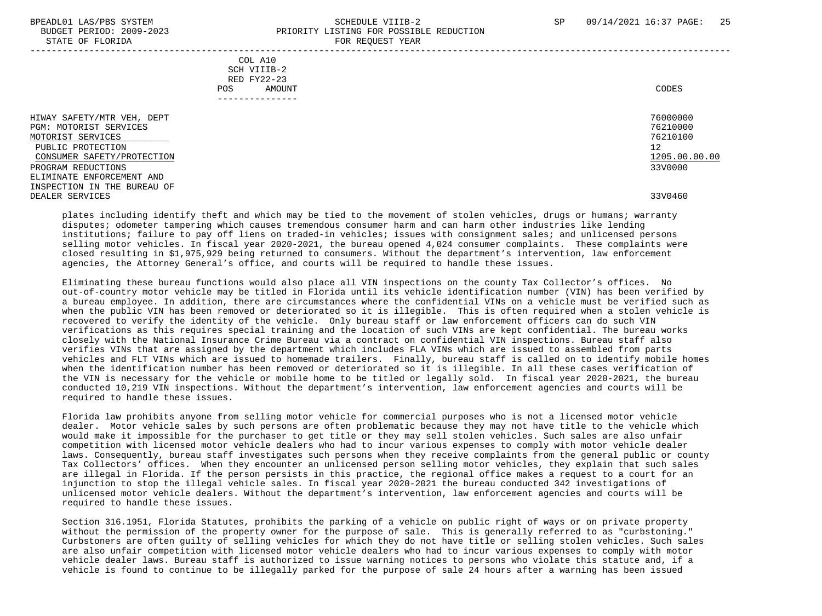#### BPEADL01 LAS/PBS SYSTEM SALL SALL SCHEDULE VIIIB-2 SP 09/14/2021 16:37 PAGE: 25 BUDGET PERIOD: 2009-2023 PRIORITY LISTING FOR POSSIBLE REDUCTION STATE OF FLORIDA FOR REQUEST YEAR -----------------------------------------------------------------------------------------------------------------------------------

 COL A10 SCH VIIIB-2 RED FY22-23 POS AMOUNT CODES ---------------

 HIWAY SAFETY/MTR VEH, DEPT 76000000 PGM: MOTORIST SERVICES 76210000 MOTORIST SERVICES 76210100 \_\_\_\_\_\_\_\_\_\_\_\_\_\_\_\_\_\_\_\_\_\_\_\_\_\_ PUBLIC PROTECTION 12<br>CONSUMER SAFETY/PROTECTION 1200.00 CONSUMER SAFETY/PROTECTION 1205.00 PROGRAM REDUCTIONS ELIMINATE ENFORCEMENT AND INSPECTION IN THE BUREAU OF DEALER SERVICES 33V0460

 plates including identify theft and which may be tied to the movement of stolen vehicles, drugs or humans; warranty disputes; odometer tampering which causes tremendous consumer harm and can harm other industries like lending institutions; failure to pay off liens on traded-in vehicles; issues with consignment sales; and unlicensed persons selling motor vehicles. In fiscal year 2020-2021, the bureau opened 4,024 consumer complaints. These complaints were closed resulting in \$1,975,929 being returned to consumers. Without the department's intervention, law enforcement agencies, the Attorney General's office, and courts will be required to handle these issues.

 Eliminating these bureau functions would also place all VIN inspections on the county Tax Collector's offices. No out-of-country motor vehicle may be titled in Florida until its vehicle identification number (VIN) has been verified by a bureau employee. In addition, there are circumstances where the confidential VINs on a vehicle must be verified such as when the public VIN has been removed or deteriorated so it is illegible. This is often required when a stolen vehicle is recovered to verify the identity of the vehicle. Only bureau staff or law enforcement officers can do such VIN verifications as this requires special training and the location of such VINs are kept confidential. The bureau works closely with the National Insurance Crime Bureau via a contract on confidential VIN inspections. Bureau staff also verifies VINs that are assigned by the department which includes FLA VINs which are issued to assembled from parts vehicles and FLT VINs which are issued to homemade trailers. Finally, bureau staff is called on to identify mobile homes when the identification number has been removed or deteriorated so it is illegible. In all these cases verification of the VIN is necessary for the vehicle or mobile home to be titled or legally sold. In fiscal year 2020-2021, the bureau conducted 10,219 VIN inspections. Without the department's intervention, law enforcement agencies and courts will be required to handle these issues.

 Florida law prohibits anyone from selling motor vehicle for commercial purposes who is not a licensed motor vehicle dealer. Motor vehicle sales by such persons are often problematic because they may not have title to the vehicle which would make it impossible for the purchaser to get title or they may sell stolen vehicles. Such sales are also unfair competition with licensed motor vehicle dealers who had to incur various expenses to comply with motor vehicle dealer laws. Consequently, bureau staff investigates such persons when they receive complaints from the general public or county Tax Collectors' offices. When they encounter an unlicensed person selling motor vehicles, they explain that such sales are illegal in Florida. If the person persists in this practice, the regional office makes a request to a court for an injunction to stop the illegal vehicle sales. In fiscal year 2020-2021 the bureau conducted 342 investigations of unlicensed motor vehicle dealers. Without the department's intervention, law enforcement agencies and courts will be required to handle these issues.

 Section 316.1951, Florida Statutes, prohibits the parking of a vehicle on public right of ways or on private property without the permission of the property owner for the purpose of sale. This is generally referred to as "curbstoning." Curbstoners are often guilty of selling vehicles for which they do not have title or selling stolen vehicles. Such sales are also unfair competition with licensed motor vehicle dealers who had to incur various expenses to comply with motor vehicle dealer laws. Bureau staff is authorized to issue warning notices to persons who violate this statute and, if a vehicle is found to continue to be illegally parked for the purpose of sale 24 hours after a warning has been issued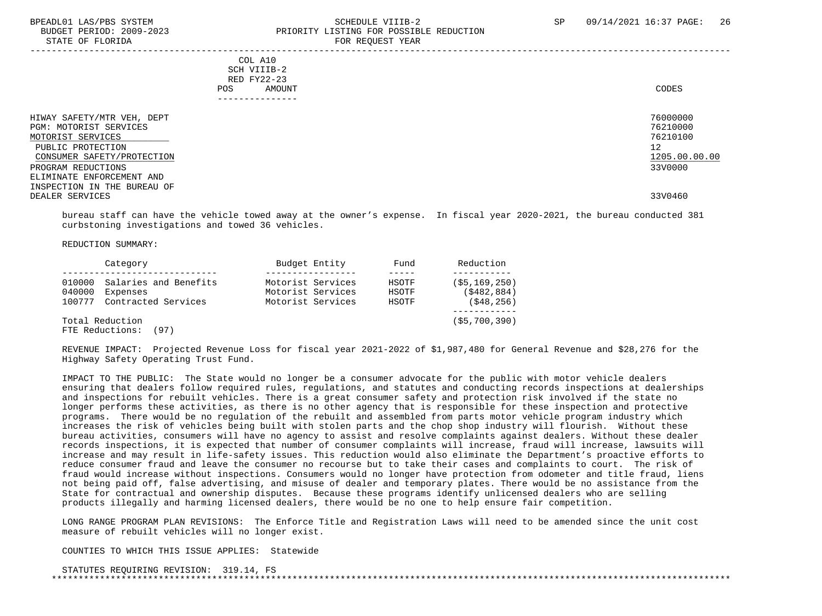#### BPEADL01 LAS/PBS SYSTEM SALL SALL SOMEDULE VIIIB-2 SP 09/14/2021 16:37 PAGE: 26 BUDGET PERIOD: 2009-2023 PRIORITY LISTING FOR POSSIBLE REDUCTION STATE OF FLORIDA **FOR REQUEST YEAR**

|                                                                                                                                                                                                                                   | COL A10<br>SCH VIIIB-2<br>RED FY22-23<br>AMOUNT<br>POS.<br>------------- | CODES                                                                         |
|-----------------------------------------------------------------------------------------------------------------------------------------------------------------------------------------------------------------------------------|--------------------------------------------------------------------------|-------------------------------------------------------------------------------|
| HIWAY SAFETY/MTR VEH, DEPT<br>PGM: MOTORIST SERVICES<br>MOTORIST SERVICES<br>PUBLIC PROTECTION<br>CONSUMER SAFETY/PROTECTION<br>PROGRAM REDUCTIONS<br>ELIMINATE ENFORCEMENT AND<br>INSPECTION IN THE BUREAU OF<br>DEALER SERVICES |                                                                          | 76000000<br>76210000<br>76210100<br>12<br>1205.00.00.00<br>33V0000<br>33V0460 |

 bureau staff can have the vehicle towed away at the owner's expense. In fiscal year 2020-2021, the bureau conducted 381 curbstoning investigations and towed 36 vehicles.

REDUCTION SUMMARY:

| Category                      | Budget Entity     | Fund  | Reduction      |
|-------------------------------|-------------------|-------|----------------|
|                               |                   |       |                |
| 010000 Salaries and Benefits  | Motorist Services | HSOTF | (55, 169, 250) |
| 040000<br>Expenses            | Motorist Services | HSOTF | ( \$482.884)   |
| Contracted Services<br>100777 | Motorist Services | HSOTF | (548, 256)     |
|                               |                   |       |                |
| Total Reduction               |                   |       | (55, 700, 390) |
| FTE Reductions: (97)          |                   |       |                |

 REVENUE IMPACT: Projected Revenue Loss for fiscal year 2021-2022 of \$1,987,480 for General Revenue and \$28,276 for the Highway Safety Operating Trust Fund.

 IMPACT TO THE PUBLIC: The State would no longer be a consumer advocate for the public with motor vehicle dealers ensuring that dealers follow required rules, regulations, and statutes and conducting records inspections at dealerships and inspections for rebuilt vehicles. There is a great consumer safety and protection risk involved if the state no longer performs these activities, as there is no other agency that is responsible for these inspection and protective programs. There would be no regulation of the rebuilt and assembled from parts motor vehicle program industry which increases the risk of vehicles being built with stolen parts and the chop shop industry will flourish. Without these bureau activities, consumers will have no agency to assist and resolve complaints against dealers. Without these dealer records inspections, it is expected that number of consumer complaints will increase, fraud will increase, lawsuits will increase and may result in life-safety issues. This reduction would also eliminate the Department's proactive efforts to reduce consumer fraud and leave the consumer no recourse but to take their cases and complaints to court. The risk of fraud would increase without inspections. Consumers would no longer have protection from odometer and title fraud, liens not being paid off, false advertising, and misuse of dealer and temporary plates. There would be no assistance from the State for contractual and ownership disputes. Because these programs identify unlicensed dealers who are selling products illegally and harming licensed dealers, there would be no one to help ensure fair competition.

 LONG RANGE PROGRAM PLAN REVISIONS: The Enforce Title and Registration Laws will need to be amended since the unit cost measure of rebuilt vehicles will no longer exist.

COUNTIES TO WHICH THIS ISSUE APPLIES: Statewide

 STATUTES REQUIRING REVISION: 319.14, FS \*\*\*\*\*\*\*\*\*\*\*\*\*\*\*\*\*\*\*\*\*\*\*\*\*\*\*\*\*\*\*\*\*\*\*\*\*\*\*\*\*\*\*\*\*\*\*\*\*\*\*\*\*\*\*\*\*\*\*\*\*\*\*\*\*\*\*\*\*\*\*\*\*\*\*\*\*\*\*\*\*\*\*\*\*\*\*\*\*\*\*\*\*\*\*\*\*\*\*\*\*\*\*\*\*\*\*\*\*\*\*\*\*\*\*\*\*\*\*\*\*\*\*\*\*\*\*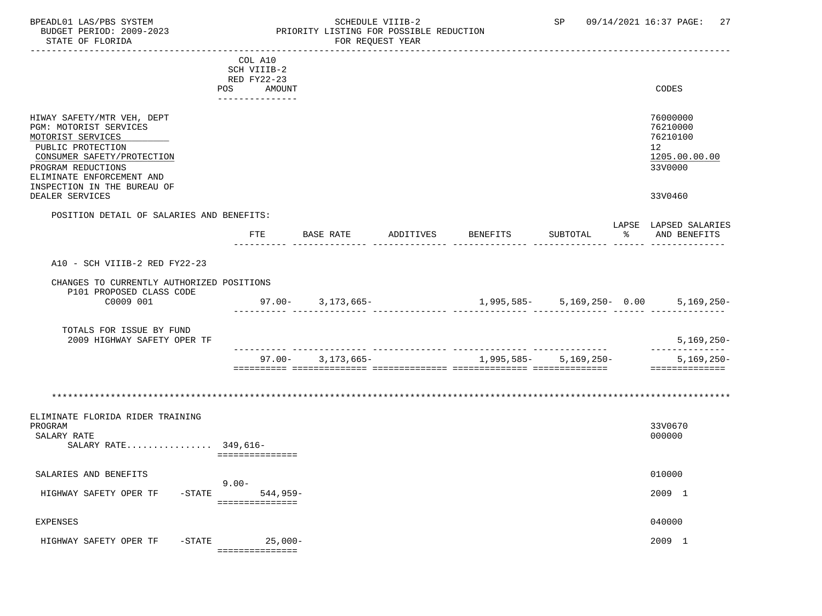#### BPEADL01 LAS/PBS SYSTEM STRING THE SCHEDULE VIIIB-2 SP 09/14/2021 16:37 PAGE: 27<br>BUDGET PERIOD: 2009-2023 PRIORITY LISTING FOR POSSIBLE REDUCTION BUDGET PERIOD: 2009-2023<br>BUDGET PERIOD: 2009-2023 PRIORITY LISTING FOR POSSIBLE REDUCTION<br>FOR REQUEST YEAR FOR REQUEST YEAR

|                                           | COL A10         |                       |           |          |                                |                       |
|-------------------------------------------|-----------------|-----------------------|-----------|----------|--------------------------------|-----------------------|
|                                           | SCH VIIIB-2     |                       |           |          |                                |                       |
|                                           | RED FY22-23     |                       |           |          |                                |                       |
|                                           | POS<br>AMOUNT   |                       |           |          |                                | CODES                 |
|                                           | _______________ |                       |           |          |                                |                       |
|                                           |                 |                       |           |          |                                |                       |
| HIWAY SAFETY/MTR VEH, DEPT                |                 |                       |           |          |                                | 76000000              |
| PGM: MOTORIST SERVICES                    |                 |                       |           |          |                                | 76210000              |
| MOTORIST SERVICES                         |                 |                       |           |          |                                | 76210100              |
| PUBLIC PROTECTION                         |                 |                       |           |          |                                | 12                    |
| CONSUMER SAFETY/PROTECTION                |                 |                       |           |          |                                | 1205.00.00.00         |
| PROGRAM REDUCTIONS                        |                 |                       |           |          |                                | 33V0000               |
| ELIMINATE ENFORCEMENT AND                 |                 |                       |           |          |                                |                       |
| INSPECTION IN THE BUREAU OF               |                 |                       |           |          |                                |                       |
| DEALER SERVICES                           |                 |                       |           |          |                                | 33V0460               |
|                                           |                 |                       |           |          |                                |                       |
| POSITION DETAIL OF SALARIES AND BENEFITS: |                 |                       |           |          |                                |                       |
|                                           |                 |                       |           |          |                                | LAPSE LAPSED SALARIES |
|                                           | ETE             | BASE RATE             | ADDITIVES | BENEFITS | SUBTOTAL                       | % AND BENEFITS        |
|                                           |                 |                       |           |          |                                |                       |
| A10 - SCH VIIIB-2 RED FY22-23             |                 |                       |           |          |                                |                       |
|                                           |                 |                       |           |          |                                |                       |
| CHANGES TO CURRENTLY AUTHORIZED POSITIONS |                 |                       |           |          |                                |                       |
| P101 PROPOSED CLASS CODE                  |                 |                       |           |          |                                |                       |
| C0009 001                                 |                 | $97.00 - 3,173,665 -$ |           |          | $1,995,585 - 5,169,250 - 0.00$ | $5,169,250-$          |
|                                           |                 |                       |           |          |                                |                       |
|                                           |                 |                       |           |          |                                |                       |
| TOTALS FOR ISSUE BY FUND                  |                 |                       |           |          |                                |                       |
| 2009 HIGHWAY SAFETY OPER TF               |                 |                       |           |          |                                | $5,169,250-$          |
|                                           |                 |                       |           |          |                                | ______________        |
|                                           |                 | $97.00 - 3.173.665 -$ |           |          | 1,995,585 - 5,169,250 -        | $5,169,250-$          |
|                                           |                 |                       |           |          |                                | ==============        |
|                                           |                 |                       |           |          |                                |                       |
|                                           |                 |                       |           |          |                                |                       |
|                                           |                 |                       |           |          |                                |                       |
| ELIMINATE FLORIDA RIDER TRAINING          |                 |                       |           |          |                                |                       |
| PROGRAM                                   |                 |                       |           |          |                                | 33V0670               |
| SALARY RATE                               |                 |                       |           |          |                                | 000000                |
| SALARY RATE 349,616-                      |                 |                       |           |          |                                |                       |
|                                           | =============== |                       |           |          |                                |                       |
|                                           |                 |                       |           |          |                                |                       |
| SALARIES AND BENEFITS                     |                 |                       |           |          |                                | 010000                |
|                                           | $9.00 -$        |                       |           |          |                                |                       |
| HIGHWAY SAFETY OPER TF                    | -STATE 544,959- |                       |           |          |                                | 2009 1                |
|                                           | =============== |                       |           |          |                                |                       |
|                                           |                 |                       |           |          |                                |                       |
| <b>EXPENSES</b>                           |                 |                       |           |          |                                | 040000                |
|                                           |                 |                       |           |          |                                |                       |
| HIGHWAY SAFETY OPER TF<br>$-$ STATE       | $25,000-$       |                       |           |          |                                | 2009 1                |
|                                           | =============== |                       |           |          |                                |                       |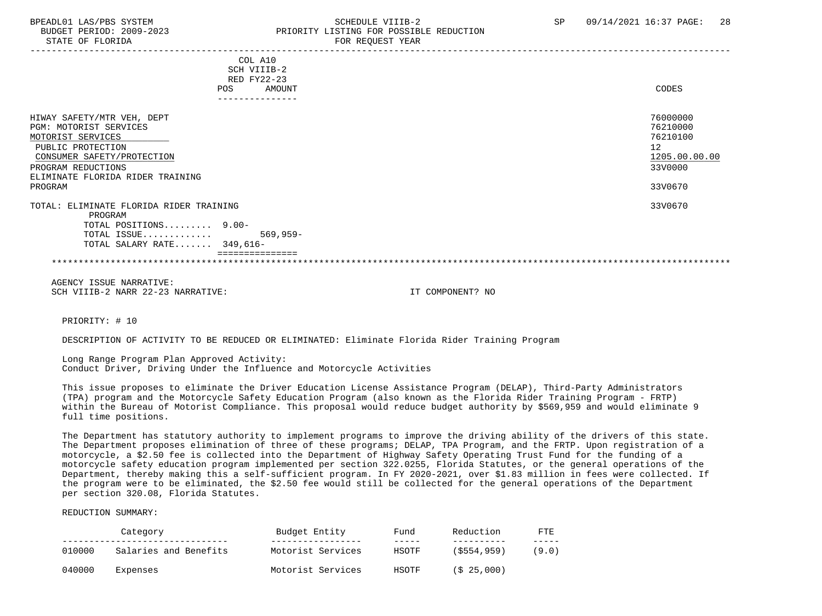STATE OF FLORIDA FOR STATE OF STATE OF STATE OF STATE OF STATE ASSESSMENT OF STATE OF STATE OF STATE OF STATE O

# BPEADL01 LAS/PBS SYSTEM SALL SALL SOMEDULE VIIIB-2 SP 09/14/2021 16:37 PAGE: 28 BUDGET PERIOD: 2009-2023 PRIORITY LISTING FOR POSSIBLE REDUCTION

|                                                                                                                                                                                                   | COL A10<br>SCH VIIIB-2<br>RED FY22-23<br>AMOUNT<br><b>POS</b> | CODES                                                                         |
|---------------------------------------------------------------------------------------------------------------------------------------------------------------------------------------------------|---------------------------------------------------------------|-------------------------------------------------------------------------------|
|                                                                                                                                                                                                   | -------------                                                 |                                                                               |
| HIWAY SAFETY/MTR VEH, DEPT<br>PGM: MOTORIST SERVICES<br>MOTORIST SERVICES<br>PUBLIC PROTECTION<br>CONSUMER SAFETY/PROTECTION<br>PROGRAM REDUCTIONS<br>ELIMINATE FLORIDA RIDER TRAINING<br>PROGRAM |                                                               | 76000000<br>76210000<br>76210100<br>12<br>1205.00.00.00<br>33V0000<br>33V0670 |
| TOTAL: ELIMINATE FLORIDA RIDER TRAINING                                                                                                                                                           |                                                               | 33V0670                                                                       |
| PROGRAM<br>TOTAL POSITIONS 9.00-<br>TOTAL ISSUE<br>TOTAL SALARY RATE $349,616-$                                                                                                                   | 569,959-                                                      |                                                                               |
|                                                                                                                                                                                                   |                                                               |                                                                               |

 AGENCY ISSUE NARRATIVE: SCH VIIIB-2 NARR 22-23 NARRATIVE: IT COMPONENT? NO

PRIORITY: # 10

DESCRIPTION OF ACTIVITY TO BE REDUCED OR ELIMINATED: Eliminate Florida Rider Training Program

 Long Range Program Plan Approved Activity: Conduct Driver, Driving Under the Influence and Motorcycle Activities

 This issue proposes to eliminate the Driver Education License Assistance Program (DELAP), Third-Party Administrators (TPA) program and the Motorcycle Safety Education Program (also known as the Florida Rider Training Program - FRTP) within the Bureau of Motorist Compliance. This proposal would reduce budget authority by \$569,959 and would eliminate 9 full time positions.

 The Department has statutory authority to implement programs to improve the driving ability of the drivers of this state. The Department proposes elimination of three of these programs; DELAP, TPA Program, and the FRTP. Upon registration of a motorcycle, a \$2.50 fee is collected into the Department of Highway Safety Operating Trust Fund for the funding of a motorcycle safety education program implemented per section 322.0255, Florida Statutes, or the general operations of the Department, thereby making this a self-sufficient program. In FY 2020-2021, over \$1.83 million in fees were collected. If the program were to be eliminated, the \$2.50 fee would still be collected for the general operations of the Department per section 320.08, Florida Statutes.

REDUCTION SUMMARY:

|        | Category              | Budget Entity     | Fund  | Reduction      | <b>FTE</b> |
|--------|-----------------------|-------------------|-------|----------------|------------|
| 010000 | Salaries and Benefits | Motorist Services | HSOTF | $($ \$554,959) | (9.0)      |
| 040000 | Expenses              | Motorist Services | HSOTF | (S 25.000)     |            |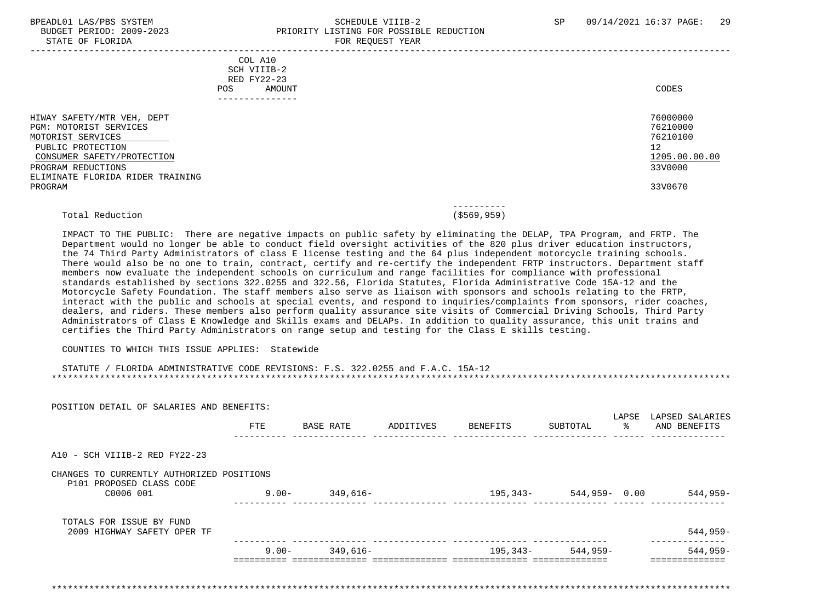#### BPEADL01 LAS/PBS SYSTEM STRAND SCHEDULE VIIIB-2 SP 09/14/2021 16:37 PAGE: 29 BUDGET PERIOD: 2009-2023 PRIORITY LISTING FOR POSSIBLE REDUCTION STATE OF FLORIDA FOR REQUEST YEAR FOR REQUEST YEAR

|                                  | COL A10<br>SCH VIIIB-2 |               |               |
|----------------------------------|------------------------|---------------|---------------|
|                                  | RED FY22-23            |               |               |
|                                  | POS.<br>AMOUNT         |               | CODES         |
|                                  | ---------------        |               |               |
|                                  |                        |               |               |
| HIWAY SAFETY/MTR VEH, DEPT       |                        |               | 76000000      |
| <b>PGM: MOTORIST SERVICES</b>    |                        |               | 76210000      |
| MOTORIST SERVICES                |                        |               | 76210100      |
| PUBLIC PROTECTION                |                        |               | 12            |
| CONSUMER SAFETY/PROTECTION       |                        |               | 1205.00.00.00 |
| PROGRAM REDUCTIONS               |                        |               | 33V0000       |
| ELIMINATE FLORIDA RIDER TRAINING |                        |               |               |
| PROGRAM                          |                        |               | 33V0670       |
|                                  |                        | ----------    |               |
| Total Reduction                  |                        | ( \$569, 959) |               |

 IMPACT TO THE PUBLIC: There are negative impacts on public safety by eliminating the DELAP, TPA Program, and FRTP. The Department would no longer be able to conduct field oversight activities of the 820 plus driver education instructors, the 74 Third Party Administrators of class E license testing and the 64 plus independent motorcycle training schools. There would also be no one to train, contract, certify and re-certify the independent FRTP instructors. Department staff members now evaluate the independent schools on curriculum and range facilities for compliance with professional standards established by sections 322.0255 and 322.56, Florida Statutes, Florida Administrative Code 15A-12 and the Motorcycle Safety Foundation. The staff members also serve as liaison with sponsors and schools relating to the FRTP, interact with the public and schools at special events, and respond to inquiries/complaints from sponsors, rider coaches, dealers, and riders. These members also perform quality assurance site visits of Commercial Driving Schools, Third Party Administrators of Class E Knowledge and Skills exams and DELAPs. In addition to quality assurance, this unit trains and certifies the Third Party Administrators on range setup and testing for the Class E skills testing.

#### COUNTIES TO WHICH THIS ISSUE APPLIES: Statewide

#### STATUTE / FLORIDA ADMINISTRATIVE CODE REVISIONS: F.S. 322.0255 and F.A.C. 15A-12 \*\*\*\*\*\*\*\*\*\*\*\*\*\*\*\*\*\*\*\*\*\*\*\*\*\*\*\*\*\*\*\*\*\*\*\*\*\*\*\*\*\*\*\*\*\*\*\*\*\*\*\*\*\*\*\*\*\*\*\*\*\*\*\*\*\*\*\*\*\*\*\*\*\*\*\*\*\*\*\*\*\*\*\*\*\*\*\*\*\*\*\*\*\*\*\*\*\*\*\*\*\*\*\*\*\*\*\*\*\*\*\*\*\*\*\*\*\*\*\*\*\*\*\*\*\*\*

| POSITION DETAIL OF SALARIES AND BENEFITS:<br>FTE | BASE RATE                                 | ADDITIVES | BENEFITS | ႜ<br>SUBTOTAL | LAPSED SALARIES<br>AND BENEFITS |
|--------------------------------------------------|-------------------------------------------|-----------|----------|---------------|---------------------------------|
|                                                  |                                           |           |          |               |                                 |
|                                                  |                                           |           |          |               |                                 |
|                                                  |                                           |           |          |               |                                 |
| $9.00 -$                                         | 349,616-                                  |           | 195,343- |               | $544,959-$                      |
|                                                  |                                           |           |          |               |                                 |
|                                                  |                                           |           |          |               | $544,959-$                      |
| $9.00 -$                                         | 349,616-                                  |           | 195,343- | $544,959-$    | $544,959-$                      |
|                                                  | CHANGES TO CURRENTLY AUTHORIZED POSITIONS |           |          |               | LAPSE<br>544,959- 0.00          |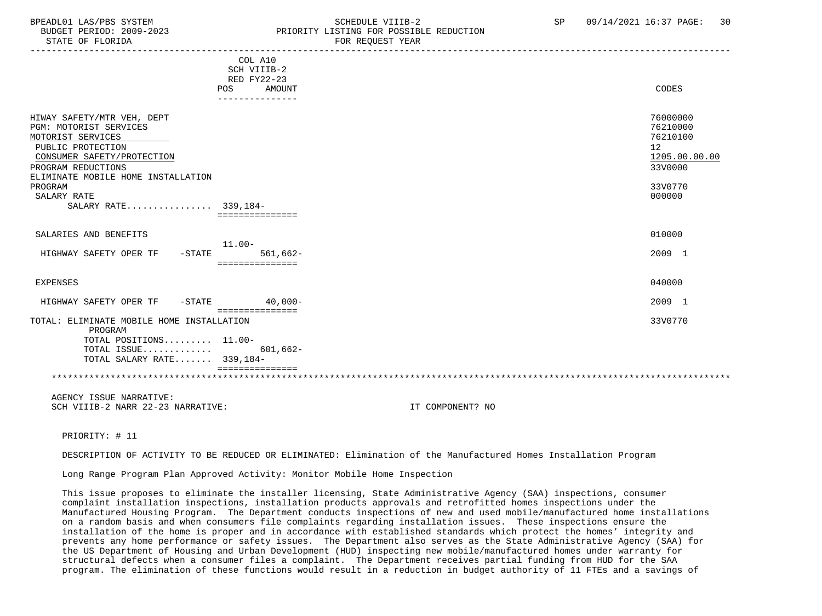### BPEADL01 LAS/PBS SYSTEM SALL SALL SOMEDULE VIIIB-2 SP 09/14/2021 16:37 PAGE: 30 BUDGET PERIOD: 2009-2023 PRIORITY LISTING FOR POSSIBLE REDUCTION

| COL A10<br>SCH VIIIB-2<br>RED FY22-23<br>AMOUNT<br><b>POS</b><br>CODES<br>76000000<br>HIWAY SAFETY/MTR VEH, DEPT<br>PGM: MOTORIST SERVICES<br>76210000<br>76210100<br>MOTORIST SERVICES<br>PUBLIC PROTECTION<br>12<br>CONSUMER SAFETY/PROTECTION<br>33V0000<br>PROGRAM REDUCTIONS<br>ELIMINATE MOBILE HOME INSTALLATION<br>33V0770<br>PROGRAM<br>000000<br>SALARY RATE<br>SALARY RATE 339,184-<br>===============<br>010000<br>SALARIES AND BENEFITS<br>$11.00 -$<br>$561,662-$<br>2009 1<br>HIGHWAY SAFETY OPER TF<br>$-$ STATE<br>===============<br>040000<br><b>EXPENSES</b> |               |
|----------------------------------------------------------------------------------------------------------------------------------------------------------------------------------------------------------------------------------------------------------------------------------------------------------------------------------------------------------------------------------------------------------------------------------------------------------------------------------------------------------------------------------------------------------------------------------|---------------|
|                                                                                                                                                                                                                                                                                                                                                                                                                                                                                                                                                                                  |               |
|                                                                                                                                                                                                                                                                                                                                                                                                                                                                                                                                                                                  |               |
|                                                                                                                                                                                                                                                                                                                                                                                                                                                                                                                                                                                  |               |
|                                                                                                                                                                                                                                                                                                                                                                                                                                                                                                                                                                                  |               |
|                                                                                                                                                                                                                                                                                                                                                                                                                                                                                                                                                                                  |               |
|                                                                                                                                                                                                                                                                                                                                                                                                                                                                                                                                                                                  |               |
|                                                                                                                                                                                                                                                                                                                                                                                                                                                                                                                                                                                  |               |
|                                                                                                                                                                                                                                                                                                                                                                                                                                                                                                                                                                                  |               |
|                                                                                                                                                                                                                                                                                                                                                                                                                                                                                                                                                                                  | 1205.00.00.00 |
|                                                                                                                                                                                                                                                                                                                                                                                                                                                                                                                                                                                  |               |
|                                                                                                                                                                                                                                                                                                                                                                                                                                                                                                                                                                                  |               |
|                                                                                                                                                                                                                                                                                                                                                                                                                                                                                                                                                                                  |               |
|                                                                                                                                                                                                                                                                                                                                                                                                                                                                                                                                                                                  |               |
|                                                                                                                                                                                                                                                                                                                                                                                                                                                                                                                                                                                  |               |
|                                                                                                                                                                                                                                                                                                                                                                                                                                                                                                                                                                                  |               |
|                                                                                                                                                                                                                                                                                                                                                                                                                                                                                                                                                                                  |               |
|                                                                                                                                                                                                                                                                                                                                                                                                                                                                                                                                                                                  |               |
|                                                                                                                                                                                                                                                                                                                                                                                                                                                                                                                                                                                  |               |
|                                                                                                                                                                                                                                                                                                                                                                                                                                                                                                                                                                                  |               |
|                                                                                                                                                                                                                                                                                                                                                                                                                                                                                                                                                                                  |               |
|                                                                                                                                                                                                                                                                                                                                                                                                                                                                                                                                                                                  |               |
|                                                                                                                                                                                                                                                                                                                                                                                                                                                                                                                                                                                  |               |
| 2009 1<br>$-$ STATE<br>$40,000-$<br>HIGHWAY SAFETY OPER TF                                                                                                                                                                                                                                                                                                                                                                                                                                                                                                                       |               |
| ===============<br>TOTAL: ELIMINATE MOBILE HOME INSTALLATION<br>33V0770                                                                                                                                                                                                                                                                                                                                                                                                                                                                                                          |               |
| PROGRAM                                                                                                                                                                                                                                                                                                                                                                                                                                                                                                                                                                          |               |
| TOTAL POSITIONS 11.00-                                                                                                                                                                                                                                                                                                                                                                                                                                                                                                                                                           |               |
| $601,662-$<br>TOTAL ISSUE                                                                                                                                                                                                                                                                                                                                                                                                                                                                                                                                                        |               |
| TOTAL SALARY RATE 339,184-                                                                                                                                                                                                                                                                                                                                                                                                                                                                                                                                                       |               |
|                                                                                                                                                                                                                                                                                                                                                                                                                                                                                                                                                                                  |               |
|                                                                                                                                                                                                                                                                                                                                                                                                                                                                                                                                                                                  |               |

 AGENCY ISSUE NARRATIVE: SCH VIIIR-2 NARR 22-23 NARRATIVE: IT COMPONENT? NO

PRIORITY: # 11

DESCRIPTION OF ACTIVITY TO BE REDUCED OR ELIMINATED: Elimination of the Manufactured Homes Installation Program

Long Range Program Plan Approved Activity: Monitor Mobile Home Inspection

 This issue proposes to eliminate the installer licensing, State Administrative Agency (SAA) inspections, consumer complaint installation inspections, installation products approvals and retrofitted homes inspections under the Manufactured Housing Program. The Department conducts inspections of new and used mobile/manufactured home installations on a random basis and when consumers file complaints regarding installation issues. These inspections ensure the installation of the home is proper and in accordance with established standards which protect the homes' integrity and prevents any home performance or safety issues. The Department also serves as the State Administrative Agency (SAA) for the US Department of Housing and Urban Development (HUD) inspecting new mobile/manufactured homes under warranty for structural defects when a consumer files a complaint. The Department receives partial funding from HUD for the SAA program. The elimination of these functions would result in a reduction in budget authority of 11 FTEs and a savings of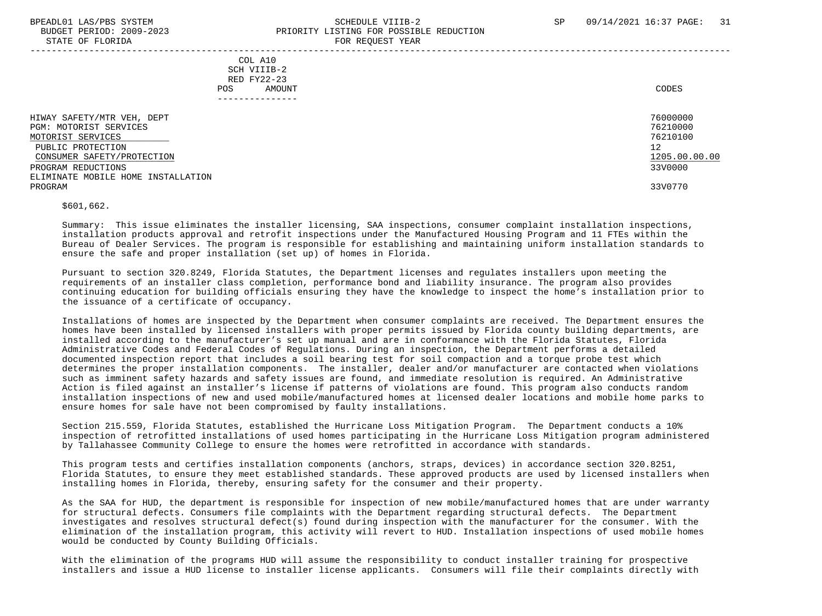STATE OF FLORIDA

# BPEADL01 LAS/PBS SYSTEM SALL SALL SOMEDULE VIIIB-2 SP 09/14/2021 16:37 PAGE: 31 BUDGET PERIOD: 2009-2023<br>
PRIORITY LISTING FOR POSSIBLE REDUCTION

| DIAIE OF FEORIDA                                                                                                                                                                                    | ron negoeoi tean                                                              |                                                                               |
|-----------------------------------------------------------------------------------------------------------------------------------------------------------------------------------------------------|-------------------------------------------------------------------------------|-------------------------------------------------------------------------------|
|                                                                                                                                                                                                     | COL A10<br>SCH VIIIB-2<br>RED FY22-23<br>AMOUNT<br><b>POS</b><br>------------ | CODES                                                                         |
| HIWAY SAFETY/MTR VEH, DEPT<br>PGM: MOTORIST SERVICES<br>MOTORIST SERVICES<br>PUBLIC PROTECTION<br>CONSUMER SAFETY/PROTECTION<br>PROGRAM REDUCTIONS<br>ELIMINATE MOBILE HOME INSTALLATION<br>PROGRAM |                                                                               | 76000000<br>76210000<br>76210100<br>12<br>1205.00.00.00<br>33V0000<br>33V0770 |

\$601,662.

 Summary: This issue eliminates the installer licensing, SAA inspections, consumer complaint installation inspections, installation products approval and retrofit inspections under the Manufactured Housing Program and 11 FTEs within the Bureau of Dealer Services. The program is responsible for establishing and maintaining uniform installation standards to ensure the safe and proper installation (set up) of homes in Florida.

 Pursuant to section 320.8249, Florida Statutes, the Department licenses and regulates installers upon meeting the requirements of an installer class completion, performance bond and liability insurance. The program also provides continuing education for building officials ensuring they have the knowledge to inspect the home's installation prior to the issuance of a certificate of occupancy.

 Installations of homes are inspected by the Department when consumer complaints are received. The Department ensures the homes have been installed by licensed installers with proper permits issued by Florida county building departments, are installed according to the manufacturer's set up manual and are in conformance with the Florida Statutes, Florida Administrative Codes and Federal Codes of Regulations. During an inspection, the Department performs a detailed documented inspection report that includes a soil bearing test for soil compaction and a torque probe test which determines the proper installation components. The installer, dealer and/or manufacturer are contacted when violations such as imminent safety hazards and safety issues are found, and immediate resolution is required. An Administrative Action is filed against an installer's license if patterns of violations are found. This program also conducts random installation inspections of new and used mobile/manufactured homes at licensed dealer locations and mobile home parks to ensure homes for sale have not been compromised by faulty installations.

 Section 215.559, Florida Statutes, established the Hurricane Loss Mitigation Program. The Department conducts a 10% inspection of retrofitted installations of used homes participating in the Hurricane Loss Mitigation program administered by Tallahassee Community College to ensure the homes were retrofitted in accordance with standards.

 This program tests and certifies installation components (anchors, straps, devices) in accordance section 320.8251, Florida Statutes, to ensure they meet established standards. These approved products are used by licensed installers when installing homes in Florida, thereby, ensuring safety for the consumer and their property.

 As the SAA for HUD, the department is responsible for inspection of new mobile/manufactured homes that are under warranty for structural defects. Consumers file complaints with the Department regarding structural defects. The Department investigates and resolves structural defect(s) found during inspection with the manufacturer for the consumer. With the elimination of the installation program, this activity will revert to HUD. Installation inspections of used mobile homes would be conducted by County Building Officials.

 With the elimination of the programs HUD will assume the responsibility to conduct installer training for prospective installers and issue a HUD license to installer license applicants. Consumers will file their complaints directly with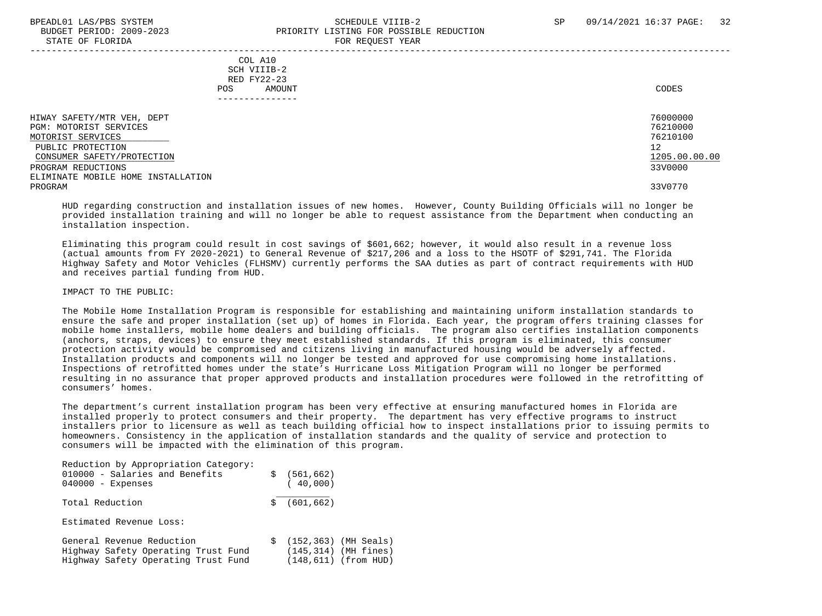# BPEADL01 LAS/PBS SYSTEM SALL SALL SOMEDULE VIIIB-2 SP 09/14/2021 16:37 PAGE: 32 BUDGET PERIOD: 2009-2023 PRIORITY LISTING FOR POSSIBLE REDUCTION

STATE OF FLORIDA FOR REQUEST YEAR ----------------------------------------------------------------------------------------------------------------------------------- COL A10 SCH VIIIB-2 RED FY22-23 POS AMOUNT CODES --------------- HIWAY SAFETY/MTR VEH, DEPT 76000000 PGM: MOTORIST SERVICES 76210000 MOTORIST SERVICES 76210100 \_\_\_\_\_\_\_\_\_\_\_\_\_\_\_\_\_\_\_\_\_\_\_\_\_\_ PUBLIC PROTECTION 12<br>CONSUMER SAFETY/PROTECTION 1200.00 CONSUMER SAFETY/PROTECTION 1205.00 PROGRAM REDUCTIONS ELIMINATE MOBILE HOME INSTALLATION PROGRAM 33V0770 HUD regarding construction and installation issues of new homes. However, County Building Officials will no longer be

 provided installation training and will no longer be able to request assistance from the Department when conducting an installation inspection.

 Eliminating this program could result in cost savings of \$601,662; however, it would also result in a revenue loss (actual amounts from FY 2020-2021) to General Revenue of \$217,206 and a loss to the HSOTF of \$291,741. The Florida Highway Safety and Motor Vehicles (FLHSMV) currently performs the SAA duties as part of contract requirements with HUD and receives partial funding from HUD.

IMPACT TO THE PUBLIC:

 The Mobile Home Installation Program is responsible for establishing and maintaining uniform installation standards to ensure the safe and proper installation (set up) of homes in Florida. Each year, the program offers training classes for mobile home installers, mobile home dealers and building officials. The program also certifies installation components (anchors, straps, devices) to ensure they meet established standards. If this program is eliminated, this consumer protection activity would be compromised and citizens living in manufactured housing would be adversely affected. Installation products and components will no longer be tested and approved for use compromising home installations. Inspections of retrofitted homes under the state's Hurricane Loss Mitigation Program will no longer be performed resulting in no assurance that proper approved products and installation procedures were followed in the retrofitting of consumers' homes.

 The department's current installation program has been very effective at ensuring manufactured homes in Florida are installed properly to protect consumers and their property. The department has very effective programs to instruct installers prior to licensure as well as teach building official how to inspect installations prior to issuing permits to homeowners. Consistency in the application of installation standards and the quality of service and protection to consumers will be impacted with the elimination of this program.

| Reduction by Appropriation Category:<br>010000 - Salaries and Benefits<br>$040000 -$ Expenses           | s  | (561, 662)<br>(40,000) |                                                                                |
|---------------------------------------------------------------------------------------------------------|----|------------------------|--------------------------------------------------------------------------------|
| Total Reduction                                                                                         | S. | (601, 662)             |                                                                                |
| Estimated Revenue Loss:                                                                                 |    |                        |                                                                                |
| General Revenue Reduction<br>Highway Safety Operating Trust Fund<br>Highway Safety Operating Trust Fund |    |                        | $$(152, 363)$ (MH Seals)<br>$(145, 314)$ (MH fines)<br>$(148, 611)$ (from HUD) |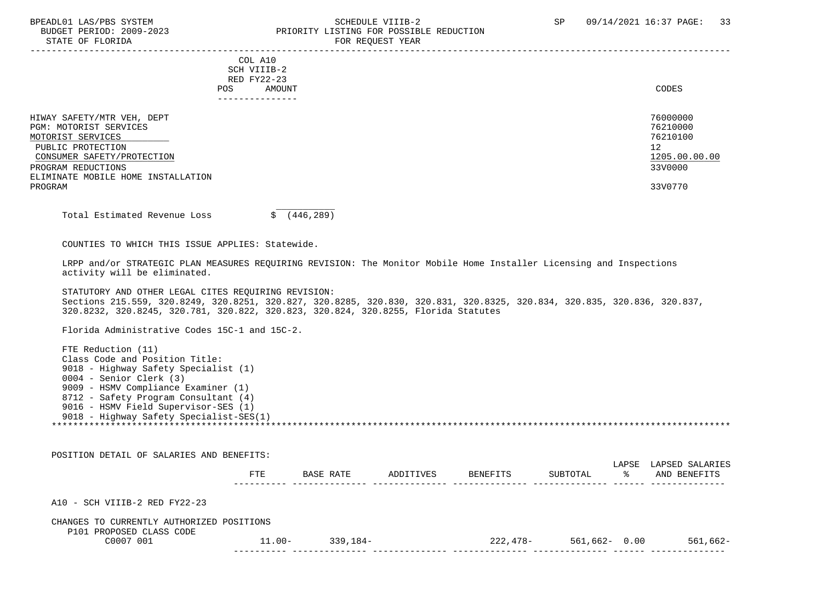# BPEADL01 LAS/PBS SYSTEM SCHEDULE VIIIB-2 SCHEDULE VIIIB-2 SP 09/14/2021 16:37 PAGE: 33 BUDGET PERIOD: 2009-2023 PRIORITY LISTING FOR POSSIBLE REDUCTION

| BUDGET PERIOD: 2009-2023<br>STATE OF FLORIDA                                                                                                                                                                                                                                              |                                                                        | PRIORITY LISTING FOR POSSIBLE REDUCTION | FOR REQUEST YEAR |          |                                                                                            |
|-------------------------------------------------------------------------------------------------------------------------------------------------------------------------------------------------------------------------------------------------------------------------------------------|------------------------------------------------------------------------|-----------------------------------------|------------------|----------|--------------------------------------------------------------------------------------------|
|                                                                                                                                                                                                                                                                                           | COL A10<br>SCH VIIIB-2<br>RED FY22-23<br>POS AMOUNT<br>_______________ |                                         |                  |          | <b>CODES</b>                                                                               |
| HIWAY SAFETY/MTR VEH, DEPT<br>PGM: MOTORIST SERVICES<br>MOTORIST SERVICES<br>PUBLIC PROTECTION<br>CONSUMER SAFETY/PROTECTION<br>PROGRAM REDUCTIONS<br>ELIMINATE MOBILE HOME INSTALLATION<br>PROGRAM                                                                                       |                                                                        |                                         |                  |          | 76000000<br>76210000<br>76210100<br>12 <sup>°</sup><br>1205.00.00.00<br>33V0000<br>33V0770 |
| Total Estimated Revenue Loss                                                                                                                                                                                                                                                              |                                                                        | \$ (446, 289)                           |                  |          |                                                                                            |
| COUNTIES TO WHICH THIS ISSUE APPLIES: Statewide.                                                                                                                                                                                                                                          |                                                                        |                                         |                  |          |                                                                                            |
| LRPP and/or STRATEGIC PLAN MEASURES REQUIRING REVISION: The Monitor Mobile Home Installer Licensing and Inspections<br>activity will be eliminated.                                                                                                                                       |                                                                        |                                         |                  |          |                                                                                            |
| STATUTORY AND OTHER LEGAL CITES REQUIRING REVISION:<br>Sections 215.559, 320.8249, 320.8251, 320.827, 320.8285, 320.830, 320.831, 320.8325, 320.834, 320.835, 320.836, 320.837,<br>320.8232, 320.8245, 320.781, 320.822, 320.823, 320.824, 320.8255, Florida Statutes                     |                                                                        |                                         |                  |          |                                                                                            |
| Florida Administrative Codes 15C-1 and 15C-2.                                                                                                                                                                                                                                             |                                                                        |                                         |                  |          |                                                                                            |
| FTE Reduction (11)<br>Class Code and Position Title:<br>9018 - Highway Safety Specialist (1)<br>0004 - Senior Clerk (3)<br>9009 - HSMV Compliance Examiner (1)<br>8712 - Safety Program Consultant (4)<br>9016 - HSMV Field Supervisor-SES (1)<br>9018 - Highway Safety Specialist-SES(1) |                                                                        |                                         |                  |          |                                                                                            |
| POSITION DETAIL OF SALARIES AND BENEFITS:                                                                                                                                                                                                                                                 |                                                                        |                                         |                  |          |                                                                                            |
|                                                                                                                                                                                                                                                                                           |                                                                        | FTE BASE RATE ADDITIVES BENEFITS        |                  | SUBTOTAL | LAPSE LAPSED SALARIES<br>% AND BENEFITS                                                    |
| A10 - SCH VIIIB-2 RED FY22-23                                                                                                                                                                                                                                                             |                                                                        |                                         |                  |          |                                                                                            |
| CHANGES TO CURRENTLY AUTHORIZED POSITIONS                                                                                                                                                                                                                                                 |                                                                        |                                         |                  |          |                                                                                            |

# P101 PROPOSED CLASS CODE<br>C0007 001

| -001<br>C0007 | ⊥⊥.00- | ' 84.<br>-20 | $\sim$ $\sim$ $\sim$<br>$\sim$ | 56 L<br>DD 4 | . . 00<br>n h |
|---------------|--------|--------------|--------------------------------|--------------|---------------|
|               |        |              |                                |              |               |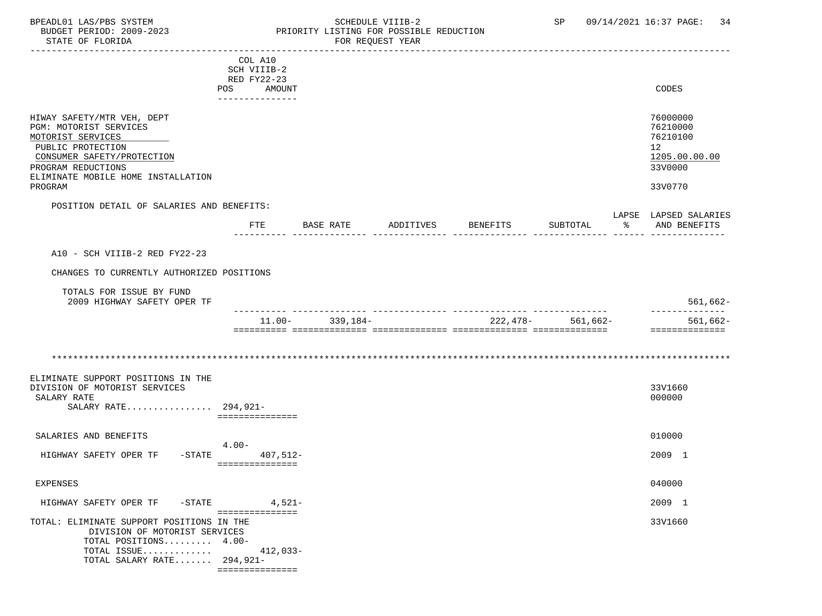#### BPEADL01 LAS/PBS SYSTEM SALLE SOMEDULE VIIIB-2 SCHEDULE VIIIB-2 SP 09/14/2021 16:37 PAGE: 34 BUDGET PERIOD: 2009-2023 PRIORITY LISTING FOR POSSIBLE REDUCTION FOR REQUEST YEAR

|                                                                                                                              | COL A10          |                     |           |                 |                       |                                                         |
|------------------------------------------------------------------------------------------------------------------------------|------------------|---------------------|-----------|-----------------|-----------------------|---------------------------------------------------------|
|                                                                                                                              | SCH VIIIB-2      |                     |           |                 |                       |                                                         |
|                                                                                                                              | RED FY22-23      |                     |           |                 |                       |                                                         |
|                                                                                                                              | POS AMOUNT       |                     |           |                 |                       | CODES                                                   |
|                                                                                                                              | ---------------- |                     |           |                 |                       |                                                         |
| HIWAY SAFETY/MTR VEH, DEPT<br>PGM: MOTORIST SERVICES<br>MOTORIST SERVICES<br>PUBLIC PROTECTION<br>CONSUMER SAFETY/PROTECTION |                  |                     |           |                 |                       | 76000000<br>76210000<br>76210100<br>12<br>1205.00.00.00 |
| PROGRAM REDUCTIONS                                                                                                           |                  |                     |           |                 |                       | 33V0000                                                 |
| ELIMINATE MOBILE HOME INSTALLATION<br>PROGRAM                                                                                |                  |                     |           |                 |                       | 33V0770                                                 |
| POSITION DETAIL OF SALARIES AND BENEFITS:                                                                                    |                  |                     |           |                 |                       | LAPSE LAPSED SALARIES                                   |
|                                                                                                                              | FTE              | BASE RATE           | ADDITIVES | <b>BENEFITS</b> | SUBTOTAL              | % AND BENEFITS                                          |
| A10 - SCH VIIIB-2 RED FY22-23                                                                                                |                  |                     |           |                 |                       |                                                         |
| CHANGES TO CURRENTLY AUTHORIZED POSITIONS                                                                                    |                  |                     |           |                 |                       |                                                         |
| TOTALS FOR ISSUE BY FUND                                                                                                     |                  |                     |           |                 |                       |                                                         |
| 2009 HIGHWAY SAFETY OPER TF                                                                                                  |                  |                     |           |                 |                       | $561,662-$<br>-------------                             |
|                                                                                                                              |                  | $11.00 - 339.184 -$ |           |                 | $222.478 - 561.662 -$ | $561,662-$                                              |
|                                                                                                                              |                  |                     |           |                 |                       | ==============                                          |
|                                                                                                                              |                  |                     |           |                 |                       |                                                         |
|                                                                                                                              |                  |                     |           |                 |                       |                                                         |
| ELIMINATE SUPPORT POSITIONS IN THE<br>DIVISION OF MOTORIST SERVICES<br>SALARY RATE<br>SALARY RATE 294,921-                   | ===============  |                     |           |                 |                       | 33V1660<br>000000                                       |
| SALARIES AND BENEFITS                                                                                                        |                  |                     |           |                 |                       | 010000                                                  |
| HIGHWAY SAFETY OPER TF<br>$-STATE$                                                                                           | $4.00-$          | $407,512-$          |           |                 |                       | 2009 1                                                  |
|                                                                                                                              | ===============  |                     |           |                 |                       |                                                         |
| <b>EXPENSES</b>                                                                                                              |                  |                     |           |                 |                       | 040000                                                  |
| $-$ STATE<br>HIGHWAY SAFETY OPER TF                                                                                          | ===============  | $4,521-$            |           |                 |                       | 2009 1                                                  |
| TOTAL: ELIMINATE SUPPORT POSITIONS IN THE<br>DIVISION OF MOTORIST SERVICES<br>TOTAL POSITIONS 4.00-                          |                  |                     |           |                 |                       | 33V1660                                                 |
| TOTAL ISSUE<br>TOTAL SALARY RATE 294,921-                                                                                    |                  | $412,033-$          |           |                 |                       |                                                         |
|                                                                                                                              | ===============  |                     |           |                 |                       |                                                         |
|                                                                                                                              |                  |                     |           |                 |                       |                                                         |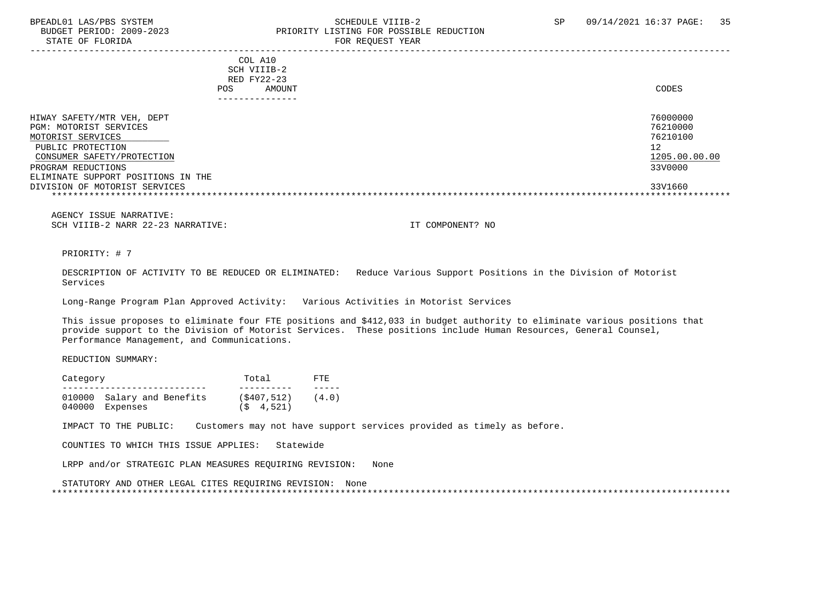STATE OF FLORIDA FOR STATE OF STATE OF STATE OF STATE OF STATE OF STATE OF STATE OF STATE OF STATE OF STATE OF STATE OF STATE OF STATE OF STATE OF STATE OF STATE OF STATE OF STATE OF STATE OF STATE OF STATE OF STATE OF STA

# BPEADL01 LAS/PBS SYSTEM SOHEDULE VIIIB-2 SCHEDULE VIIIB-2 SP 09/14/2021 16:37 PAGE: 35<br>BUDGET PERIOD: 2009-2023 PRIORITY LISTING FOR POSSIBLE REDUCTION PRIORITY LISTING FOR POSSIBLE REDUCTION

-----------------------------------------------------------------------------------------------------------------------------------

 COL A10 SCH VIIIB-2 RED FY22-23 POS AMOUNT CODES ---------------

| HIWAY SAFETY/MTR VEH, DEPT         | 76000000      |
|------------------------------------|---------------|
| PGM: MOTORIST SERVICES             | 76210000      |
| MOTORIST SERVICES                  | 76210100      |
| PUBLIC PROTECTION                  | 12            |
| CONSUMER SAFETY/PROTECTION         | 1205.00.00.00 |
| PROGRAM REDUCTIONS                 | 33V0000       |
| ELIMINATE SUPPORT POSITIONS IN THE |               |
| DIVISION OF MOTORIST SERVICES      | 33V1660       |
|                                    |               |

 AGENCY ISSUE NARRATIVE: SCH VIIIB-2 NARR 22-23 NARRATIVE: IT COMPONENT? NO

PRIORITY: # 7

 DESCRIPTION OF ACTIVITY TO BE REDUCED OR ELIMINATED: Reduce Various Support Positions in the Division of Motorist Services

Long-Range Program Plan Approved Activity: Various Activities in Motorist Services

 This issue proposes to eliminate four FTE positions and \$412,033 in budget authority to eliminate various positions that provide support to the Division of Motorist Services. These positions include Human Resources, General Counsel, Performance Management, and Communications.

REDUCTION SUMMARY:

| Category |                            | Total          | FTF.  |
|----------|----------------------------|----------------|-------|
|          |                            |                |       |
|          | 010000 Salary and Benefits | (S407.512)     | (4.0) |
|          | 040000 Expenses            | $(S \t 4.521)$ |       |

IMPACT TO THE PUBLIC: Customers may not have support services provided as timely as before.

COUNTIES TO WHICH THIS ISSUE APPLIES: Statewide

LRPP and/or STRATEGIC PLAN MEASURES REQUIRING REVISION: None

 STATUTORY AND OTHER LEGAL CITES REQUIRING REVISION: None \*\*\*\*\*\*\*\*\*\*\*\*\*\*\*\*\*\*\*\*\*\*\*\*\*\*\*\*\*\*\*\*\*\*\*\*\*\*\*\*\*\*\*\*\*\*\*\*\*\*\*\*\*\*\*\*\*\*\*\*\*\*\*\*\*\*\*\*\*\*\*\*\*\*\*\*\*\*\*\*\*\*\*\*\*\*\*\*\*\*\*\*\*\*\*\*\*\*\*\*\*\*\*\*\*\*\*\*\*\*\*\*\*\*\*\*\*\*\*\*\*\*\*\*\*\*\*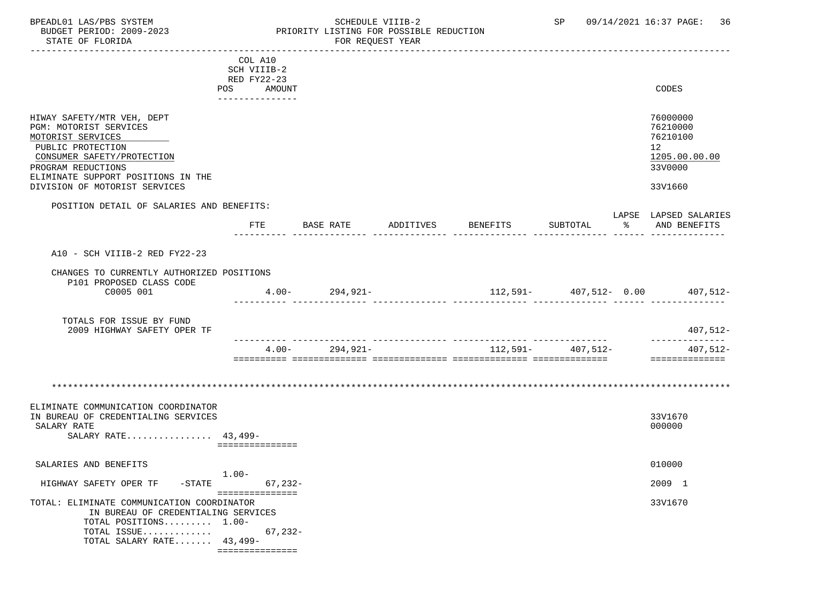BPEADL01 LAS/PBS SYSTEM STRING THE SCHEDULE VIIIB-2 SP 09/14/2021 16:37 PAGE: 36<br>BUDGET PERIOD: 2009-2023 PRIORITY LISTING FOR POSSIBLE REDUCTION BUDGET PERIOD: 2009-2023 PRIORITY LISTING FOR POSSIBLE REDUCTION

|                                                                                                                                                    | COL A10                      |                      |                    |                   |                                                                                 |
|----------------------------------------------------------------------------------------------------------------------------------------------------|------------------------------|----------------------|--------------------|-------------------|---------------------------------------------------------------------------------|
|                                                                                                                                                    | SCH VIIIB-2                  |                      |                    |                   |                                                                                 |
|                                                                                                                                                    | RED FY22-23                  |                      |                    |                   |                                                                                 |
|                                                                                                                                                    | POS<br>AMOUNT                |                      |                    |                   | <b>CODES</b>                                                                    |
|                                                                                                                                                    | ---------------              |                      |                    |                   |                                                                                 |
| HIWAY SAFETY/MTR VEH, DEPT<br>PGM: MOTORIST SERVICES<br>MOTORIST SERVICES<br>PUBLIC PROTECTION<br>CONSUMER SAFETY/PROTECTION<br>PROGRAM REDUCTIONS |                              |                      |                    |                   | 76000000<br>76210000<br>76210100<br>12 <sup>7</sup><br>1205.00.00.00<br>33V0000 |
| ELIMINATE SUPPORT POSITIONS IN THE                                                                                                                 |                              |                      |                    |                   |                                                                                 |
| DIVISION OF MOTORIST SERVICES                                                                                                                      |                              |                      |                    |                   | 33V1660                                                                         |
|                                                                                                                                                    |                              |                      |                    |                   |                                                                                 |
| POSITION DETAIL OF SALARIES AND BENEFITS:                                                                                                          |                              |                      |                    |                   |                                                                                 |
|                                                                                                                                                    |                              |                      |                    |                   | LAPSE LAPSED SALARIES                                                           |
|                                                                                                                                                    | FTE                          | BASE RATE            | ADDITIVES BENEFITS | SUBTOTAL          | ႜ<br>AND BENEFITS                                                               |
|                                                                                                                                                    |                              |                      |                    |                   |                                                                                 |
| A10 - SCH VIIIB-2 RED FY22-23                                                                                                                      |                              |                      |                    |                   |                                                                                 |
| CHANGES TO CURRENTLY AUTHORIZED POSITIONS                                                                                                          |                              |                      |                    |                   |                                                                                 |
| P101 PROPOSED CLASS CODE                                                                                                                           |                              |                      |                    |                   |                                                                                 |
| C0005 001                                                                                                                                          |                              | $4.00 - 294,921 -$   |                    |                   | - $112,591$ $407,512$ $407,512$ $407,512$ $407,512$                             |
|                                                                                                                                                    |                              |                      |                    |                   |                                                                                 |
|                                                                                                                                                    |                              |                      |                    |                   |                                                                                 |
| TOTALS FOR ISSUE BY FUND                                                                                                                           |                              |                      |                    |                   |                                                                                 |
| 2009 HIGHWAY SAFETY OPER TF                                                                                                                        |                              |                      |                    |                   | $407,512-$                                                                      |
|                                                                                                                                                    |                              |                      |                    |                   | ---------------                                                                 |
|                                                                                                                                                    |                              | 294,921-<br>$4.00 -$ |                    | 112,591- 407,512- | 407,512-                                                                        |
|                                                                                                                                                    |                              |                      |                    |                   | _______________                                                                 |
|                                                                                                                                                    |                              |                      |                    |                   |                                                                                 |
| ELIMINATE COMMUNICATION COORDINATOR                                                                                                                |                              |                      |                    |                   |                                                                                 |
| IN BUREAU OF CREDENTIALING SERVICES                                                                                                                |                              |                      |                    |                   | 33V1670                                                                         |
| SALARY RATE                                                                                                                                        |                              |                      |                    |                   | 000000                                                                          |
| SALARY RATE 43,499-                                                                                                                                |                              |                      |                    |                   |                                                                                 |
|                                                                                                                                                    | ===============              |                      |                    |                   |                                                                                 |
|                                                                                                                                                    |                              |                      |                    |                   |                                                                                 |
| SALARIES AND BENEFITS                                                                                                                              |                              |                      |                    |                   | 010000                                                                          |
|                                                                                                                                                    | $1.00-$                      |                      |                    |                   |                                                                                 |
| HIGHWAY SAFETY OPER TF                                                                                                                             | $-STATE$<br>$67,232-$        |                      |                    |                   | 2009 1                                                                          |
| TOTAL: ELIMINATE COMMUNICATION COORDINATOR<br>IN BUREAU OF CREDENTIALING SERVICES<br>TOTAL POSITIONS 1.00-<br>TOTAL ISSUE                          | ===============<br>$67,232-$ |                      |                    |                   | 33V1670                                                                         |
| TOTAL SALARY RATE 43,499-                                                                                                                          |                              |                      |                    |                   |                                                                                 |
|                                                                                                                                                    | ================             |                      |                    |                   |                                                                                 |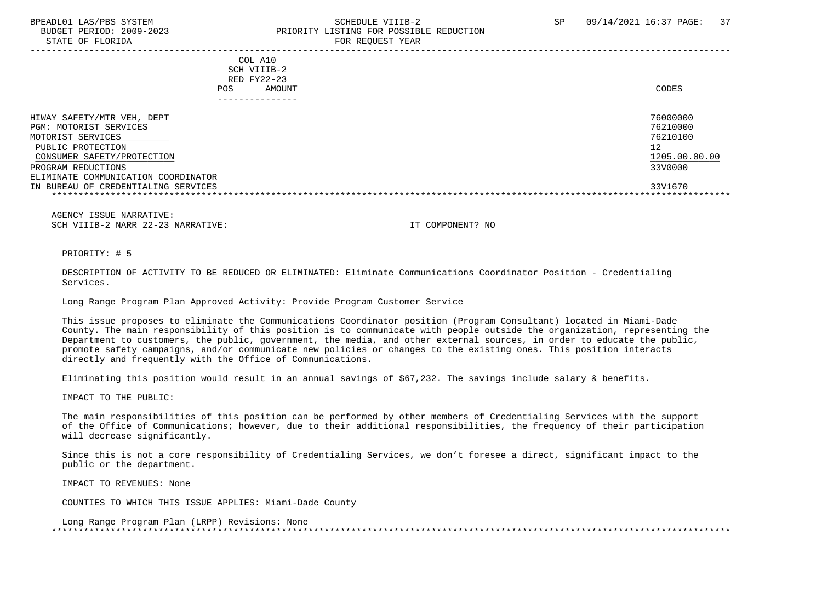STATE OF FLORIDA FOR STATE OF STATE OF STATE OF STATE OF STATE OF STATE OF STATE OF STATE OF STATE OF STATE OF STATE OF STATE OF STATE OF STATE OF STATE OF STATE OF STATE OF STATE OF STATE OF STATE OF STATE OF STATE OF STA

-----------------------------------------------------------------------------------------------------------------------------------

 COL A10 SCH VIIIB-2 RED FY22-23 POS AMOUNT CODES

| ------------                        |               |
|-------------------------------------|---------------|
| HIWAY SAFETY/MTR VEH, DEPT          | 76000000      |
| PGM: MOTORIST SERVICES              | 76210000      |
| MOTORIST SERVICES                   | 76210100      |
| PUBLIC PROTECTION                   | 12            |
| CONSUMER SAFETY/PROTECTION          | 1205.00.00.00 |
| PROGRAM REDUCTIONS                  | 33V0000       |
| ELIMINATE COMMUNICATION COORDINATOR |               |
| IN BUREAU OF CREDENTIALING SERVICES | 33V1670       |
|                                     |               |

 AGENCY ISSUE NARRATIVE: SCH VIIIB-2 NARR 22-23 NARRATIVE: IT COMPONENT? NO

PRIORITY: # 5

 DESCRIPTION OF ACTIVITY TO BE REDUCED OR ELIMINATED: Eliminate Communications Coordinator Position - Credentialing Services.

Long Range Program Plan Approved Activity: Provide Program Customer Service

 This issue proposes to eliminate the Communications Coordinator position (Program Consultant) located in Miami-Dade County. The main responsibility of this position is to communicate with people outside the organization, representing the Department to customers, the public, government, the media, and other external sources, in order to educate the public, promote safety campaigns, and/or communicate new policies or changes to the existing ones. This position interacts directly and frequently with the Office of Communications.

Eliminating this position would result in an annual savings of \$67,232. The savings include salary & benefits.

IMPACT TO THE PUBLIC:

 The main responsibilities of this position can be performed by other members of Credentialing Services with the support of the Office of Communications; however, due to their additional responsibilities, the frequency of their participation will decrease significantly.

 Since this is not a core responsibility of Credentialing Services, we don't foresee a direct, significant impact to the public or the department.

IMPACT TO REVENUES: None

COUNTIES TO WHICH THIS ISSUE APPLIES: Miami-Dade County

 Long Range Program Plan (LRPP) Revisions: None \*\*\*\*\*\*\*\*\*\*\*\*\*\*\*\*\*\*\*\*\*\*\*\*\*\*\*\*\*\*\*\*\*\*\*\*\*\*\*\*\*\*\*\*\*\*\*\*\*\*\*\*\*\*\*\*\*\*\*\*\*\*\*\*\*\*\*\*\*\*\*\*\*\*\*\*\*\*\*\*\*\*\*\*\*\*\*\*\*\*\*\*\*\*\*\*\*\*\*\*\*\*\*\*\*\*\*\*\*\*\*\*\*\*\*\*\*\*\*\*\*\*\*\*\*\*\*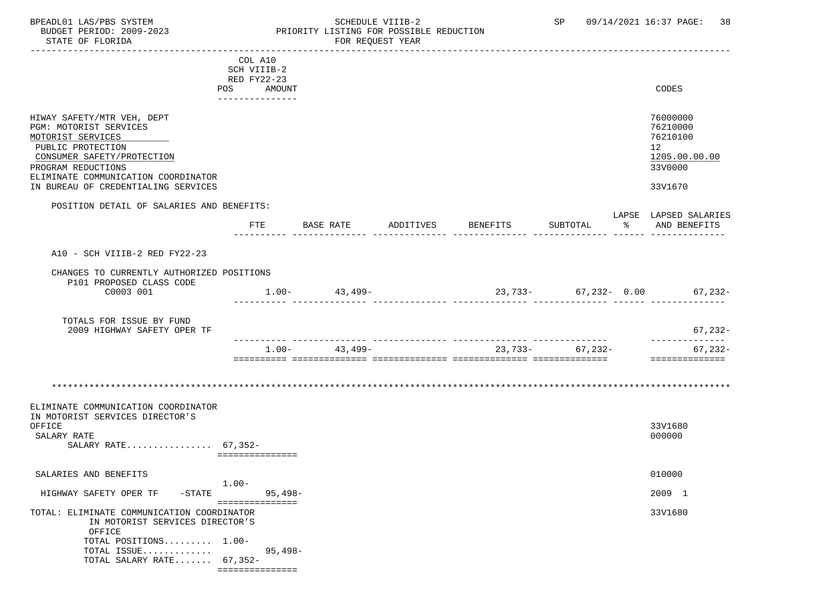### BPEADL01 LAS/PBS SYSTEM STRIM SCHEDULE VIIIB-2 SCHEDULE VIIIB-2 SP 09/14/2021 16:37 PAGE: 38 BUDGET PERIOD: 2009-2023 PRIORITY LISTING FOR POSSIBLE REDUCTION

|                                            | COL A10         |                   |           |                        |                   |                       |
|--------------------------------------------|-----------------|-------------------|-----------|------------------------|-------------------|-----------------------|
|                                            | SCH VIIIB-2     |                   |           |                        |                   |                       |
|                                            | RED FY22-23     |                   |           |                        |                   |                       |
|                                            | POS AMOUNT      |                   |           |                        |                   | CODES                 |
|                                            | --------------  |                   |           |                        |                   |                       |
|                                            |                 |                   |           |                        |                   |                       |
| HIWAY SAFETY/MTR VEH, DEPT                 |                 |                   |           |                        |                   | 76000000              |
| PGM: MOTORIST SERVICES                     |                 |                   |           |                        |                   | 76210000              |
| MOTORIST SERVICES                          |                 |                   |           |                        |                   | 76210100              |
| PUBLIC PROTECTION                          |                 |                   |           |                        |                   | 12 <sup>12</sup>      |
| CONSUMER SAFETY/PROTECTION                 |                 |                   |           |                        |                   | 1205.00.00.00         |
| PROGRAM REDUCTIONS                         |                 |                   |           |                        |                   | 33V0000               |
| ELIMINATE COMMUNICATION COORDINATOR        |                 |                   |           |                        |                   | 33V1670               |
| IN BUREAU OF CREDENTIALING SERVICES        |                 |                   |           |                        |                   |                       |
| POSITION DETAIL OF SALARIES AND BENEFITS:  |                 |                   |           |                        |                   |                       |
|                                            |                 |                   |           |                        |                   | LAPSE LAPSED SALARIES |
|                                            | FTE             | BASE RATE         | ADDITIVES | BENEFITS               | SUBTOTAL          | % AND BENEFITS        |
|                                            |                 |                   |           |                        |                   |                       |
|                                            |                 |                   |           |                        |                   |                       |
| A10 - SCH VIIIB-2 RED FY22-23              |                 |                   |           |                        |                   |                       |
|                                            |                 |                   |           |                        |                   |                       |
| CHANGES TO CURRENTLY AUTHORIZED POSITIONS  |                 |                   |           |                        |                   |                       |
| P101 PROPOSED CLASS CODE                   |                 |                   |           |                        |                   |                       |
| C0003 001                                  |                 | $1.00 - 43,499 -$ |           | $23,733-$ 67,232- 0.00 |                   | $67, 232 -$           |
|                                            |                 |                   |           |                        |                   |                       |
| TOTALS FOR ISSUE BY FUND                   |                 |                   |           |                        |                   |                       |
| 2009 HIGHWAY SAFETY OPER TF                |                 |                   |           |                        |                   | $67, 232 -$           |
|                                            |                 |                   |           |                        |                   | ______________        |
|                                            | $1.00 -$        | 43,499-           |           |                        | $23,733-$ 67,232- | $67, 232 -$           |
|                                            |                 |                   |           |                        |                   | ---------------       |
|                                            |                 |                   |           |                        |                   |                       |
|                                            |                 |                   |           |                        |                   |                       |
|                                            |                 |                   |           |                        |                   |                       |
|                                            |                 |                   |           |                        |                   |                       |
| ELIMINATE COMMUNICATION COORDINATOR        |                 |                   |           |                        |                   |                       |
| IN MOTORIST SERVICES DIRECTOR'S<br>OFFICE  |                 |                   |           |                        |                   | 33V1680               |
| SALARY RATE                                |                 |                   |           |                        |                   | 000000                |
| SALARY RATE 67,352-                        |                 |                   |           |                        |                   |                       |
|                                            | =============== |                   |           |                        |                   |                       |
|                                            |                 |                   |           |                        |                   |                       |
| SALARIES AND BENEFITS                      |                 |                   |           |                        |                   | 010000                |
|                                            | $1.00 -$        |                   |           |                        |                   |                       |
| HIGHWAY SAFETY OPER TF<br>$-STATE$         | 95,498–         |                   |           |                        |                   | 2009 1                |
|                                            | =============== |                   |           |                        |                   |                       |
| TOTAL: ELIMINATE COMMUNICATION COORDINATOR |                 |                   |           |                        |                   | 33V1680               |
| IN MOTORIST SERVICES DIRECTOR'S            |                 |                   |           |                        |                   |                       |
| OFFICE                                     |                 |                   |           |                        |                   |                       |
| TOTAL POSITIONS 1.00-                      |                 |                   |           |                        |                   |                       |
| TOTAL ISSUE<br>TOTAL SALARY RATE 67,352-   | $95,498-$       |                   |           |                        |                   |                       |
|                                            | =============== |                   |           |                        |                   |                       |
|                                            |                 |                   |           |                        |                   |                       |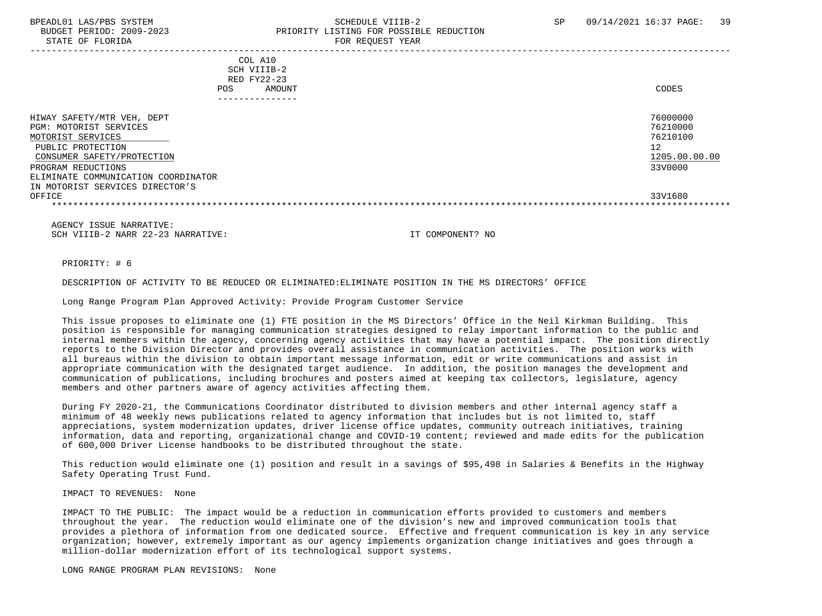STATE OF FLORIDA FOR REQUEST YEAR

# BPEADL01 LAS/PBS SYSTEM SALL SALL SOMEDULE VIIIB-2 SP 09/14/2021 16:37 PAGE: 39 BUDGET PERIOD: 2009-2023 PRIORITY LISTING FOR POSSIBLE REDUCTION

| COL A10<br>SCH VIIIB-2<br>RED FY22-23<br>AMOUNT<br><b>POS</b><br>------------ | CODES                    |
|-------------------------------------------------------------------------------|--------------------------|
| HIWAY SAFETY/MTR VEH, DEPT                                                    | 76000000                 |
| PGM: MOTORIST SERVICES<br>MOTORIST SERVICES                                   | 76210000<br>76210100     |
| PUBLIC PROTECTION                                                             | 12                       |
| CONSUMER SAFETY/PROTECTION<br>PROGRAM REDUCTIONS                              | 1205.00.00.00<br>33V0000 |
| ELIMINATE COMMUNICATION COORDINATOR<br>IN MOTORIST SERVICES DIRECTOR'S        |                          |
| OFFICE                                                                        | 33V1680                  |
|                                                                               |                          |

 AGENCY ISSUE NARRATIVE: SCH VIIIB-2 NARR 22-23 NARRATIVE: IT COMPONENT? NO

#### PRIORITY: # 6

#### DESCRIPTION OF ACTIVITY TO BE REDUCED OR ELIMINATED:ELIMINATE POSITION IN THE MS DIRECTORS' OFFICE

Long Range Program Plan Approved Activity: Provide Program Customer Service

 This issue proposes to eliminate one (1) FTE position in the MS Directors' Office in the Neil Kirkman Building. This position is responsible for managing communication strategies designed to relay important information to the public and internal members within the agency, concerning agency activities that may have a potential impact. The position directly reports to the Division Director and provides overall assistance in communication activities. The position works with all bureaus within the division to obtain important message information, edit or write communications and assist in appropriate communication with the designated target audience. In addition, the position manages the development and communication of publications, including brochures and posters aimed at keeping tax collectors, legislature, agency members and other partners aware of agency activities affecting them.

 During FY 2020-21, the Communications Coordinator distributed to division members and other internal agency staff a minimum of 48 weekly news publications related to agency information that includes but is not limited to, staff appreciations, system modernization updates, driver license office updates, community outreach initiatives, training information, data and reporting, organizational change and COVID-19 content; reviewed and made edits for the publication of 600,000 Driver License handbooks to be distributed throughout the state.

 This reduction would eliminate one (1) position and result in a savings of \$95,498 in Salaries & Benefits in the Highway Safety Operating Trust Fund.

IMPACT TO REVENUES: None

 IMPACT TO THE PUBLIC: The impact would be a reduction in communication efforts provided to customers and members throughout the year. The reduction would eliminate one of the division's new and improved communication tools that provides a plethora of information from one dedicated source. Effective and frequent communication is key in any service organization; however, extremely important as our agency implements organization change initiatives and goes through a million-dollar modernization effort of its technological support systems.

LONG RANGE PROGRAM PLAN REVISIONS: None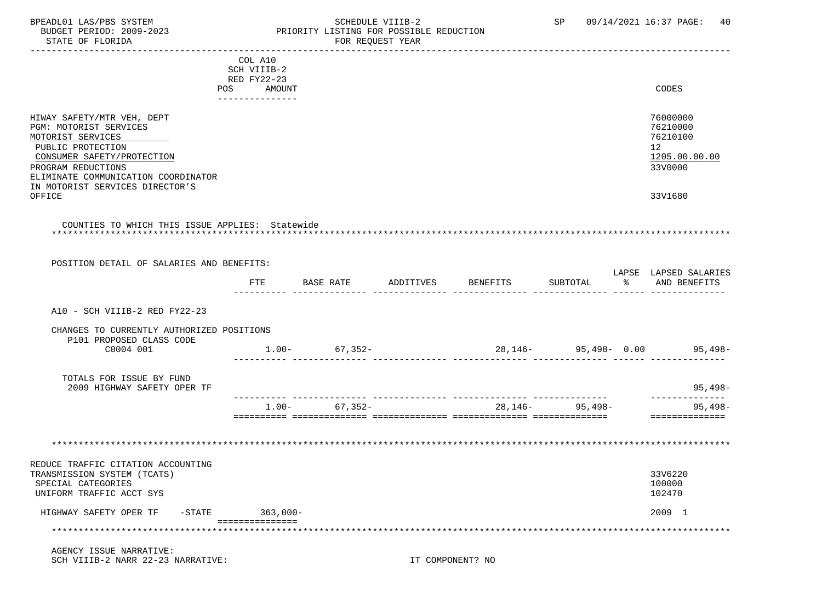STATE OF FLORIDA **FOR STATE OF STATE OF STATE OF STATE OF STATE ASS** 

### BPEADL01 LAS/PBS SYSTEM SALL SOME SCHEDULE VIIIB-2 SCHEDULE SP 09/14/2021 16:37 PAGE: 40 BUDGET PERIOD: 2009-2023 PRIORITY LISTING FOR POSSIBLE REDUCTION

|                                                 | COL A10                  |        |                   |           |          |                            |                              |
|-------------------------------------------------|--------------------------|--------|-------------------|-----------|----------|----------------------------|------------------------------|
|                                                 | SCH VIIIB-2              |        |                   |           |          |                            |                              |
|                                                 | RED FY22-23              |        |                   |           |          |                            |                              |
|                                                 | POS                      | AMOUNT |                   |           |          |                            | CODES                        |
|                                                 | . Le Le Le Le Le Le Le L |        |                   |           |          |                            |                              |
|                                                 |                          |        |                   |           |          |                            |                              |
| HIWAY SAFETY/MTR VEH, DEPT                      |                          |        |                   |           |          |                            | 76000000                     |
| PGM: MOTORIST SERVICES                          |                          |        |                   |           |          |                            | 76210000                     |
| MOTORIST SERVICES                               |                          |        |                   |           |          |                            | 76210100                     |
| PUBLIC PROTECTION                               |                          |        |                   |           |          |                            | 12                           |
| CONSUMER SAFETY/PROTECTION                      |                          |        |                   |           |          |                            | 1205.00.00.00                |
| PROGRAM REDUCTIONS                              |                          |        |                   |           |          |                            | 33V0000                      |
| ELIMINATE COMMUNICATION COORDINATOR             |                          |        |                   |           |          |                            |                              |
| IN MOTORIST SERVICES DIRECTOR'S                 |                          |        |                   |           |          |                            |                              |
| OFFICE                                          |                          |        |                   |           |          |                            | 33V1680                      |
|                                                 |                          |        |                   |           |          |                            |                              |
|                                                 |                          |        |                   |           |          |                            |                              |
| COUNTIES TO WHICH THIS ISSUE APPLIES: Statewide |                          |        |                   |           |          |                            |                              |
|                                                 |                          |        |                   |           |          |                            |                              |
|                                                 |                          |        |                   |           |          |                            |                              |
|                                                 |                          |        |                   |           |          |                            |                              |
| POSITION DETAIL OF SALARIES AND BENEFITS:       |                          |        |                   |           |          |                            | LAPSE LAPSED SALARIES        |
|                                                 | FTE                      |        | BASE RATE         | ADDITIVES | BENEFITS | SUBTOTAL                   | % AND BENEFITS               |
|                                                 |                          |        |                   |           |          |                            |                              |
|                                                 |                          |        |                   |           |          |                            |                              |
| A10 - SCH VIIIB-2 RED FY22-23                   |                          |        |                   |           |          |                            |                              |
|                                                 |                          |        |                   |           |          |                            |                              |
| CHANGES TO CURRENTLY AUTHORIZED POSITIONS       |                          |        |                   |           |          |                            |                              |
| P101 PROPOSED CLASS CODE                        |                          |        |                   |           |          |                            |                              |
| C0004 001                                       |                          |        | $1.00 - 67,352 -$ |           |          |                            | 28,146- 95,498- 0.00 95,498- |
|                                                 |                          |        |                   |           |          |                            |                              |
|                                                 |                          |        |                   |           |          |                            |                              |
| TOTALS FOR ISSUE BY FUND                        |                          |        |                   |           |          |                            |                              |
| 2009 HIGHWAY SAFETY OPER TF                     |                          |        |                   |           |          |                            | $95,498-$                    |
|                                                 |                          |        |                   |           |          | __________________________ |                              |
|                                                 |                          |        | $1.00 - 67,352 -$ |           |          | 28, 146 - 95, 498 -        | 95,498-                      |
|                                                 |                          |        |                   |           |          |                            | ==============               |
|                                                 |                          |        |                   |           |          |                            |                              |
|                                                 |                          |        |                   |           |          |                            |                              |
|                                                 |                          |        |                   |           |          |                            |                              |
|                                                 |                          |        |                   |           |          |                            |                              |
| REDUCE TRAFFIC CITATION ACCOUNTING              |                          |        |                   |           |          |                            |                              |
| TRANSMISSION SYSTEM (TCATS)                     |                          |        |                   |           |          |                            | 33V6220                      |
| SPECIAL CATEGORIES                              |                          |        |                   |           |          |                            | 100000                       |
| UNIFORM TRAFFIC ACCT SYS                        |                          |        |                   |           |          |                            | 102470                       |
|                                                 |                          |        |                   |           |          |                            |                              |
| HIGHWAY SAFETY OPER TF                          | -STATE 363,000-          |        |                   |           |          |                            | 2009 1                       |
|                                                 | ===============          |        |                   |           |          |                            |                              |
| *********************************               |                          |        |                   |           |          |                            |                              |
|                                                 |                          |        |                   |           |          |                            |                              |

 AGENCY ISSUE NARRATIVE: SCH VIIIB-2 NARR 22-23 NARRATIVE: IT COMPONENT? NO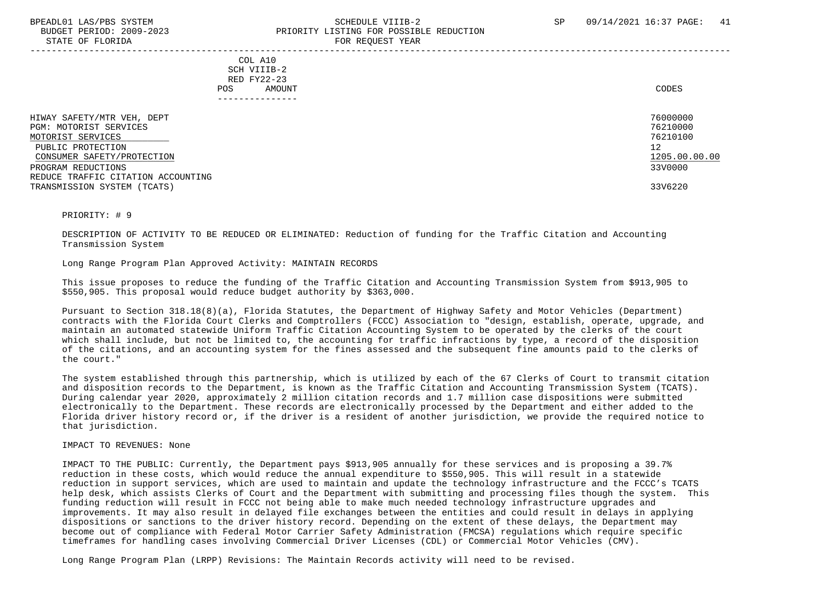#### BPEADL01 LAS/PBS SYSTEM SALL SALL SOMEDULE VIIIB-2 SP 09/14/2021 16:37 PAGE: 41 BUDGET PERIOD: 2009-2023 PRIORITY LISTING FOR POSSIBLE REDUCTION STATE OF FLORIDA **FOR REQUEST YEAR**

-----------------------------------------------------------------------------------------------------------------------------------

 COL A10 SCH VIIIB-2 RED FY22-23 POS AMOUNT CODES ---------------

| HIWAY SAFETY/MTR VEH, DEPT         | 76000000      |
|------------------------------------|---------------|
| PGM: MOTORIST SERVICES             | 76210000      |
| MOTORIST SERVICES                  | 76210100      |
| PUBLIC PROTECTION                  | 12            |
| CONSUMER SAFETY/PROTECTION         | 1205.00.00.00 |
| PROGRAM REDUCTIONS                 | 33V0000       |
| REDUCE TRAFFIC CITATION ACCOUNTING |               |
| TRANSMISSION SYSTEM (TCATS)        | 33V6220       |

PRIORITY: # 9

 DESCRIPTION OF ACTIVITY TO BE REDUCED OR ELIMINATED: Reduction of funding for the Traffic Citation and Accounting Transmission System

Long Range Program Plan Approved Activity: MAINTAIN RECORDS

 This issue proposes to reduce the funding of the Traffic Citation and Accounting Transmission System from \$913,905 to \$550,905. This proposal would reduce budget authority by \$363,000.

 Pursuant to Section 318.18(8)(a), Florida Statutes, the Department of Highway Safety and Motor Vehicles (Department) contracts with the Florida Court Clerks and Comptrollers (FCCC) Association to "design, establish, operate, upgrade, and maintain an automated statewide Uniform Traffic Citation Accounting System to be operated by the clerks of the court which shall include, but not be limited to, the accounting for traffic infractions by type, a record of the disposition of the citations, and an accounting system for the fines assessed and the subsequent fine amounts paid to the clerks of the court."

 The system established through this partnership, which is utilized by each of the 67 Clerks of Court to transmit citation and disposition records to the Department, is known as the Traffic Citation and Accounting Transmission System (TCATS). During calendar year 2020, approximately 2 million citation records and 1.7 million case dispositions were submitted electronically to the Department. These records are electronically processed by the Department and either added to the Florida driver history record or, if the driver is a resident of another jurisdiction, we provide the required notice to that jurisdiction.

IMPACT TO REVENUES: None

 IMPACT TO THE PUBLIC: Currently, the Department pays \$913,905 annually for these services and is proposing a 39.7% reduction in these costs, which would reduce the annual expenditure to \$550,905. This will result in a statewide reduction in support services, which are used to maintain and update the technology infrastructure and the FCCC's TCATS help desk, which assists Clerks of Court and the Department with submitting and processing files though the system. This funding reduction will result in FCCC not being able to make much needed technology infrastructure upgrades and improvements. It may also result in delayed file exchanges between the entities and could result in delays in applying dispositions or sanctions to the driver history record. Depending on the extent of these delays, the Department may become out of compliance with Federal Motor Carrier Safety Administration (FMCSA) regulations which require specific timeframes for handling cases involving Commercial Driver Licenses (CDL) or Commercial Motor Vehicles (CMV).

Long Range Program Plan (LRPP) Revisions: The Maintain Records activity will need to be revised.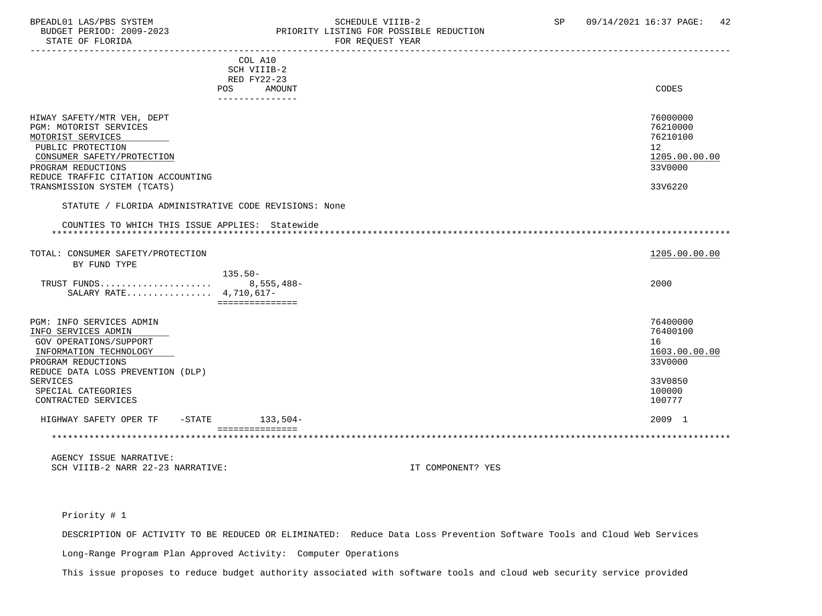#### BPEADL01 LAS/PBS SYSTEM SALLE STRIDULE VIIIB-2 SCHEDULE VIIIB-2 SP 09/14/2021 16:37 PAGE: 42 BUDGET PERIOD: 2009-2023<br>
STATE OF FLORIDA<br>
FOR REQUEST YEAR
FOR REQUEST TEAR FOR REQUEST YEAR

|                                                                                                                                                                                                                                |           | COL A10<br>SCH VIIIB-2<br>RED FY22-23<br>POS.<br>AMOUNT<br>--------------- | CODES                                                                                 |
|--------------------------------------------------------------------------------------------------------------------------------------------------------------------------------------------------------------------------------|-----------|----------------------------------------------------------------------------|---------------------------------------------------------------------------------------|
| HIWAY SAFETY/MTR VEH, DEPT<br>PGM: MOTORIST SERVICES<br>MOTORIST SERVICES<br>PUBLIC PROTECTION<br>CONSUMER SAFETY/PROTECTION<br>PROGRAM REDUCTIONS<br>REDUCE TRAFFIC CITATION ACCOUNTING<br>TRANSMISSION SYSTEM (TCATS)        |           | STATUTE / FLORIDA ADMINISTRATIVE CODE REVISIONS: None                      | 76000000<br>76210000<br>76210100<br>12<br>1205.00.00.00<br>33V0000<br>33V6220         |
|                                                                                                                                                                                                                                |           |                                                                            |                                                                                       |
| COUNTIES TO WHICH THIS ISSUE APPLIES: Statewide                                                                                                                                                                                |           |                                                                            |                                                                                       |
| TOTAL: CONSUMER SAFETY/PROTECTION<br>BY FUND TYPE                                                                                                                                                                              |           |                                                                            | 1205.00.00.00                                                                         |
| TRUST FUNDS<br>SALARY RATE 4,710,617-                                                                                                                                                                                          |           | $135.50-$<br>8,555,488-<br>===============                                 | 2000                                                                                  |
| PGM: INFO SERVICES ADMIN<br>INFO SERVICES ADMIN<br>GOV OPERATIONS/SUPPORT<br>INFORMATION TECHNOLOGY<br>PROGRAM REDUCTIONS<br>REDUCE DATA LOSS PREVENTION (DLP)<br><b>SERVICES</b><br>SPECIAL CATEGORIES<br>CONTRACTED SERVICES |           |                                                                            | 76400000<br>76400100<br>16<br>1603.00.00.00<br>33V0000<br>33V0850<br>100000<br>100777 |
| HIGHWAY SAFETY OPER TF                                                                                                                                                                                                         | $-$ STATE | 133,504-                                                                   | 2009 1                                                                                |
|                                                                                                                                                                                                                                |           | ===============                                                            |                                                                                       |

 AGENCY ISSUE NARRATIVE: SCH VIIIB-2 NARR 22-23 NARRATIVE: IT COMPONENT? YES

#### Priority # 1

DESCRIPTION OF ACTIVITY TO BE REDUCED OR ELIMINATED: Reduce Data Loss Prevention Software Tools and Cloud Web Services

Long-Range Program Plan Approved Activity: Computer Operations

This issue proposes to reduce budget authority associated with software tools and cloud web security service provided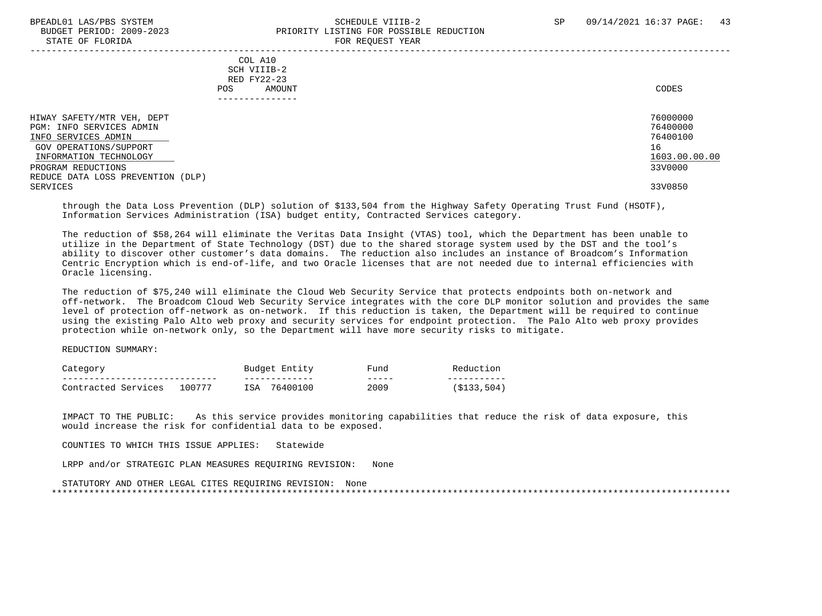STATE OF FLORIDA FOR REQUEST YEAR

# BPEADL01 LAS/PBS SYSTEM SCHEDULE VIIIB-2 SCHEDULE VIIIB-2 SP 09/14/2021 16:37 PAGE: 43 PRIORITY LISTING FOR POSSIBLE REDUCTION<br>FOR PEOLIFST VEAP

| DIAIE OF FEORIDA                                                                                                                                                                                         | TON NEQUEST TEAM                                        |                                                                               |
|----------------------------------------------------------------------------------------------------------------------------------------------------------------------------------------------------------|---------------------------------------------------------|-------------------------------------------------------------------------------|
|                                                                                                                                                                                                          | COL A10<br>SCH VIIIB-2<br>RED FY22-23<br>AMOUNT<br>POS. | CODES                                                                         |
| HIWAY SAFETY/MTR VEH, DEPT<br>PGM: INFO SERVICES ADMIN<br>INFO SERVICES ADMIN<br>GOV OPERATIONS/SUPPORT<br>INFORMATION TECHNOLOGY<br>PROGRAM REDUCTIONS<br>REDUCE DATA LOSS PREVENTION (DLP)<br>SERVICES |                                                         | 76000000<br>76400000<br>76400100<br>16<br>1603.00.00.00<br>33V0000<br>33V0850 |

 through the Data Loss Prevention (DLP) solution of \$133,504 from the Highway Safety Operating Trust Fund (HSOTF), Information Services Administration (ISA) budget entity, Contracted Services category.

 The reduction of \$58,264 will eliminate the Veritas Data Insight (VTAS) tool, which the Department has been unable to utilize in the Department of State Technology (DST) due to the shared storage system used by the DST and the tool's ability to discover other customer's data domains. The reduction also includes an instance of Broadcom's Information Centric Encryption which is end-of-life, and two Oracle licenses that are not needed due to internal efficiencies with Oracle licensing.

 The reduction of \$75,240 will eliminate the Cloud Web Security Service that protects endpoints both on-network and off-network. The Broadcom Cloud Web Security Service integrates with the core DLP monitor solution and provides the same level of protection off-network as on-network. If this reduction is taken, the Department will be required to continue using the existing Palo Alto web proxy and security services for endpoint protection. The Palo Alto web proxy provides protection while on-network only, so the Department will have more security risks to mitigate.

REDUCTION SUMMARY:

| Categor                |        |            | Budget<br>Entity | Fund      |     |
|------------------------|--------|------------|------------------|-----------|-----|
|                        |        |            | -------------    | _____     |     |
| Contracted<br>Services | 100777 | <b>TSA</b> | 76400100         | 2009<br>. | 504 |

 IMPACT TO THE PUBLIC: As this service provides monitoring capabilities that reduce the risk of data exposure, this would increase the risk for confidential data to be exposed.

COUNTIES TO WHICH THIS ISSUE APPLIES: Statewide

LRPP and/or STRATEGIC PLAN MEASURES REQUIRING REVISION: None

 STATUTORY AND OTHER LEGAL CITES REQUIRING REVISION: None \*\*\*\*\*\*\*\*\*\*\*\*\*\*\*\*\*\*\*\*\*\*\*\*\*\*\*\*\*\*\*\*\*\*\*\*\*\*\*\*\*\*\*\*\*\*\*\*\*\*\*\*\*\*\*\*\*\*\*\*\*\*\*\*\*\*\*\*\*\*\*\*\*\*\*\*\*\*\*\*\*\*\*\*\*\*\*\*\*\*\*\*\*\*\*\*\*\*\*\*\*\*\*\*\*\*\*\*\*\*\*\*\*\*\*\*\*\*\*\*\*\*\*\*\*\*\*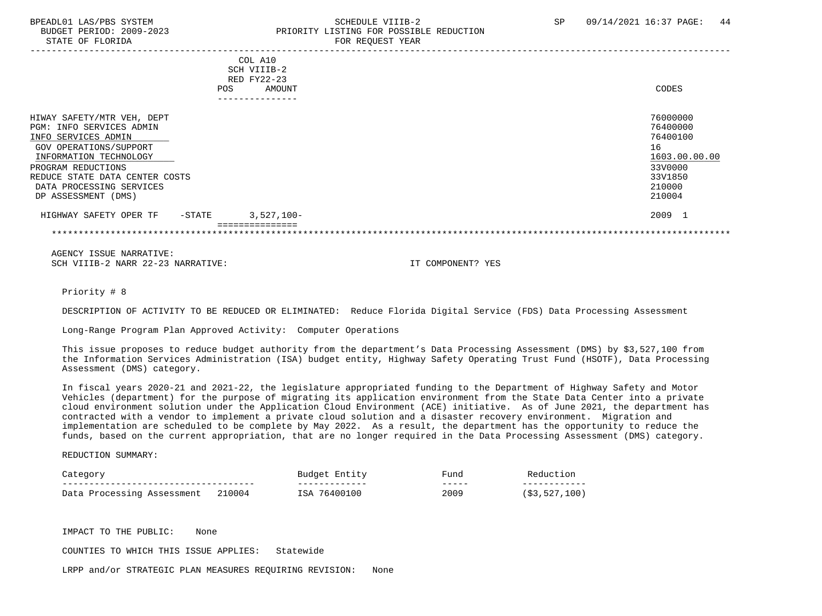#### BPEADL01 LAS/PBS SYSTEM STREAD STREADLOINE SCHEDULE VIIIB-2 SP 09/14/2021 16:37 PAGE: 44 BUDGET PERIOD: 2009-2023<br>
STATE OF FLORIDA<br>
FOR REOUEST YEAR FOR REQUEST YEAR

|                                |            | COL A10       |               |
|--------------------------------|------------|---------------|---------------|
|                                |            | SCH VIIIB-2   |               |
|                                |            | RED FY22-23   |               |
|                                | <b>POS</b> | AMOUNT        | CODES         |
|                                |            | ------------- |               |
|                                |            |               |               |
| HIWAY SAFETY/MTR VEH, DEPT     |            |               | 76000000      |
| PGM: INFO SERVICES ADMIN       |            |               | 76400000      |
| INFO SERVICES ADMIN            |            |               | 76400100      |
| GOV OPERATIONS/SUPPORT         |            |               | 16            |
| INFORMATION TECHNOLOGY         |            |               | 1603.00.00.00 |
| PROGRAM REDUCTIONS             |            |               | 33V0000       |
| REDUCE STATE DATA CENTER COSTS |            |               | 33V1850       |
| DATA PROCESSING SERVICES       |            |               | 210000        |
| DP ASSESSMENT (DMS)            |            |               | 210004        |
| HIGHWAY SAFETY OPER TF         | $-$ STATE  | $3,527,100-$  | 2009 1        |
|                                |            |               |               |
|                                |            |               |               |

 AGENCY ISSUE NARRATIVE: SCH VIIIB-2 NARR 22-23 NARRATIVE: IT COMPONENT? YES

Priority # 8

DESCRIPTION OF ACTIVITY TO BE REDUCED OR ELIMINATED: Reduce Florida Digital Service (FDS) Data Processing Assessment

Long-Range Program Plan Approved Activity: Computer Operations

 This issue proposes to reduce budget authority from the department's Data Processing Assessment (DMS) by \$3,527,100 from the Information Services Administration (ISA) budget entity, Highway Safety Operating Trust Fund (HSOTF), Data Processing Assessment (DMS) category.

 In fiscal years 2020-21 and 2021-22, the legislature appropriated funding to the Department of Highway Safety and Motor Vehicles (department) for the purpose of migrating its application environment from the State Data Center into a private cloud environment solution under the Application Cloud Environment (ACE) initiative. As of June 2021, the department has contracted with a vendor to implement a private cloud solution and a disaster recovery environment. Migration and implementation are scheduled to be complete by May 2022. As a result, the department has the opportunity to reduce the funds, based on the current appropriation, that are no longer required in the Data Processing Assessment (DMS) category.

REDUCTION SUMMARY:

| Jategory                              |        | Budget<br>. Entity | Fund  | Reduction    |  |
|---------------------------------------|--------|--------------------|-------|--------------|--|
| ------------------------------------- |        | _____________      | _____ | ------------ |  |
| Data Processing Assessment            | 210004 | . 76400100<br>ISA  | 2009  | (\$3,527,100 |  |

IMPACT TO THE PUBLIC: None

COUNTIES TO WHICH THIS ISSUE APPLIES: Statewide

LRPP and/or STRATEGIC PLAN MEASURES REQUIRING REVISION: None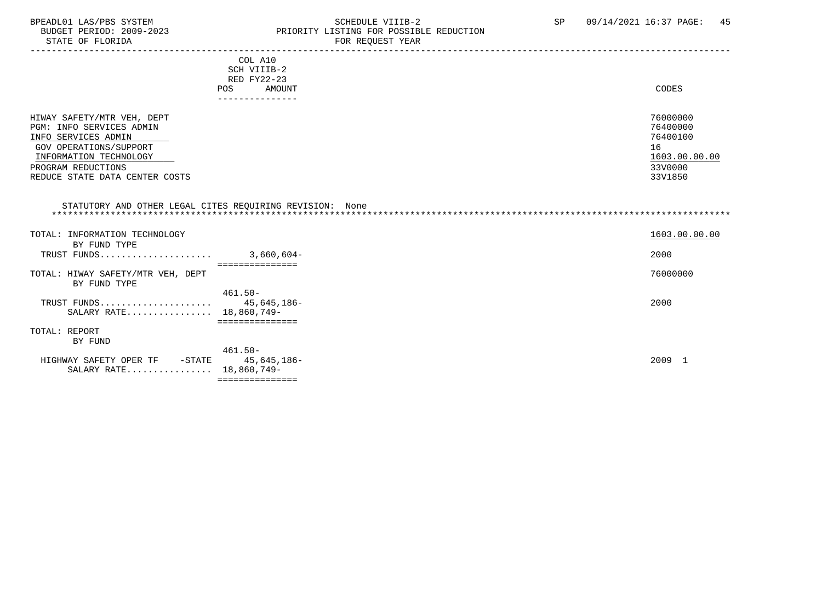#### BPEADL01 LAS/PBS SYSTEM STRING THE SCHEDULE VIIIB-2 SP 09/14/2021 16:37 PAGE: 45<br>BUDGET PERIOD: 2009-2023 PRIORITY LISTING FOR POSSIBLE REDUCTION BUDGET PERIOD: 2009-2023 PRIORITY LISTING FOR POSSIBLE REDUCTION<br>FOR REQUEST YEAR FOR REQUEST YEAR

| COL A10                                                  |               |
|----------------------------------------------------------|---------------|
| SCH VIIIB-2                                              |               |
| RED FY22-23                                              |               |
| <b>POS</b><br>AMOUNT                                     | CODES         |
| ---------------                                          |               |
|                                                          |               |
| HIWAY SAFETY/MTR VEH, DEPT                               | 76000000      |
| PGM: INFO SERVICES ADMIN                                 | 76400000      |
| INFO SERVICES ADMIN                                      | 76400100      |
| GOV OPERATIONS/SUPPORT                                   | 16            |
| INFORMATION TECHNOLOGY                                   | 1603.00.00.00 |
| PROGRAM REDUCTIONS                                       | 33V0000       |
| REDUCE STATE DATA CENTER COSTS                           | 33V1850       |
|                                                          |               |
|                                                          |               |
| STATUTORY AND OTHER LEGAL CITES REOUIRING REVISION: None |               |
|                                                          |               |

| INFORMATION TECHNOLOGY<br>TOTAL:  |              | 1603.00.00.00 |
|-----------------------------------|--------------|---------------|
| BY FUND TYPE                      |              |               |
| TRUST FUNDS                       | $3,660,604-$ | 2000          |
|                                   |              |               |
| TOTAL: HIWAY SAFETY/MTR VEH, DEPT |              | 76000000      |
| BY FUND TYPE                      |              |               |
|                                   | $461.50 -$   |               |
| TRUST FUNDS                       | 45,645,186-  | 2000          |
| SALARY RATE 18,860,749-           |              |               |
|                                   |              |               |
| TOTAL: REPORT                     |              |               |
| BY FUND                           |              |               |
|                                   | $461.50 -$   |               |
| HIGHWAY SAFETY OPER TF<br>-STATE  | 45,645,186-  | 2009 1        |
| SALARY RATE 18,860,749-           |              |               |
|                                   | ============ |               |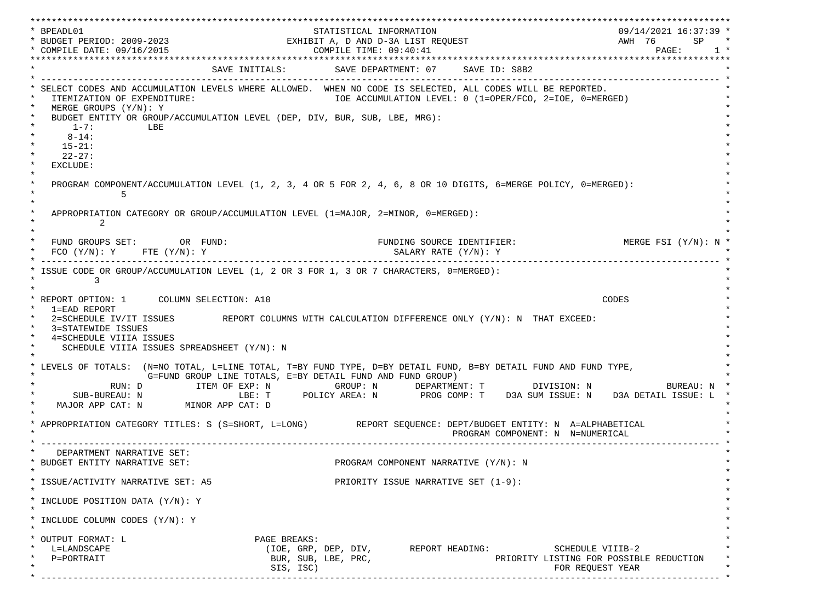\*\*\*\*\*\*\*\*\*\*\*\*\*\*\*\*\*\*\*\*\*\*\*\*\*\*\*\*\*\*\*\*\*\*\*\*\*\*\*\*\*\*\*\*\*\*\*\*\*\*\*\*\*\*\*\*\*\*\*\*\*\*\*\*\*\*\*\*\*\*\*\*\*\*\*\*\*\*\*\*\*\*\*\*\*\*\*\*\*\*\*\*\*\*\*\*\*\*\*\*\*\*\*\*\*\*\*\*\*\*\*\*\*\*\*\*\*\*\*\*\*\*\*\*\*\*\*\*\*\*\* \* BPEADL01 STATISTICAL INFORMATION 09/14/2021 16:37:39 \* \* BUDGET PERIOD: 2009-2023 EXHIBIT A, D AND D-3A LIST REQUEST AWH 76 SP \* \* COMPILE DATE: 09/16/2015 COMPILE TIME: 09:40:41 PAGE: 1 \* \*\*\*\*\*\*\*\*\*\*\*\*\*\*\*\*\*\*\*\*\*\*\*\*\*\*\*\*\*\*\*\*\*\*\*\*\*\*\*\*\*\*\*\*\*\*\*\*\*\*\*\*\*\*\*\*\*\*\*\*\*\*\*\*\*\*\*\*\*\*\*\*\*\*\*\*\*\*\*\*\*\*\*\*\*\*\*\*\*\*\*\*\*\*\*\*\*\*\*\*\*\*\*\*\*\*\*\*\*\*\*\*\*\*\*\*\*\*\*\*\*\*\*\*\*\*\*\*\*\*\* SAVE INITIALS: SAVE DEPARTMENT: 07 SAVE ID: S8B2 \* ------------------------------------------------------------------------------------------------------------------------------- \* SELECT CODES AND ACCUMULATION LEVELS WHERE ALLOWED. WHEN NO CODE IS SELECTED, ALL CODES WILL BE REPORTED. ITEMIZATION OF EXPENDITURE:  $\overline{10E}$  accumulation level: 0 (1=OPER/FCO, 2=IOE, 0=MERGED)  $MERGE$  GROUPS  $(Y/N): Y$ BUDGET ENTITY OR GROUP/ACCUMULATION LEVEL (DEP, DIV, BUR, SUB, LBE, MRG):  $*$  1-7: LBE  $*$  $*$  8-14:  $*$  $*$  15-21:  $*$  $*$  22-27: \* \* EXCLUDE: \*  $\star$   $\star$  \* PROGRAM COMPONENT/ACCUMULATION LEVEL (1, 2, 3, 4 OR 5 FOR 2, 4, 6, 8 OR 10 DIGITS, 6=MERGE POLICY, 0=MERGED): \*  $\star$  5  $\star$  $\star$   $\star$ APPROPRIATION CATEGORY OR GROUP/ACCUMULATION LEVEL (1=MAJOR, 2=MINOR, 0=MERGED):  $\star$  2  $\star$  $\star$   $\star$ FUND GROUPS SET: OR FUND: THE SOURCE IDENTIFIER: MERGE FSI (Y/N): N  $FCO (Y/N): Y$  FTE  $(Y/N): Y$  SALARY RATE  $(Y/N): Y$  \* ------------------------------------------------------------------------------------------------------------------------------- \* ISSUE CODE OR GROUP/ACCUMULATION LEVEL (1, 2 OR 3 FOR 1, 3 OR 7 CHARACTERS, 0=MERGED):  $\star$  3  $\star$  $\star$   $\star$  \* REPORT OPTION: 1 COLUMN SELECTION: A10 CODES \* \* 1=EAD REPORT \* 2=SCHEDULE IV/IT ISSUES REPORT COLUMNS WITH CALCULATION DIFFERENCE ONLY (Y/N): N THAT EXCEED: 3=STATEWIDE ISSUES 4=SCHEDULE VIIIA ISSUES SCHEDULE VIIIA ISSUES SPREADSHEET (Y/N): N \* \* \* LEVELS OF TOTALS: (N=NO TOTAL, L=LINE TOTAL, T=BY FUND TYPE, D=BY DETAIL FUND, B=BY DETAIL FUND AND FUND TYPE, \* G=FUND GROUP LINE TOTALS, E=BY DETAIL FUND AND FUND GROUP) \* RUN: D ITEM OF EXP: N GROUP: N DEPARTMENT: T DIVISION: N BUREAU: N \* \* SUB-BUREAU: N LBE: T POLICY AREA: N PROG COMP: T D3A SUM ISSUE: N D3A DETAIL ISSUE: L \* MAJOR APP CAT: N MINOR APP CAT: D \* \* APPROPRIATION CATEGORY TITLES: S (S=SHORT, L=LONG) REPORT SEQUENCE: DEPT/BUDGET ENTITY: N A=ALPHABETICAL PROGRAM COMPONENT: N N=NUMERICAL \* ------------------------------------------------------------------------------------------------------------------------------- \* DEPARTMENT NARRATIVE SET:<br>BUDGET ENTITY NARRATIVE SET: PROGRAM COMPONENT NARRATIVE (Y/N): N \* \* \* ISSUE/ACTIVITY NARRATIVE SET: A5 PRIORITY ISSUE NARRATIVE SET (1-9): \*  $\star$   $\star$  \* INCLUDE POSITION DATA (Y/N): Y \* \* \* INCLUDE COLUMN CODES  $(Y/N): Y$  \* \* \* OUTPUT FORMAT: L PAGE BREAKS: L=LANDSCAPE (IOE, GRP, DEP, DIV, REPORT HEADING: SCHEDULE VIIIB-2  ${\tt P=PORTRAIT} \hspace{1.5cm} {\tt BUR, SUB, LBE, PRC,} \hspace{1.5cm} {\tt PRC} {\tt PRLORITY LISTING FOR POSSIBLE REDUCTION}$  $\text{SIS. ISC}$  isc) \* ------------------------------------------------------------------------------------------------------------------------------- \*